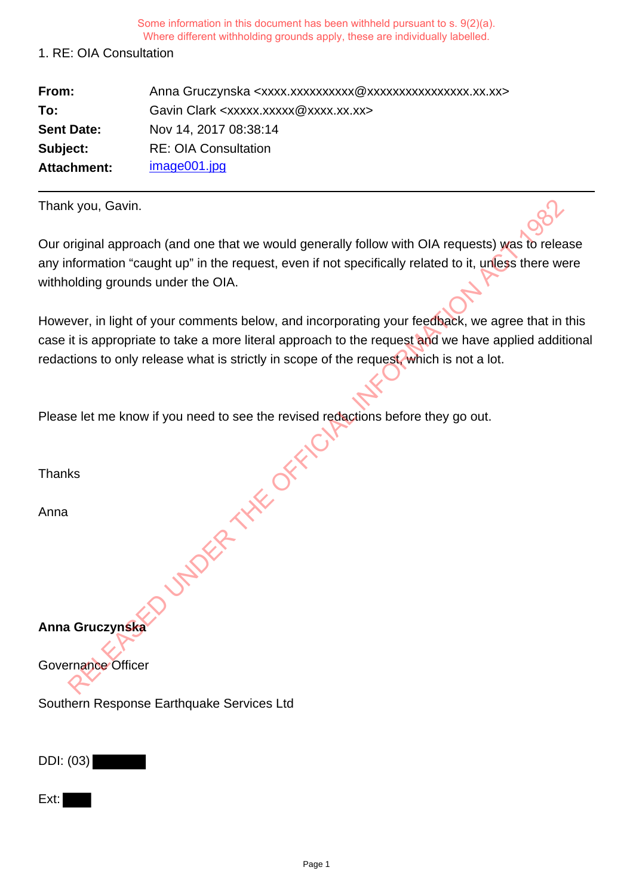### 1. RE: OIA Consultation

| From:             | Anna Gruczynska <xxxx.xxxxxxxxxxxxxxxxxxxxxxxxxx.xx.xx></xxxx.xxxxxxxxxxxxxxxxxxxxxxxxxx.xx.xx> |
|-------------------|-------------------------------------------------------------------------------------------------|
| To:               | Gavin Clark <xxxxx.xxxxx@xxxx.xx.xx></xxxxx.xxxxx@xxxx.xx.xx>                                   |
| <b>Sent Date:</b> | Nov 14, 2017 08:38:14                                                                           |
| Subject:          | <b>RE: OIA Consultation</b>                                                                     |
| Attachment:       | image001.jpg                                                                                    |

Thank you, Gavin.

Our original approach (and one that we would generally follow with OIA requests) was to release any information "caught up" in the request, even if not specifically related to it, unless there were withholding grounds under the OIA.

However, in light of your comments below, and incorporating your feedback, we agree that in this case it is appropriate to take a more literal approach to the request and we have applied additional redactions to only release what is strictly in scope of the request, which is not a lot.

Please let me know if you need to see the revised redactions before they go out. UNDER THE OFFICIAL

Thanks

Anna

**Anna Gruczynska**

Governance Officer

Southern Response Earthquake Services Ltd

DDI: (03)

Ext: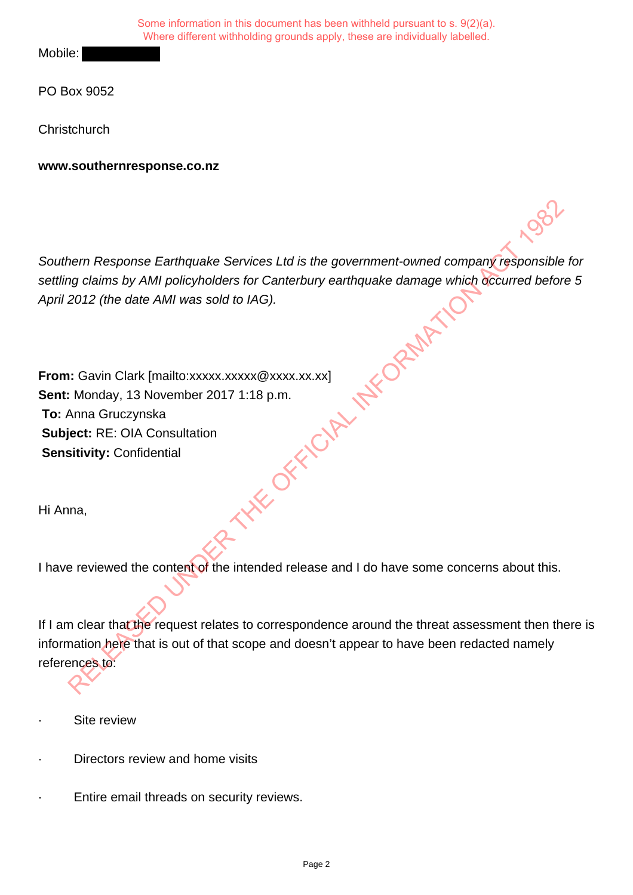Mobile:

PO Box 9052

**Christchurch** 

**www.southernresponse.co.nz**

Southern Response Earthquake Services Ltd is the government-owned company responsible for settling claims by AMI policyholders for Canterbury earthquake damage which occurred before 5 April 2012 (the date AMI was sold to IAG).

**From:** Gavin Clark [mailto:xxxxx.xxxxx @xxxx.xx.xx] **Sent:** Monday, 13 November 2017 1:18 p.m. **To:** Anna Gruczynska **Subject:** RE: OIA Consultation **Sensitivity:** Confidential **THE OFFICIAL INFORMATION** 

Hi Anna,

I have reviewed the content of the intended release and I do have some concerns about this.

If I am clear that the request relates to correspondence around the threat assessment then there is information here that is out of that scope and doesn't appear to have been redacted namely references to:

- Site review
- Directors review and home visits
- Entire email threads on security reviews.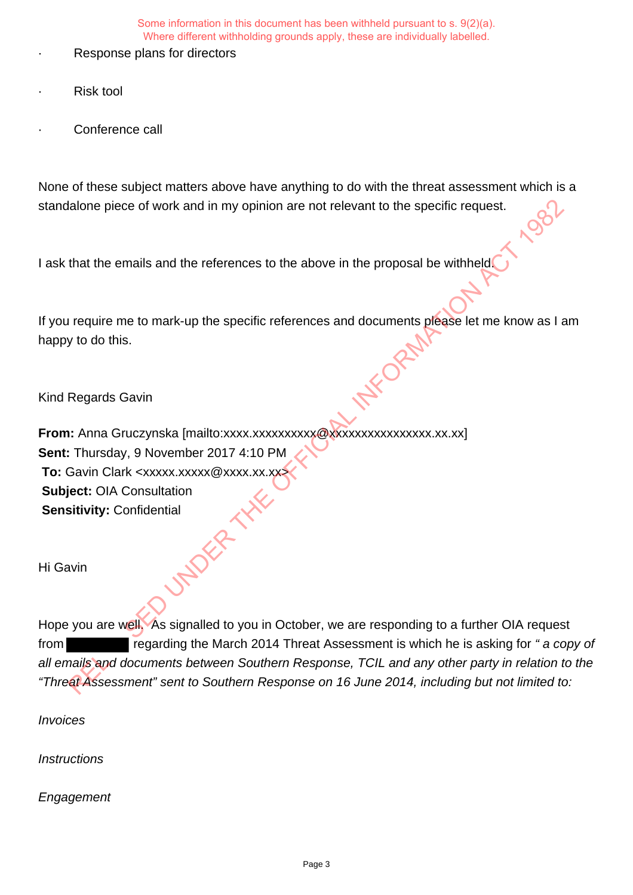- Response plans for directors
- **Risk tool**
- Conference call

None of these subject matters above have anything to do with the threat assessment which is a standalone piece of work and in my opinion are not relevant to the specific request.

I ask that the emails and the references to the above in the proposal be withheld.

If you require me to mark-up the specific references and documents please let me know as I am happy to do this.

Kind Regards Gavin

**From:** Anna Gruczynska [mailto:xxxx.xxxxxxxxxx@xxxxxxxxxxxxxxxx.xx.xx] **Sent:** Thursday, 9 November 2017 4:10 PM **To:** Gavin Clark <xxxxx.xxxxx@xxxx.xx.xx> **Subject:** OIA Consultation **Sensitivity:** Confidential The priority of the mails and the references to the above in the proposal be withheld with the emails and the references to the above in the proposal be withheld of the mails and the references to the above in the proposal

Hi Gavin

Hope you are well. As signalled to you in October, we are responding to a further OIA request from regarding the March 2014 Threat Assessment is which he is asking for " a copy of all emails and documents between Southern Response, TCIL and any other party in relation to the "Threat Assessment" sent to Southern Response on 16 June 2014, including but not limited to:

Invoices

**Instructions** 

**Engagement**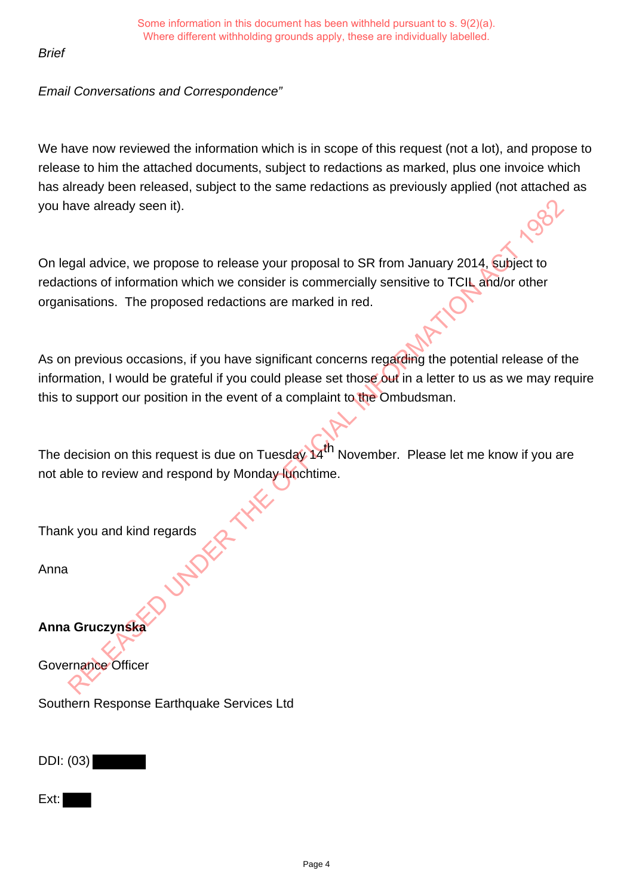# **Brief**

# Email Conversations and Correspondence"

We have now reviewed the information which is in scope of this request (not a lot), and propose to release to him the attached documents, subject to redactions as marked, plus one invoice which has already been released, subject to the same redactions as previously applied (not attached as you have already seen it).

On legal advice, we propose to release your proposal to SR from January 2014, subject to redactions of information which we consider is commercially sensitive to TCIL and/or other organisations. The proposed redactions are marked in red.

As on previous occasions, if you have significant concerns regarding the potential release of the information, I would be grateful if you could please set those out in a letter to us as we may require this to support our position in the event of a complaint to the Ombudsman. The divideo of the propose to release your proposal to SR from January 2014. Subject to the societions of information which we consider is commercially sensitive to TCIL and/or other bisations. The proposed redactions are

The decision on this request is due on Tuesday 14<sup>th</sup> November. Please let me know if you are not able to review and respond by Monday lunchtime.

Thank you and kind regards

Anna

**Anna Gruczynska**

Governance Officer

Southern Response Earthquake Services Ltd

DDI: (03)

Ext: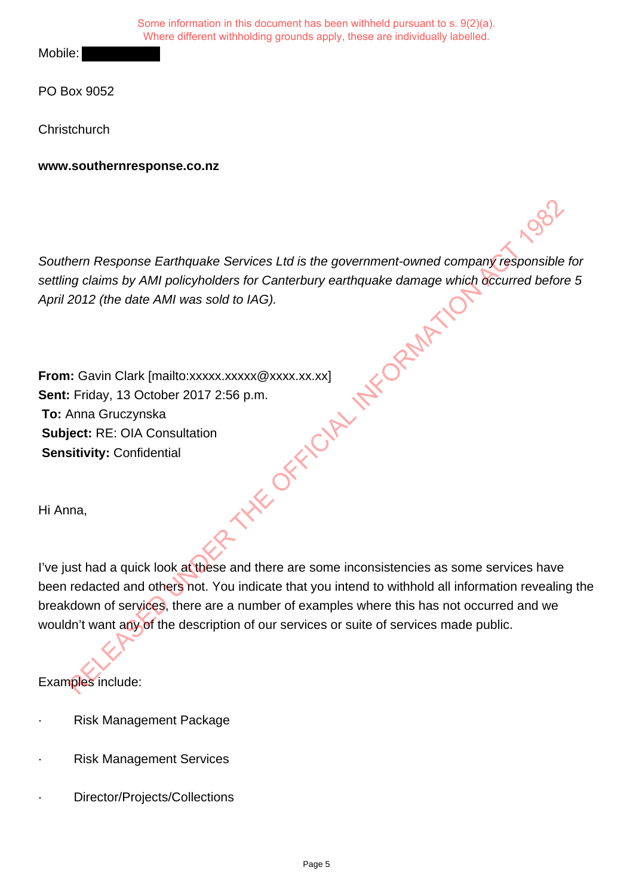Mobile:

PO Box 9052

**Christchurch** 

**www.southernresponse.co.nz**

Southern Response Earthquake Services Ltd is the government-owned company responsible for settling claims by AMI policyholders for Canterbury earthquake damage which occurred before 5 April 2012 (the date AMI was sold to IAG).

**From:** Gavin Clark [mailto:xxxxx.xxxxx @xxxx.xx.xx] **Sent:** Friday, 13 October 2017 2:56 p.m. **To:** Anna Gruczynska **Subject:** RE: OIA Consultation **Sensitivity:** Confidential RELEASED UNDER THE OPENANTY

Hi Anna,

I've just had a quick look at these and there are some inconsistencies as some services have been redacted and others not. You indicate that you intend to withhold all information revealing the breakdown of services, there are a number of examples where this has not occurred and we wouldn't want any of the description of our services or suite of services made public.

Examples include:

- Risk Management Package
- **Risk Management Services**
- Director/Projects/Collections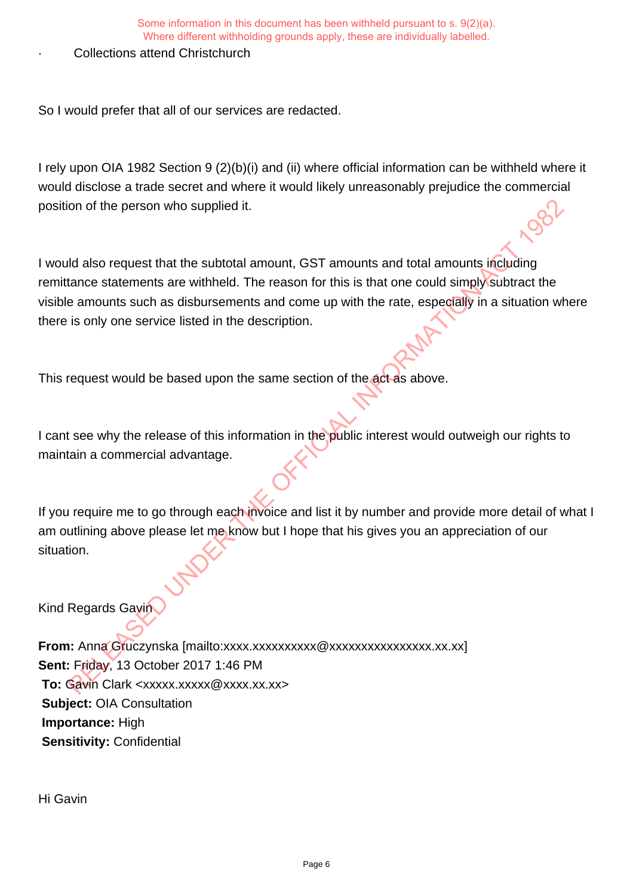## Collections attend Christchurch

So I would prefer that all of our services are redacted.

I rely upon OIA 1982 Section 9 (2)(b)(i) and (ii) where official information can be withheld where it would disclose a trade secret and where it would likely unreasonably prejudice the commercial position of the person who supplied it.

I would also request that the subtotal amount, GST amounts and total amounts including remittance statements are withheld. The reason for this is that one could simply subtract the visible amounts such as disbursements and come up with the rate, especially in a situation where there is only one service listed in the description. on of the person who supplied it.<br>
Id also request that the subtotal amount, GST amounts and total amounts including<br>
Id also request that the subtotal amount, GST amounts and total amounts such as disbursements are only t

This request would be based upon the same section of the act as above.

I cant see why the release of this information in the public interest would outweigh our rights to maintain a commercial advantage.

If you require me to go through each invoice and list it by number and provide more detail of what I am outlining above please let me know but I hope that his gives you an appreciation of our situation.

Kind Regards Gavin

**From:** Anna Gruczynska [mailto:xxxx.xxxxxxxxxxxxxxxxxxxxxxxxxxxx.xx] **Sent:** Friday, 13 October 2017 1:46 PM **To: Gavin Clark <xxxxx.xxxxxx @xxxx.xx.xx> Subject:** OIA Consultation **Importance:** High **Sensitivity:** Confidential

Hi Gavin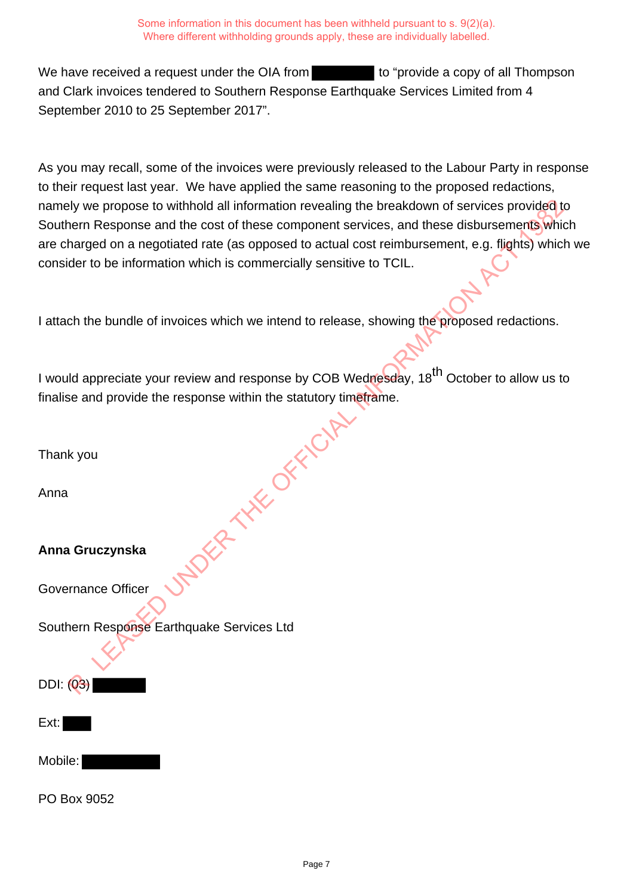We have received a request under the OIA from the to "provide a copy of all Thompson" and Clark invoices tendered to Southern Response Earthquake Services Limited from 4 September 2010 to 25 September 2017".

As you may recall, some of the invoices were previously released to the Labour Party in response to their request last year. We have applied the same reasoning to the proposed redactions, namely we propose to withhold all information revealing the breakdown of services provided to Southern Response and the cost of these component services, and these disbursements which are charged on a negotiated rate (as opposed to actual cost reimbursement, e.g. flights) which we consider to be information which is commercially sensitive to TCIL.

| namely we propose to withhold all information revealing the breakdown of services provided to<br>Southern Response and the cost of these component services, and these disbursements which |
|--------------------------------------------------------------------------------------------------------------------------------------------------------------------------------------------|
| are charged on a negotiated rate (as opposed to actual cost reimbursement, e.g. flights) whic                                                                                              |
| consider to be information which is commercially sensitive to TCIL.                                                                                                                        |
| I attach the bundle of invoices which we intend to release, showing the proposed redactions.                                                                                               |
|                                                                                                                                                                                            |
| I would appreciate your review and response by COB Wednesday, 18 <sup>th</sup> October to allow us to                                                                                      |
| finalise and provide the response within the statutory timetrame.                                                                                                                          |
|                                                                                                                                                                                            |
| Thank you                                                                                                                                                                                  |
| Anna                                                                                                                                                                                       |
| Anna Gruczynska                                                                                                                                                                            |
| Governance Officer                                                                                                                                                                         |
| Southern Response Earthquake Services Ltd                                                                                                                                                  |
|                                                                                                                                                                                            |
| <b>DDI:</b> (03)                                                                                                                                                                           |
| Ext:                                                                                                                                                                                       |
| Mobile:                                                                                                                                                                                    |
| PO Box 9052                                                                                                                                                                                |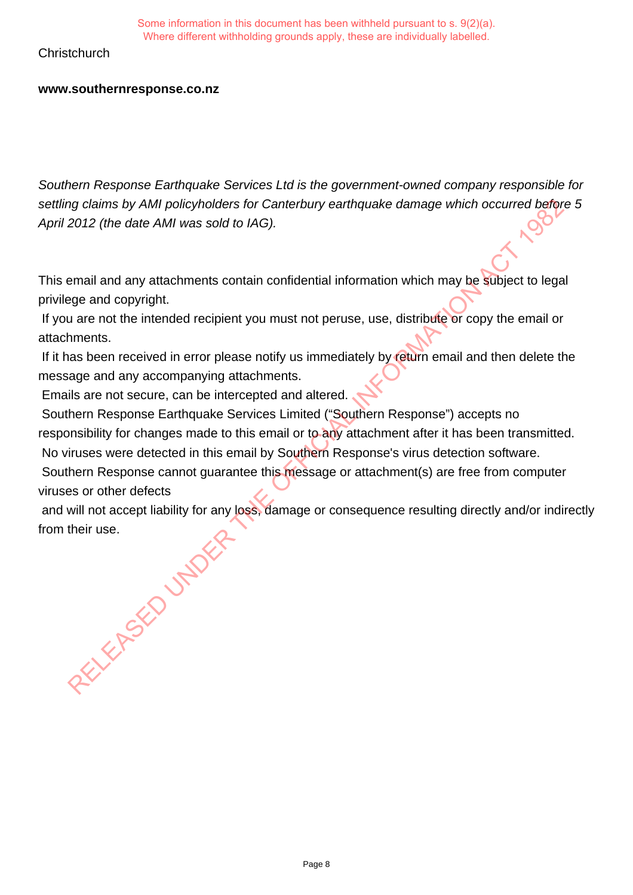# **Christchurch**

### **www.southernresponse.co.nz**

Southern Response Earthquake Services Ltd is the government-owned company responsible for settling claims by AMI policyholders for Canterbury earthquake damage which occurred before 5 April 2012 (the date AMI was sold to IAG).

This email and any attachments contain confidential information which may be subject to legal privilege and copyright.

 If you are not the intended recipient you must not peruse, use, distribute or copy the email or attachments.

 If it has been received in error please notify us immediately by return email and then delete the message and any accompanying attachments.

Emails are not secure, can be intercepted and altered.

 Southern Response Earthquake Services Limited ("Southern Response") accepts no responsibility for changes made to this email or to any attachment after it has been transmitted. No viruses were detected in this email by Southern Response's virus detection software.

 Southern Response cannot guarantee this message or attachment(s) are free from computer viruses or other defects

 and will not accept liability for any loss, damage or consequence resulting directly and/or indirectly from their use. RELEASED UNDER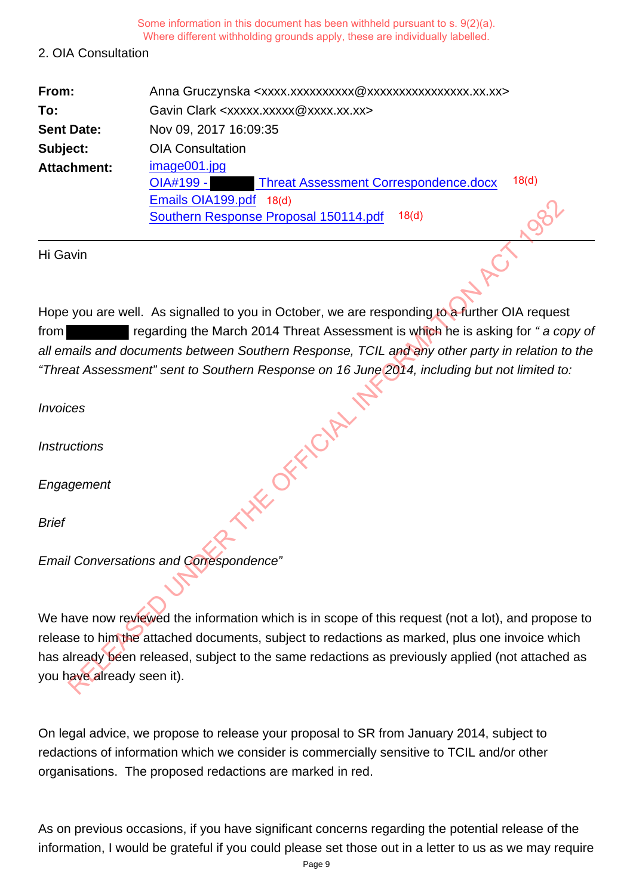#### 2. OIA Consultation

| From:              | Anna Gruczynska <xxxx.xxxxxxxxxx @xxxxxxxxxxxxxxxx.xx.xx=""></xxxx.xxxxxxxxxx> |                 |
|--------------------|--------------------------------------------------------------------------------|-----------------|
| To:                | Gavin Clark <xxxxx.xxxxx@xxxx.xx.xx></xxxxx.xxxxx@xxxx.xx.xx>                  |                 |
| <b>Sent Date:</b>  | Nov 09, 2017 16:09:35                                                          |                 |
| Subject:           | <b>OIA Consultation</b>                                                        |                 |
| <b>Attachment:</b> | image001.jpg                                                                   |                 |
|                    | <b>Threat Assessment Correspondence.docx</b><br>OIA#199 -                      | 18 <sub>d</sub> |
|                    | Emails OIA199.pdf<br>18 <sub>d</sub>                                           |                 |
|                    | 18 <sub>d</sub><br>Southern Response Proposal 150114.pdf                       |                 |

Hi Gavin

Hope you are well. As signalled to you in October, we are responding to a further OIA request from **regarding the March 2014 Threat Assessment is which he is asking for "a copy of** all emails and documents between Southern Response, TCIL and any other party in relation to the "Threat Assessment" sent to Southern Response on 16 June 2014, including but not limited to:

Invoices

**Instructions** 

**Engagement** 

Brief

Email Conversations and Correspondence"

We have now reviewed the information which is in scope of this request (not a lot), and propose to release to him the attached documents, subject to redactions as marked, plus one invoice which has already been released, subject to the same redactions as previously applied (not attached as you have already seen it). Emists UATest, part and Content Response Proposal 150114.pdf<br>
Southern Response Proposal 150114.pdf<br>
win<br>
you are well. As signalled to you in October, we are responding to a further OIA requese<br>
mails and documents betwee

On legal advice, we propose to release your proposal to SR from January 2014, subject to redactions of information which we consider is commercially sensitive to TCIL and/or other organisations. The proposed redactions are marked in red.

As on previous occasions, if you have significant concerns regarding the potential release of the information, I would be grateful if you could please set those out in a letter to us as we may require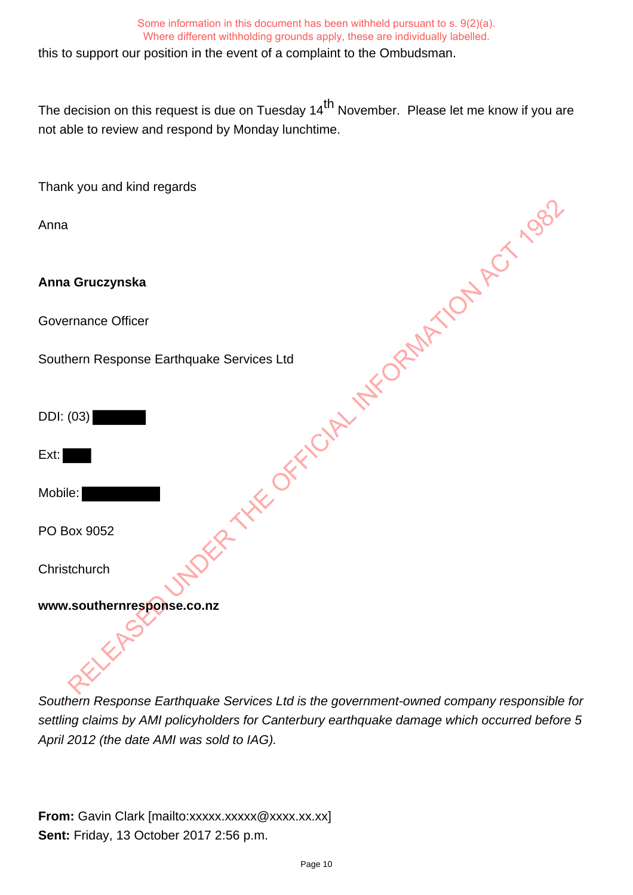this to support our position in the event of a complaint to the Ombudsman.

The decision on this request is due on Tuesday 14<sup>th</sup> November. Please let me know if you are not able to review and respond by Monday lunchtime.

Thank you and kind regards

Anna

**Anna Gruczynska**

Governance Officer

Southern Response Earthquake Services Ltd DER THE OFFICIAL INFORMATION ACT 1982

DDI: (03)

Ext:

Mobile:

PO Box 9052

**Christchurch** 

**www.southernresponse.co.nz**

Southern Response Earthquake Services Ltd is the government-owned company responsible for settling claims by AMI policyholders for Canterbury earthquake damage which occurred before 5 April 2012 (the date AMI was sold to IAG).

**From:** Gavin Clark [mailto:xxxxx.xxxxx @xxxx.xx.xx] **Sent:** Friday, 13 October 2017 2:56 p.m.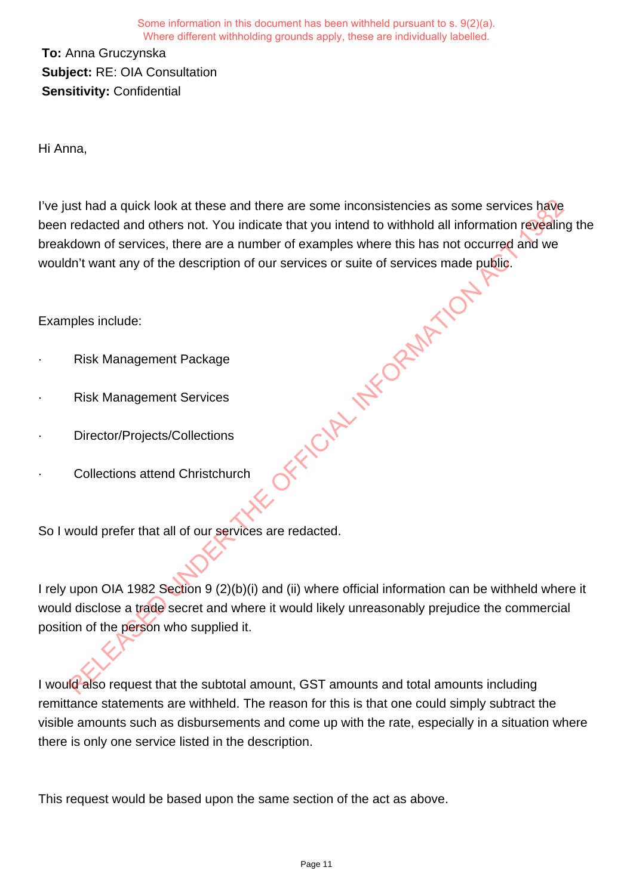**To:** Anna Gruczynska **Subject:** RE: OIA Consultation **Sensitivity:** Confidential

Hi Anna,

I've just had a quick look at these and there are some inconsistencies as some services have been redacted and others not. You indicate that you intend to withhold all information revealing the breakdown of services, there are a number of examples where this has not occurred and we wouldn't want any of the description of our services or suite of services made public. OFFICIAL INFORMATION

Examples include:

- **Risk Management Package**
- **Risk Management Services**
- Director/Projects/Collections
- Collections attend Christchurch

So I would prefer that all of our services are redacted.

I rely upon OIA 1982 Section 9 (2)(b)(i) and (ii) where official information can be withheld where it would disclose a trade secret and where it would likely unreasonably prejudice the commercial position of the person who supplied it.

I would also request that the subtotal amount, GST amounts and total amounts including remittance statements are withheld. The reason for this is that one could simply subtract the visible amounts such as disbursements and come up with the rate, especially in a situation where there is only one service listed in the description.

This request would be based upon the same section of the act as above.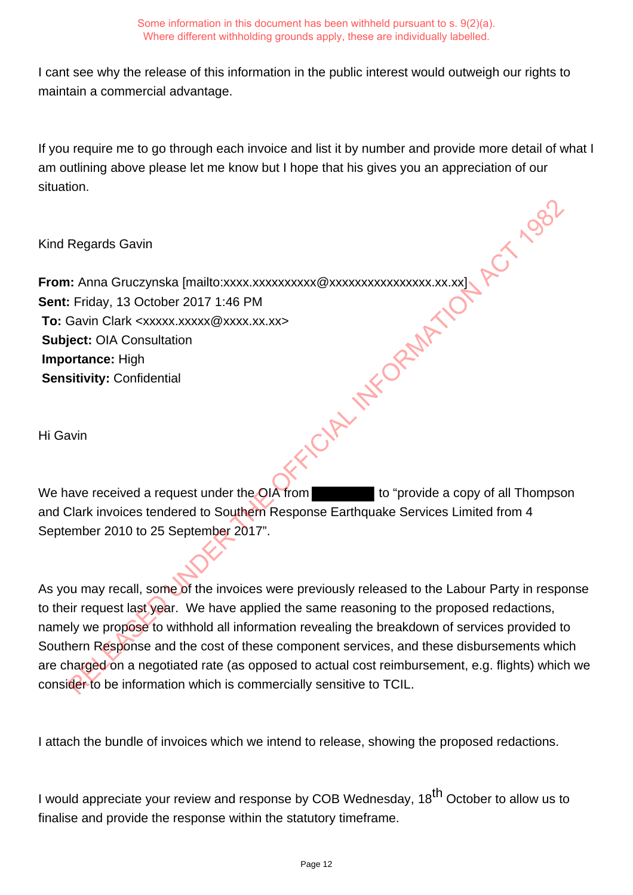I cant see why the release of this information in the public interest would outweigh our rights to maintain a commercial advantage.

If you require me to go through each invoice and list it by number and provide more detail of what I am outlining above please let me know but I hope that his gives you an appreciation of our situation.

Kind Regards Gavin

**From:** Anna Gruczynska [mailto:xxxx.xxxxxxxxxx @xxxxxxxxxxxxxxxx.xx.xx] **Sent:** Friday, 13 October 2017 1:46 PM **To:** Gavin Clark <xxxxx.xxxxx@xxxx.xx.xx> **Subject:** OIA Consultation **Importance:** High **Sensitivity:** Confidential We have received a request under the OIA from the to "provide a copy of all Thompson

Hi Gavin

and Clark invoices tendered to Southern Response Earthquake Services Limited from 4 September 2010 to 25 September 2017".

As you may recall, some of the invoices were previously released to the Labour Party in response to their request last year. We have applied the same reasoning to the proposed redactions, namely we propose to withhold all information revealing the breakdown of services provided to Southern Response and the cost of these component services, and these disbursements which are charged on a negotiated rate (as opposed to actual cost reimbursement, e.g. flights) which we consider to be information which is commercially sensitive to TCIL. RELEASED UNDER THE OFFICIAL INFORMATION ACT 1982

I attach the bundle of invoices which we intend to release, showing the proposed redactions.

I would appreciate your review and response by COB Wednesday, 18<sup>th</sup> October to allow us to finalise and provide the response within the statutory timeframe.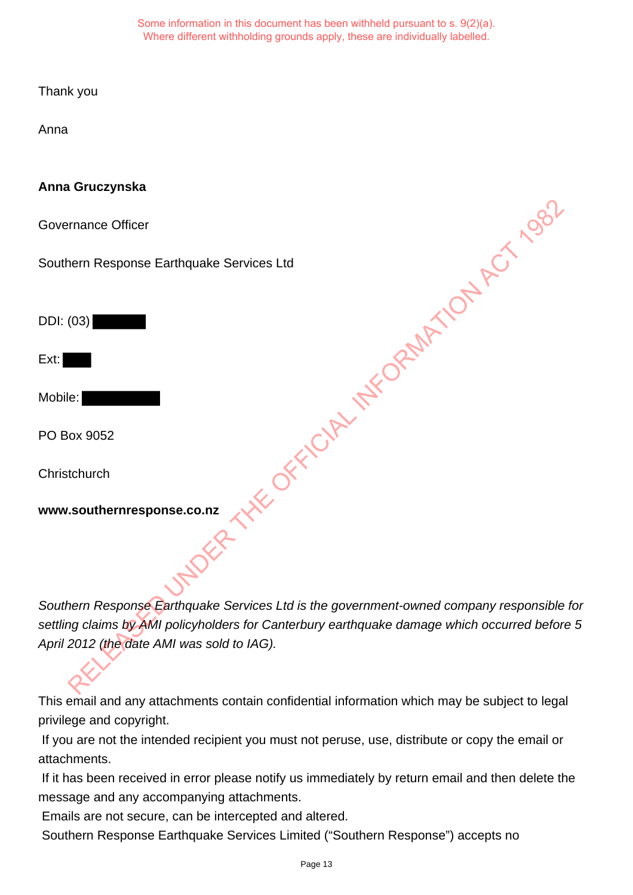Thank you

Anna

# **Anna Gruczynska**

Governance Officer

Southern Response Earthquake Services Ltd

DDI: (03)

Ext:

Mobile:

PO Box 9052

**Christchurch** 

**www.southernresponse.co.nz**

Southern Response Earthquake Services Ltd is the government-owned company responsible for settling claims by AMI policyholders for Canterbury earthquake damage which occurred before 5 April 2012 (the date AMI was sold to IAG). WAS RELEASED OF FICINAL INFORMATION ACT 1982

This email and any attachments contain confidential information which may be subject to legal privilege and copyright.

 If you are not the intended recipient you must not peruse, use, distribute or copy the email or attachments.

 If it has been received in error please notify us immediately by return email and then delete the message and any accompanying attachments.

Emails are not secure, can be intercepted and altered.

Southern Response Earthquake Services Limited ("Southern Response") accepts no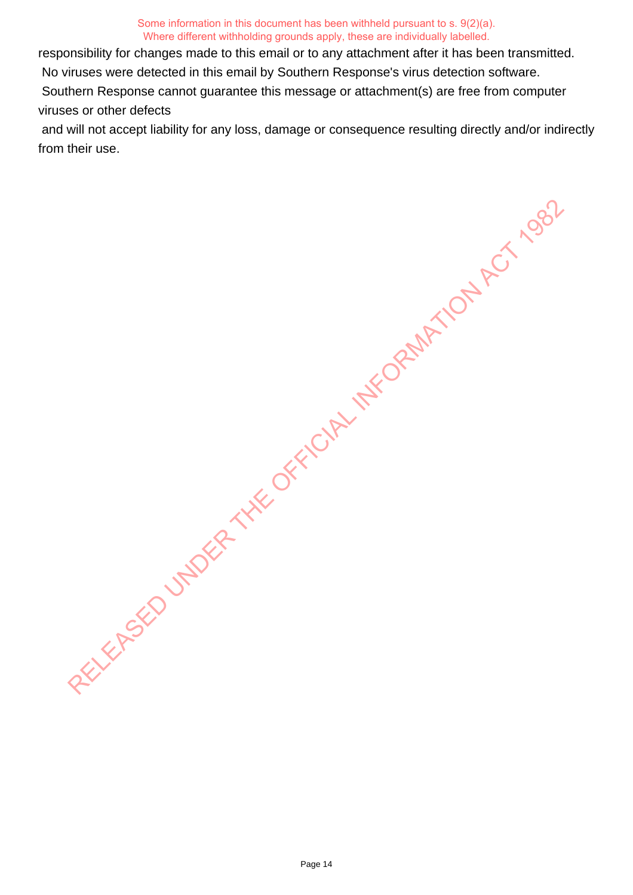responsibility for changes made to this email or to any attachment after it has been transmitted.

No viruses were detected in this email by Southern Response's virus detection software.

 Southern Response cannot guarantee this message or attachment(s) are free from computer viruses or other defects

 and will not accept liability for any loss, damage or consequence resulting directly and/or indirectly from their use. RELEASED UNDER THE OFFICIAL INFORMATION ACTION

Page 14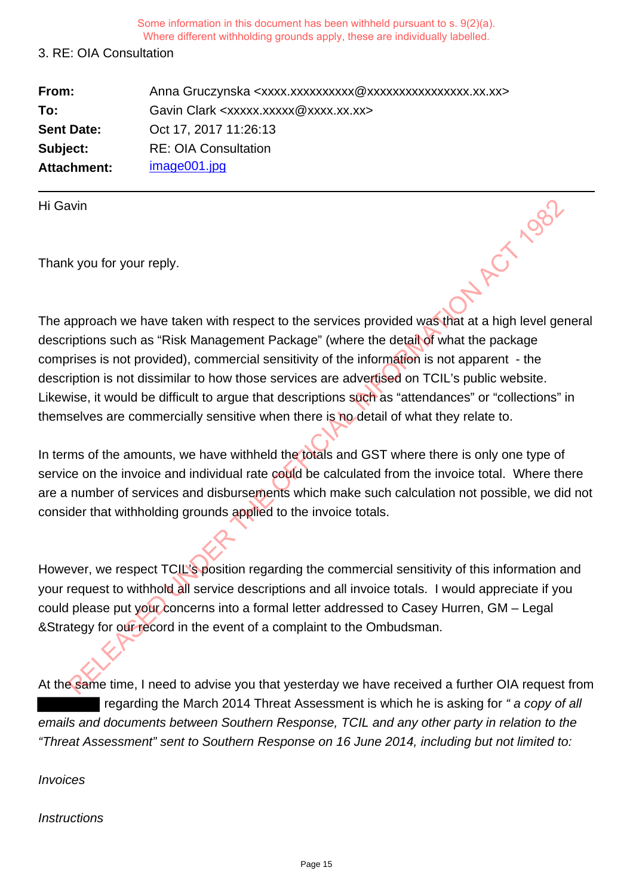## 3. RE: OIA Consultation

| From:             | Anna Gruczynska <xxxx.xxxxxxxxxxx @xxxxxxxxxxxxxxxx.xx.xx=""></xxxx.xxxxxxxxxxx> |
|-------------------|----------------------------------------------------------------------------------|
| To:               | Gavin Clark <xxxxx.xxxxx@xxxx.xx.xx></xxxxx.xxxxx@xxxx.xx.xx>                    |
| <b>Sent Date:</b> | Oct 17, 2017 11:26:13                                                            |
| Subject:          | <b>RE: OIA Consultation</b>                                                      |
| Attachment:       | image001.jpg                                                                     |

Hi Gavin

Thank you for your reply.

The approach we have taken with respect to the services provided was that at a high level general descriptions such as "Risk Management Package" (where the detail of what the package comprises is not provided), commercial sensitivity of the information is not apparent - the description is not dissimilar to how those services are advertised on TCIL's public website. Likewise, it would be difficult to argue that descriptions such as "attendances" or "collections" in themselves are commercially sensitive when there is no detail of what they relate to. Which we have taken with respect to the services provided was that at a high level gerptions such as "Risk Management Package" (where the detail of what the package in provided), commercial sensitivity of the information i

In terms of the amounts, we have withheld the totals and GST where there is only one type of service on the invoice and individual rate could be calculated from the invoice total. Where there are a number of services and disbursements which make such calculation not possible, we did not consider that withholding grounds applied to the invoice totals.

However, we respect TCIL's position regarding the commercial sensitivity of this information and your request to withhold all service descriptions and all invoice totals. I would appreciate if you could please put your concerns into a formal letter addressed to Casey Hurren, GM – Legal &Strategy for our record in the event of a complaint to the Ombudsman.

At the same time, I need to advise you that yesterday we have received a further OIA request from regarding the March 2014 Threat Assessment is which he is asking for "a copy of all emails and documents between Southern Response, TCIL and any other party in relation to the "Threat Assessment" sent to Southern Response on 16 June 2014, including but not limited to:

Invoices

**Instructions**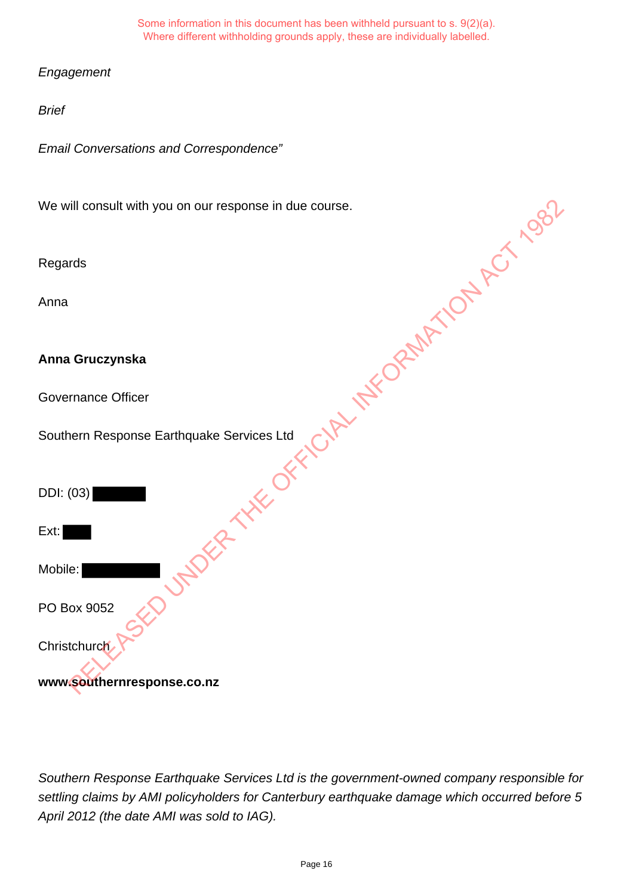**Engagement** 

Brief

Email Conversations and Correspondence"

We will consult with you on our response in due course. RUMDER THE OFFICIAL INFORMATION ACT 1982

Regards

Anna

**Anna Gruczynska**

Governance Officer

Southern Response Earthquake Services Ltd

DDI: (03)

Mobile:

PO Box 9052

**Christchurch** 

**www.southernresponse.co.nz**

Southern Response Earthquake Services Ltd is the government-owned company responsible for settling claims by AMI policyholders for Canterbury earthquake damage which occurred before 5 April 2012 (the date AMI was sold to IAG).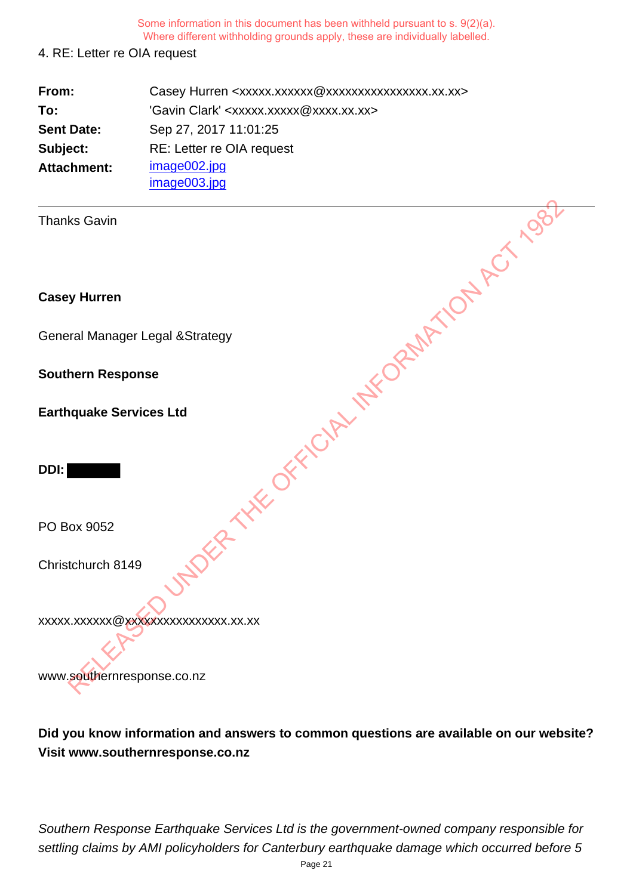#### 4. RE: Letter re OIA request

| From:              | Casey Hurren <xxxxx.xxxxxx @xxxxxxxxxxxxxxxx.xx.xx=""></xxxxx.xxxxxx> |
|--------------------|-----------------------------------------------------------------------|
| To:                | 'Gavin Clark' <xxxxx.xxxxx@xxxx.xx.xx></xxxxx.xxxxx@xxxx.xx.xx>       |
| <b>Sent Date:</b>  | Sep 27, 2017 11:01:25                                                 |
| Subject:           | RE: Letter re OIA request                                             |
| <b>Attachment:</b> | image002.jpg                                                          |
|                    | image003.jpg                                                          |

Thanks Gavin

**Casey Hurren**

General Manager Legal &Strategy

**Southern Response**

**Earthquake Services Ltd**

**DDI:** 

PO Box 9052

Christchurch 8149

xxxxx.xxxxxx@xxxxxxxxxxxxxxxx.xx.xx RELEASED UNDER THE OFFICIAL INFORMATION ACT 1982

www.southernresponse.co.nz

**Did you know information and answers to common questions are available on our website? Visit www.southernresponse.co.nz**

Southern Response Earthquake Services Ltd is the government-owned company responsible for settling claims by AMI policyholders for Canterbury earthquake damage which occurred before 5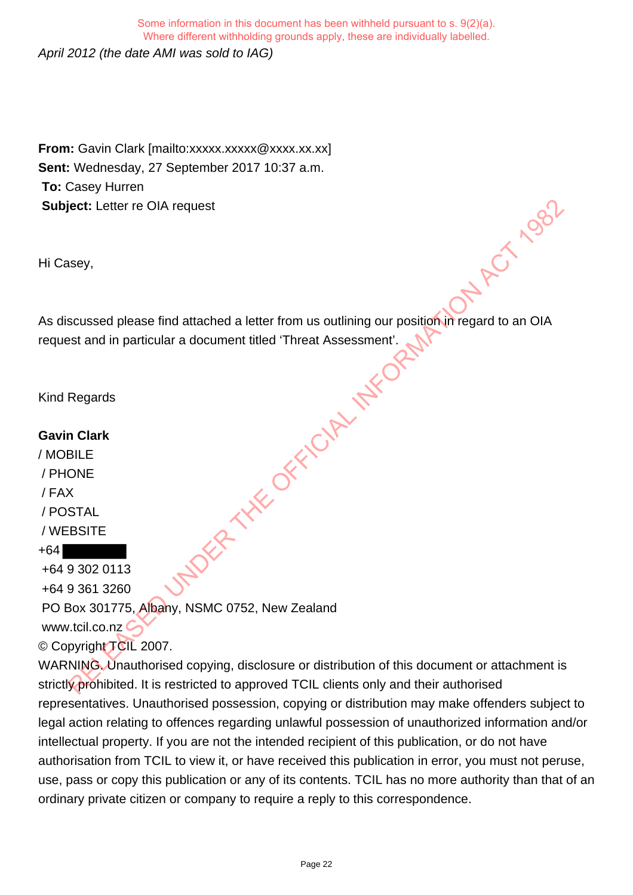April 2012 (the date AMI was sold to IAG) Some information in this document has been withheld pursuant to s. 9(2)(a). Where different withholding grounds apply, these are individually labelled.

**From:** Gavin Clark [mailto:xxxxx.xxxxx @xxxx.xx.xx] **Sent:** Wednesday, 27 September 2017 10:37 a.m. **To:** Casey Hurren **Subject:** Letter re OIA request

Hi Casey,

As discussed please find attached a letter from us outlining our position in regard to an OIA request and in particular a document titled 'Threat Assessment'. attached a letter from us outlining our position in regard to an OIA<br>a document titled "Threat Assessment". We have a compared to an OIA<br>CORPLAN INFORMATION ACT 1982

Kind Regards

## **Gavin Clark**

/ MOBILE / PHONE / FAX / POSTAL / WEBSITE

+64 +64 9 302 0113

+64 9 361 3260

PO Box 301775, Albany, NSMC 0752, New Zealand

www.tcil.co.nz

© Copyright TCIL 2007.

WARNING. Unauthorised copying, disclosure or distribution of this document or attachment is strictly prohibited. It is restricted to approved TCIL clients only and their authorised representatives. Unauthorised possession, copying or distribution may make offenders subject to legal action relating to offences regarding unlawful possession of unauthorized information and/or intellectual property. If you are not the intended recipient of this publication, or do not have authorisation from TCIL to view it, or have received this publication in error, you must not peruse, use, pass or copy this publication or any of its contents. TCIL has no more authority than that of an ordinary private citizen or company to require a reply to this correspondence.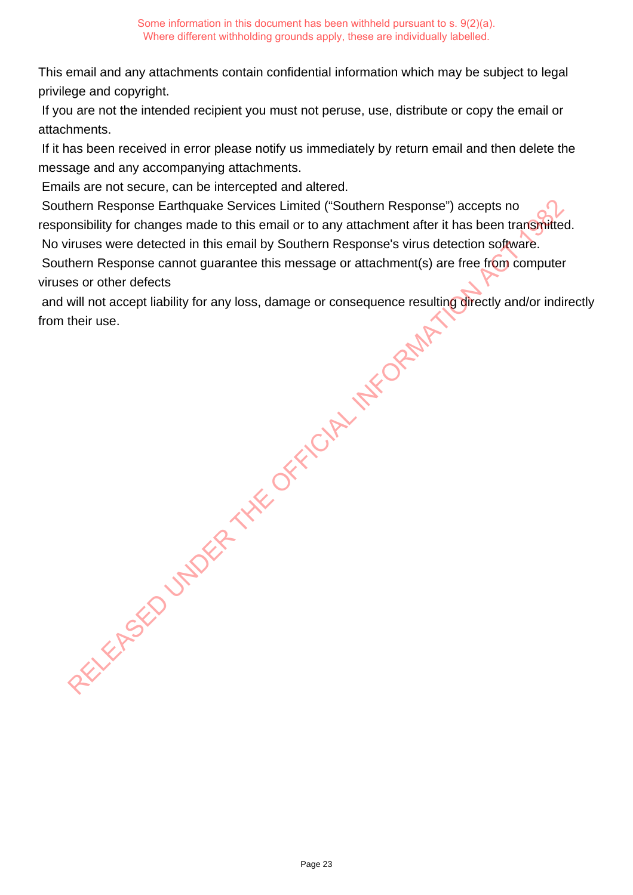This email and any attachments contain confidential information which may be subject to legal privilege and copyright.

 If you are not the intended recipient you must not peruse, use, distribute or copy the email or attachments.

 If it has been received in error please notify us immediately by return email and then delete the message and any accompanying attachments.

Emails are not secure, can be intercepted and altered.

 Southern Response Earthquake Services Limited ("Southern Response") accepts no responsibility for changes made to this email or to any attachment after it has been transmitted. No viruses were detected in this email by Southern Response's virus detection software. New Response Earthquake Services Limited ("Southern Response") accepts no<br>
monshillty for changes made to this email by Southern Response's virus detection software.<br>
Thus were detected in this email by Southern Response's

Southern Response cannot guarantee this message or attachment(s) are free from computer viruses or other defects

 and will not accept liability for any loss, damage or consequence resulting directly and/or indirectly from their use.

Page 23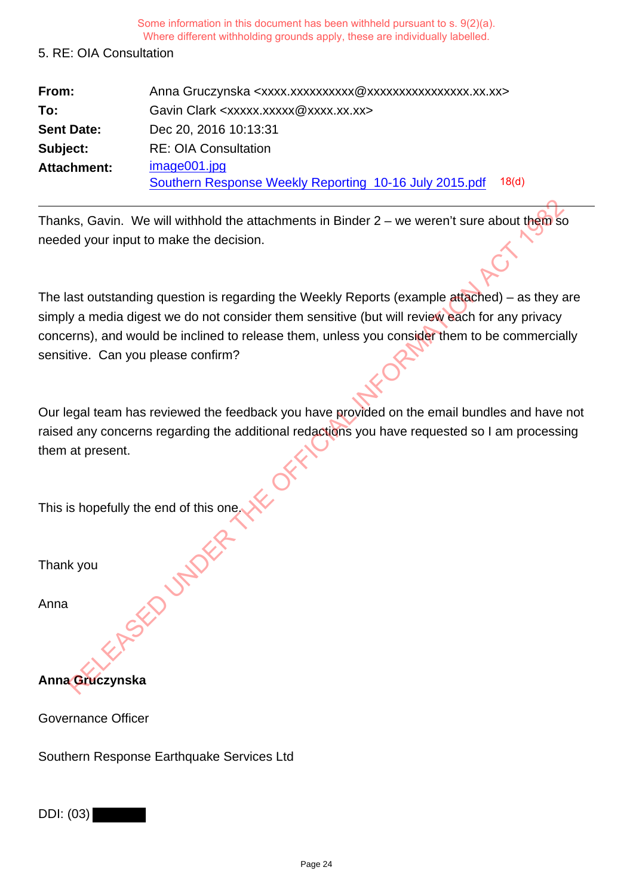### 5. RE: OIA Consultation

| From:             | Anna Gruczynska <xxxx.xxxxxxxxxxxxxxxxxxxxxxxxxx.xx.xx></xxxx.xxxxxxxxxxxxxxxxxxxxxxxxxx.xx.xx> |
|-------------------|-------------------------------------------------------------------------------------------------|
| To:               | Gavin Clark <xxxxx.xxxxx@xxxx.xx.xx></xxxxx.xxxxx@xxxx.xx.xx>                                   |
| <b>Sent Date:</b> | Dec 20, 2016 10:13:31                                                                           |
| Subject:          | <b>RE: OIA Consultation</b>                                                                     |
| Attachment:       | image001.jpg                                                                                    |
|                   | 18 <sub>d</sub><br>Southern Response Weekly Reporting 10-16 July 2015.pdf                       |

Thanks, Gavin. We will withhold the attachments in Binder  $2 -$  we weren't sure about them so needed your input to make the decision.

The last outstanding question is regarding the Weekly Reports (example attached) – as they are simply a media digest we do not consider them sensitive (but will review each for any privacy concerns), and would be inclined to release them, unless you consider them to be commercially sensitive. Can you please confirm? Relation We will withhold the attachments in Binder 2 – we weren't sure about them set of your input to make the decision.<br>
Act our input to make the decision.<br>
Act our input to make the decision.<br>
Act our input of make th

Our legal team has reviewed the feedback you have provided on the email bundles and have not raised any concerns regarding the additional redactions you have requested so I am processing them at present.

This is hopefully the end of this one.

Thank you

Anna

**Anna Gruczynska**

Governance Officer

Southern Response Earthquake Services Ltd

DDI: (03)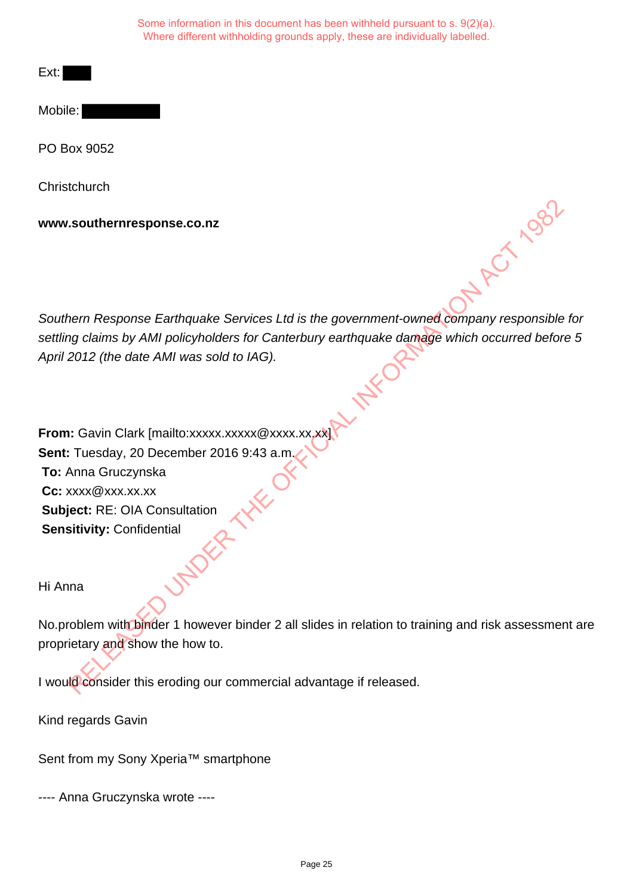Mobile:

PO Box 9052

**Christchurch** 

**www.southernresponse.co.nz**

Southern Response Earthquake Services Ltd is the government-owned company responsible for settling claims by AMI policyholders for Canterbury earthquake damage which occurred before 5 April 2012 (the date AMI was sold to IAG).

**From:** Gavin Clark [mailto:xxxxx.xxxxx @xxxx.xx.xx] **Sent:** Tuesday, 20 December 2016 9:43 a.m. **To:** Anna Gruczynska **Cc:** xxxx@xxx.xx.xx **Subject:** RE: OIA Consultation **Sensitivity:** Confidential Southernresponse.co.nz<br>
Nem Response Earthquake Services Ltd is the government-owned company responsible<br>
Relations by AMI policyholders for Canterbury earthquake damage which occurred before<br>
2012 (the date AMI was sold t

Hi Anna

No.problem with binder 1 however binder 2 all slides in relation to training and risk assessment are proprietary and show the how to.

I would consider this eroding our commercial advantage if released.

Kind regards Gavin

Sent from my Sony Xperia™ smartphone

---- Anna Gruczynska wrote ----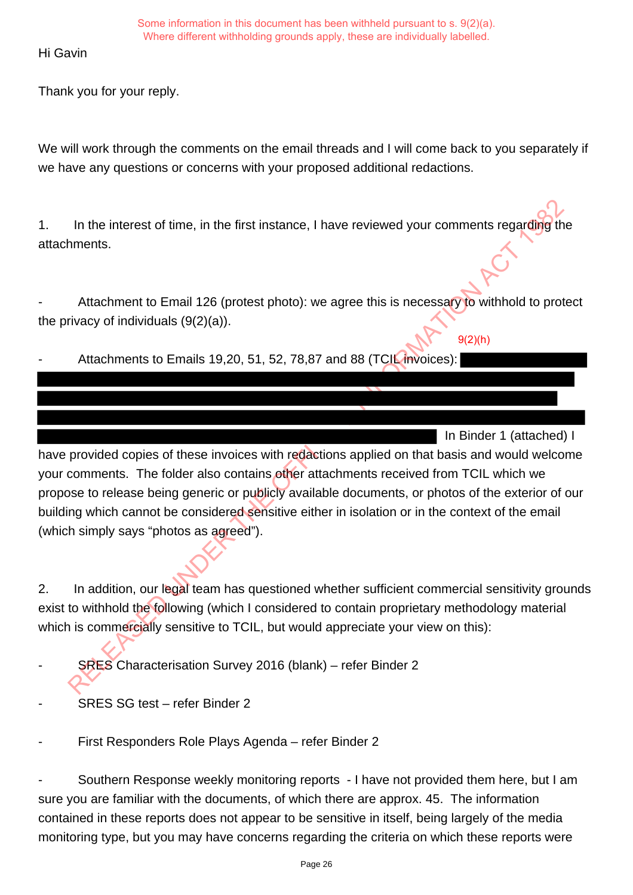Hi Gavin

Thank you for your reply.

We will work through the comments on the email threads and I will come back to you separately if we have any questions or concerns with your proposed additional redactions.

1. In the interest of time, in the first instance, I have reviewed your comments regarding the attachments.

Attachment to Email 126 (protest photo): we agree this is necessary to withhold to protect the privacy of individuals (9(2)(a)).

9(2)(h)

Attachments to Emails 19,20, 51, 52, 78,87 and 88 (TCIL invoices):

 In Binder 1 (attached) I have provided copies of these invoices with redactions applied on that basis and would welcome your comments. The folder also contains other attachments received from TCIL which we propose to release being generic or publicly available documents, or photos of the exterior of our building which cannot be considered sensitive either in isolation or in the context of the email (which simply says "photos as agreed"). In the interest of time, in the first instance, I have reviewed your comments regarding the therm than the first instance, I have reviewed your comments regarding the interests.<br>
Attachment to Emails 19,20, 51, 52, 78,87 a

2. In addition, our legal team has questioned whether sufficient commercial sensitivity grounds exist to withhold the following (which I considered to contain proprietary methodology material which is commercially sensitive to TCIL, but would appreciate your view on this):

SRES Characterisation Survey 2016 (blank) – refer Binder 2

SRES SG test - refer Binder 2

First Responders Role Plays Agenda – refer Binder 2

Southern Response weekly monitoring reports - I have not provided them here, but I am sure you are familiar with the documents, of which there are approx. 45. The information contained in these reports does not appear to be sensitive in itself, being largely of the media monitoring type, but you may have concerns regarding the criteria on which these reports were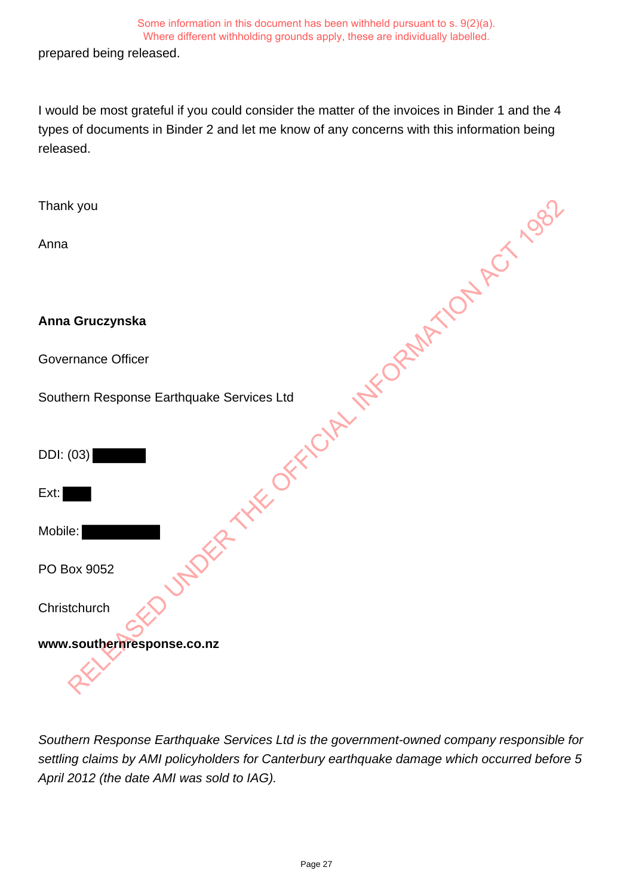prepared being released.

I would be most grateful if you could consider the matter of the invoices in Binder 1 and the 4 types of documents in Binder 2 and let me know of any concerns with this information being released.

| Thank you                                            |
|------------------------------------------------------|
| Anna                                                 |
|                                                      |
| Anna Gruczynska                                      |
| <b>Governance Officer</b>                            |
| Southern Response Earthquake Services Ltd            |
| UNDER THE OFFICIAL INFORMATION ACT Agg.<br>DDI: (03) |
| Ext:                                                 |
| Mobile:                                              |
| PO Box 9052                                          |
| Christchurch                                         |
| www.southernresponse.co.nz                           |
|                                                      |

Southern Response Earthquake Services Ltd is the government-owned company responsible for settling claims by AMI policyholders for Canterbury earthquake damage which occurred before 5 April 2012 (the date AMI was sold to IAG).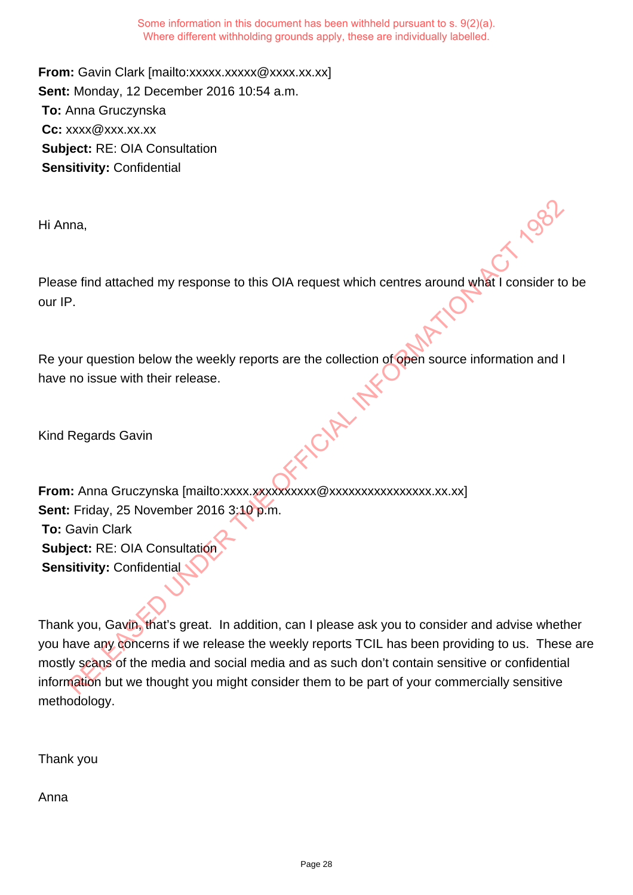**From:** Gavin Clark [mailto:xxxxx.xxxxx @xxxx.xx.xx] **Sent:** Monday, 12 December 2016 10:54 a.m. **To:** Anna Gruczynska **Cc:** xxxx@xxx.xx.xx **Subject:** RE: OIA Consultation **Sensitivity:** Confidential

Hi Anna,

Please find attached my response to this OIA request which centres around what I consider to be our IP.

Re your question below the weekly reports are the collection of open source information and I have no issue with their release.

Kind Regards Gavin

**From:** Anna Gruczynska [mailto:xxxx.xxxxxxxxxx@xxxxxxxxxxxxxxxx.xx.xx] **Sent:** Friday, 25 November 2016 3:10 p.m. **To:** Gavin Clark **Subject:** RE: OIA Consultation **Sensitivity:** Confidential

Thank you, Gavin, that's great. In addition, can I please ask you to consider and advise whether you have any concerns if we release the weekly reports TCIL has been providing to us. These are mostly scans of the media and social media and as such don't contain sensitive or confidential information but we thought you might consider them to be part of your commercially sensitive methodology. Regards Gavin<br>
Relation below the weekly reports are the collection of open source information and I<br>
The consider transformation below the weekly reports are the collection of open source information and I<br>
Regards Gavin<br>

Thank you

Anna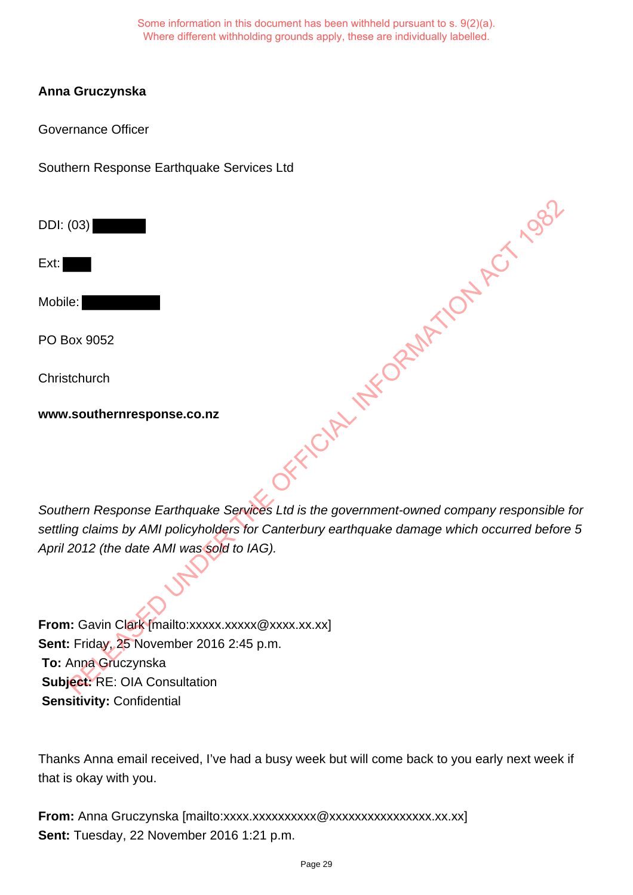# **Anna Gruczynska**

Governance Officer

Southern Response Earthquake Services Ltd

DDI: (03)

Ext:

Mobile:

PO Box 9052

**Christchurch** 

**www.southernresponse.co.nz**

Southern Response Earthquake Services Ltd is the government-owned company responsible for settling claims by AMI policyholders for Canterbury earthquake damage which occurred before 5 April 2012 (the date AMI was sold to IAG). CRELINGTORINATION ACT 1982

From: Gavin Clark [mailto:xxxxx.xxxxx @xxxx.xx.xx] **Sent:** Friday, 25 November 2016 2:45 p.m. **To:** Anna Gruczynska **Subject:** RE: OIA Consultation **Sensitivity:** Confidential

Thanks Anna email received, I've had a busy week but will come back to you early next week if that is okay with you.

From: Anna Gruczynska [mailto:xxxx.xxxxxxxxxxxxxxxxxxxxxxxxxxx.xx.xx] **Sent:** Tuesday, 22 November 2016 1:21 p.m.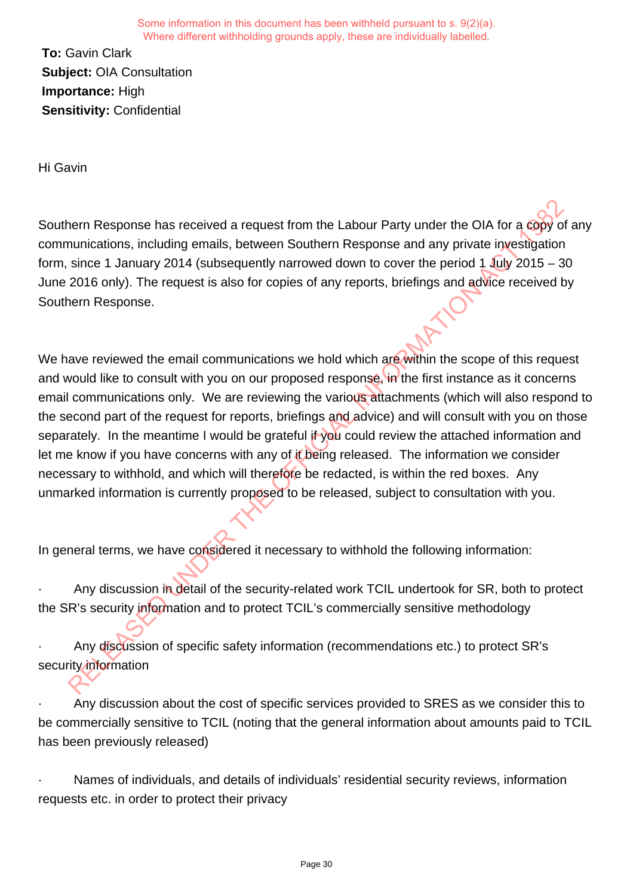**To:** Gavin Clark **Subject:** OIA Consultation **Importance:** High **Sensitivity:** Confidential

Hi Gavin

Southern Response has received a request from the Labour Party under the OIA for a copy of any communications, including emails, between Southern Response and any private investigation form, since 1 January 2014 (subsequently narrowed down to cover the period 1 July 2015 – 30 June 2016 only). The request is also for copies of any reports, briefings and advice received by Southern Response.

We have reviewed the email communications we hold which are within the scope of this request and would like to consult with you on our proposed response, in the first instance as it concerns email communications only. We are reviewing the various attachments (which will also respond to the second part of the request for reports, briefings and advice) and will consult with you on those separately. In the meantime I would be grateful if you could review the attached information and let me know if you have concerns with any of it being released. The information we consider necessary to withhold, and which will therefore be redacted, is within the red boxes. Any unmarked information is currently proposed to be released, subject to consultation with you. nern Response has received a request from the Labour Party under the OIA for a copy<br>onunications, including emails, between Southern Response and any private investigation<br>since 1 January 2014 (subsequently narrowed down t

In general terms, we have considered it necessary to withhold the following information:

Any discussion in detail of the security-related work TCIL undertook for SR, both to protect the SR's security information and to protect TCIL's commercially sensitive methodology

· Any discussion of specific safety information (recommendations etc.) to protect SR's security information

· Any discussion about the cost of specific services provided to SRES as we consider this to be commercially sensitive to TCIL (noting that the general information about amounts paid to TCIL has been previously released)

Names of individuals, and details of individuals' residential security reviews, information requests etc. in order to protect their privacy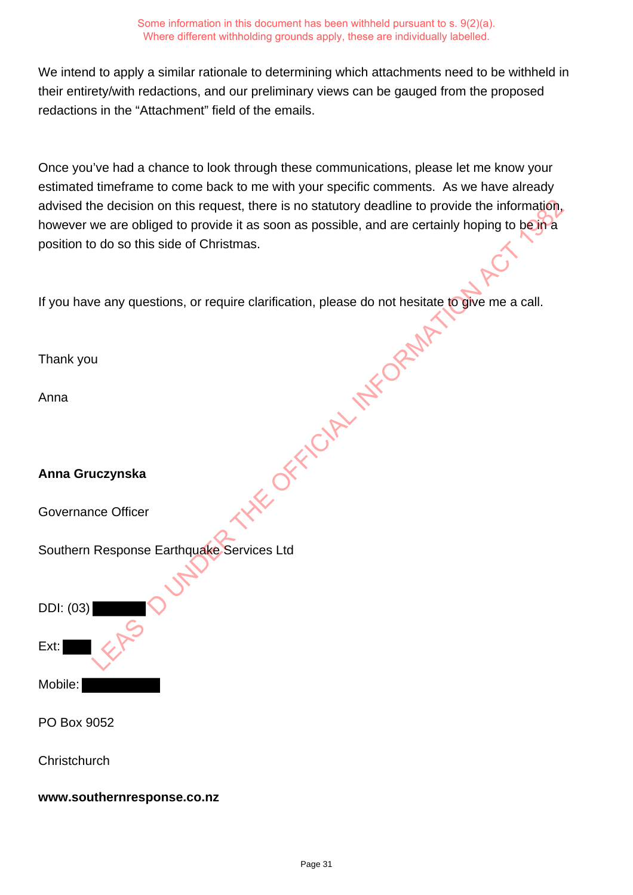We intend to apply a similar rationale to determining which attachments need to be withheld in their entirety/with redactions, and our preliminary views can be gauged from the proposed redactions in the "Attachment" field of the emails.

Once you've had a chance to look through these communications, please let me know your estimated timeframe to come back to me with your specific comments. As we have already advised the decision on this request, there is no statutory deadline to provide the information, however we are obliged to provide it as soon as possible, and are certainly hoping to be in a position to do so this side of Christmas.

If you have any questions, or require clarification, please do not hesitate to give me a call.

Thank you Anna **Anna Gruczynska** Governance Officer Southern Response Earthquake Services Ltd DDI: (03) Ext: Mobile: PO Box 9052 LE OFFICIAL INFORMATION

**www.southernresponse.co.nz**

**Christchurch**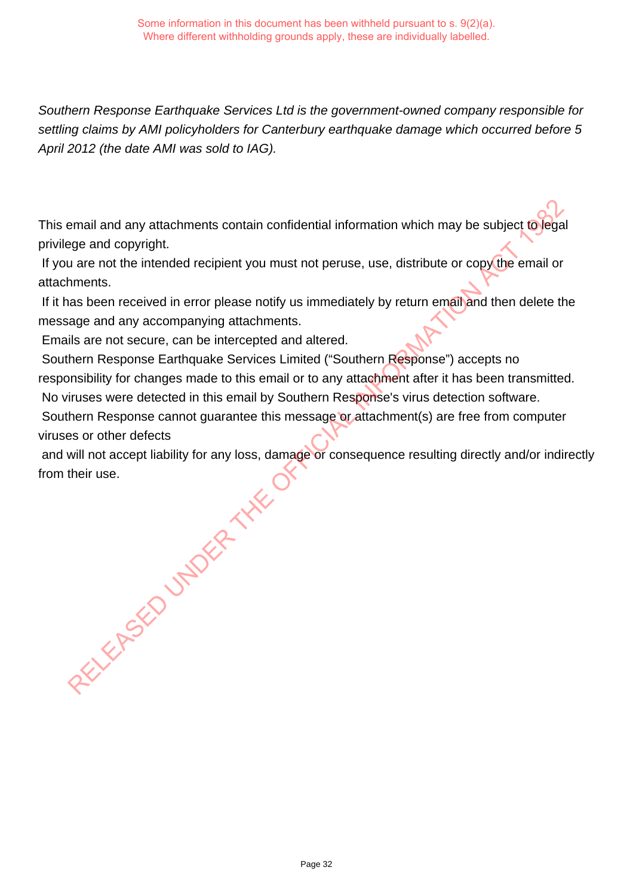Southern Response Earthquake Services Ltd is the government-owned company responsible for settling claims by AMI policyholders for Canterbury earthquake damage which occurred before 5 April 2012 (the date AMI was sold to IAG).

This email and any attachments contain confidential information which may be subject to legal privilege and copyright.

 If you are not the intended recipient you must not peruse, use, distribute or copy the email or attachments.

If it has been received in error please notify us immediately by return email and then delete the message and any accompanying attachments.

Emails are not secure, can be intercepted and altered.

 Southern Response Earthquake Services Limited ("Southern Response") accepts no responsibility for changes made to this email or to any attachment after it has been transmitted. No viruses were detected in this email by Southern Response's virus detection software.

 Southern Response cannot guarantee this message or attachment(s) are free from computer viruses or other defects

 and will not accept liability for any loss, damage or consequence resulting directly and/or indirectly from their use. RELEASED UNDER THE

Page 32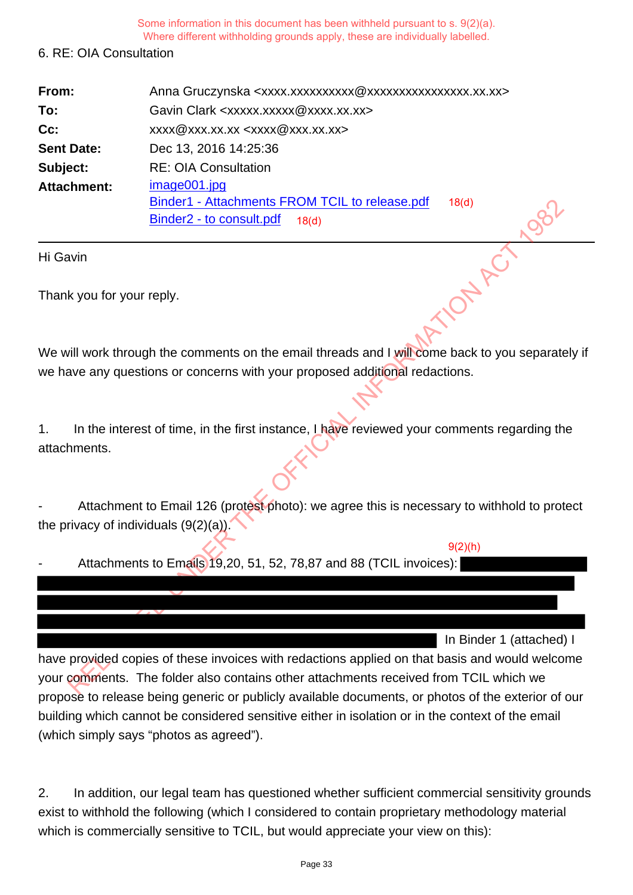Some information in this document has been withheld pursuant to s. 9(2)(a).

Where different withholding grounds apply, these are individually labelled.

# 6. RE: OIA Consultation

| From:                     | Anna Gruczynska <xxxx.xxxxxxxxxxx @xxxxxxxxxxxxxxxx.xx.xx=""></xxxx.xxxxxxxxxxx>                             |
|---------------------------|--------------------------------------------------------------------------------------------------------------|
| To:                       | Gavin Clark <xxxxx.xxxxx@xxxx.xx.xx></xxxxx.xxxxx@xxxx.xx.xx>                                                |
| $Cc$ :                    | xxxx@xxx.xx.xx <xxxx@xxx.xx.xx></xxxx@xxx.xx.xx>                                                             |
| <b>Sent Date:</b>         | Dec 13, 2016 14:25:36                                                                                        |
| Subject:                  | <b>RE: OIA Consultation</b>                                                                                  |
| <b>Attachment:</b>        | image001.jpg<br>Binder1 - Attachments FROM TCIL to release.pdf<br>18(d)<br>Binder2 - to consult.pdf<br>18(d) |
| Hi Gavin                  |                                                                                                              |
| Thank you for your reply. |                                                                                                              |

We will work through the comments on the email threads and I will come back to you separately if we have any questions or concerns with your proposed additional redactions.

1. In the interest of time, in the first instance, I have reviewed your comments regarding the attachments.

Attachment to Email 126 (protest photo): we agree this is necessary to withhold to protect the privacy of individuals  $(9(2)(a))$ .

Attachments to Emails 19,20, 51, 52, 78,87 and 88 (TCIL invoices):

In Binder 1 (attached) I

 $9(2)(h)$ 

have provided copies of these invoices with redactions applied on that basis and would welcome your comments. The folder also contains other attachments received from TCIL which we propose to release being generic or publicly available documents, or photos of the exterior of our building which cannot be considered sensitive either in isolation or in the context of the email (which simply says "photos as agreed"). Binder? - Attachments FROM ICIL to release.pdf<br>
Winder Binder2 - to consult,pdf<br>
Next through the comments on the email threads and I will come back to you separate<br>
Will work through the comments on the email threads and

2. In addition, our legal team has questioned whether sufficient commercial sensitivity grounds exist to withhold the following (which I considered to contain proprietary methodology material which is commercially sensitive to TCIL, but would appreciate your view on this):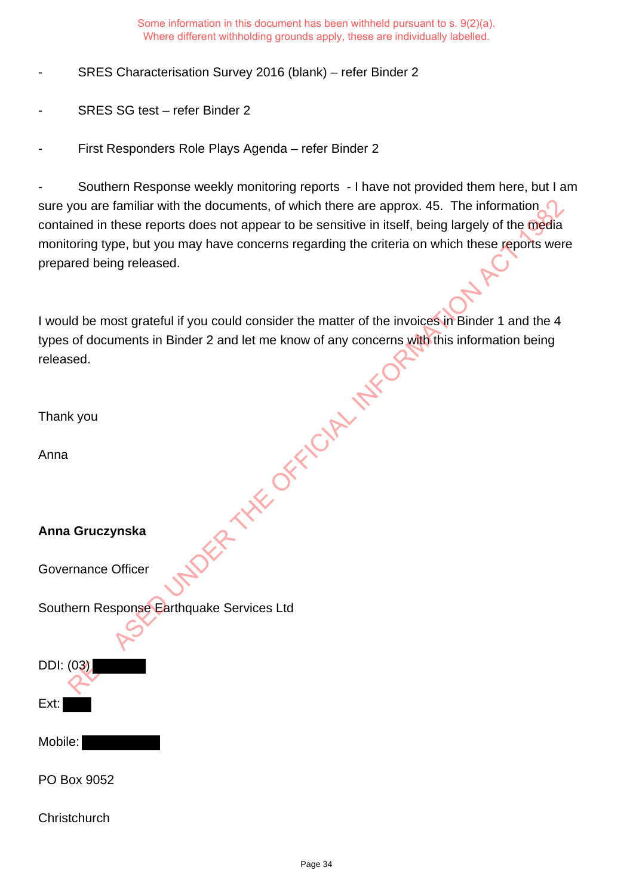SRES Characterisation Survey 2016 (blank) – refer Binder 2

- SRES SG test refer Binder 2
- First Responders Role Plays Agenda refer Binder 2

Southern Response weekly monitoring reports - I have not provided them here, but I am sure you are familiar with the documents, of which there are approx. 45. The information contained in these reports does not appear to be sensitive in itself, being largely of the media monitoring type, but you may have concerns regarding the criteria on which these reports were prepared being released.

I would be most grateful if you could consider the matter of the invoices in Binder 1 and the 4 types of documents in Binder 2 and let me know of any concerns with this information being released. **PER THE OFFICIAL INFORMATION** 

Thank you

Anna

## **Anna Gruczynska**

Governance Officer

Southern Response Earthquake Services Ltd

DDI: (03)

Mobile:

Ext:

PO Box 9052

**Christchurch**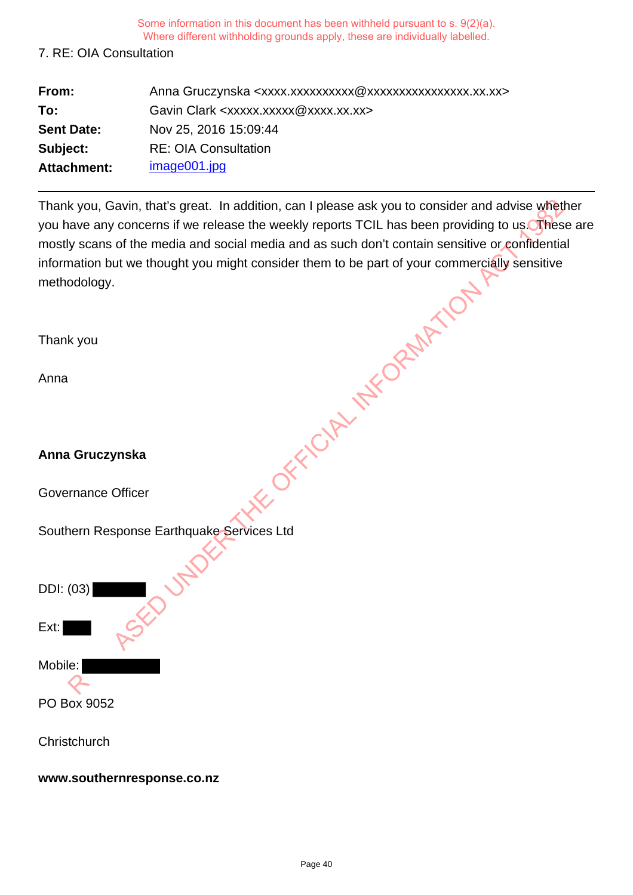### 7. RE: OIA Consultation

| From:             | Anna Gruczynska <xxxx.xxxxxxxxxxx @xxxxxxxxxxxxxxxx.xx.xx=""></xxxx.xxxxxxxxxxx> |
|-------------------|----------------------------------------------------------------------------------|
| To:               | Gavin Clark <xxxxx.xxxxx @xxxx.xx.xx=""></xxxxx.xxxxx>                           |
| <b>Sent Date:</b> | Nov 25, 2016 15:09:44                                                            |
| Subject:          | <b>RE: OIA Consultation</b>                                                      |
| Attachment:       | image001.jpg                                                                     |

Thank you, Gavin, that's great. In addition, can I please ask you to consider and advise whether you have any concerns if we release the weekly reports TCIL has been providing to us. These are mostly scans of the media and social media and as such don't contain sensitive or confidential information but we thought you might consider them to be part of your commercially sensitive methodology.

| Thank you, Gavin, that's great. In addition, can I please ask you to consider and advise whet<br>you have any concerns if we release the weekly reports TCIL has been providing to us. Thes<br>mostly scans of the media and social media and as such don't contain sensitive or confidentia |
|----------------------------------------------------------------------------------------------------------------------------------------------------------------------------------------------------------------------------------------------------------------------------------------------|
| information but we thought you might consider them to be part of your commercially sensitive<br>methodology.                                                                                                                                                                                 |
|                                                                                                                                                                                                                                                                                              |
| Thank you                                                                                                                                                                                                                                                                                    |
| Anna                                                                                                                                                                                                                                                                                         |
|                                                                                                                                                                                                                                                                                              |
| Anna Gruczynska                                                                                                                                                                                                                                                                              |
| OFFICIAL METOPAULA<br><b>Governance Officer</b>                                                                                                                                                                                                                                              |
| Southern Response Earthquake Services Ltd                                                                                                                                                                                                                                                    |
| DDI: (03)                                                                                                                                                                                                                                                                                    |
| Ext:                                                                                                                                                                                                                                                                                         |
| Mobile:                                                                                                                                                                                                                                                                                      |
| PO Box 9052                                                                                                                                                                                                                                                                                  |
| Christchurch                                                                                                                                                                                                                                                                                 |

**www.southernresponse.co.nz**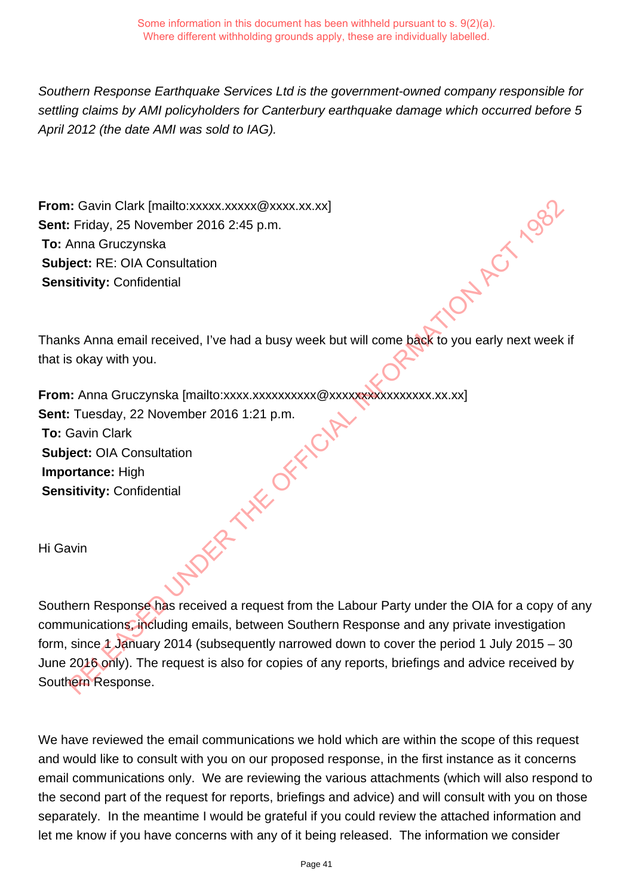Southern Response Earthquake Services Ltd is the government-owned company responsible for settling claims by AMI policyholders for Canterbury earthquake damage which occurred before 5 April 2012 (the date AMI was sold to IAG).

**From:** Gavin Clark [mailto:xxxxx.xxxxx @xxxx.xx.xx] **Sent:** Friday, 25 November 2016 2:45 p.m. **To:** Anna Gruczynska **Subject:** RE: OIA Consultation **Sensitivity:** Confidential

Thanks Anna email received, I've had a busy week but will come back to you early next week if that is okay with you.

**From:** Anna Gruczynska [mailto:xxxx.xxxxxxxxxxx @xxxxxxxxxxxxxxxx.xx.xx] **Sent:** Tuesday, 22 November 2016 1:21 p.m. **To:** Gavin Clark **Subject:** OIA Consultation **Importance:** High **Sensitivity:** Confidential RELEASED UNDER THE OFFICIAL INFORMATION ACT 1982

Hi Gavin

Southern Response has received a request from the Labour Party under the OIA for a copy of any communications, including emails, between Southern Response and any private investigation form, since  $\lambda$  January 2014 (subsequently narrowed down to cover the period 1 July 2015 – 30 June 2016 only). The request is also for copies of any reports, briefings and advice received by Southern Response.

We have reviewed the email communications we hold which are within the scope of this request and would like to consult with you on our proposed response, in the first instance as it concerns email communications only. We are reviewing the various attachments (which will also respond to the second part of the request for reports, briefings and advice) and will consult with you on those separately. In the meantime I would be grateful if you could review the attached information and let me know if you have concerns with any of it being released. The information we consider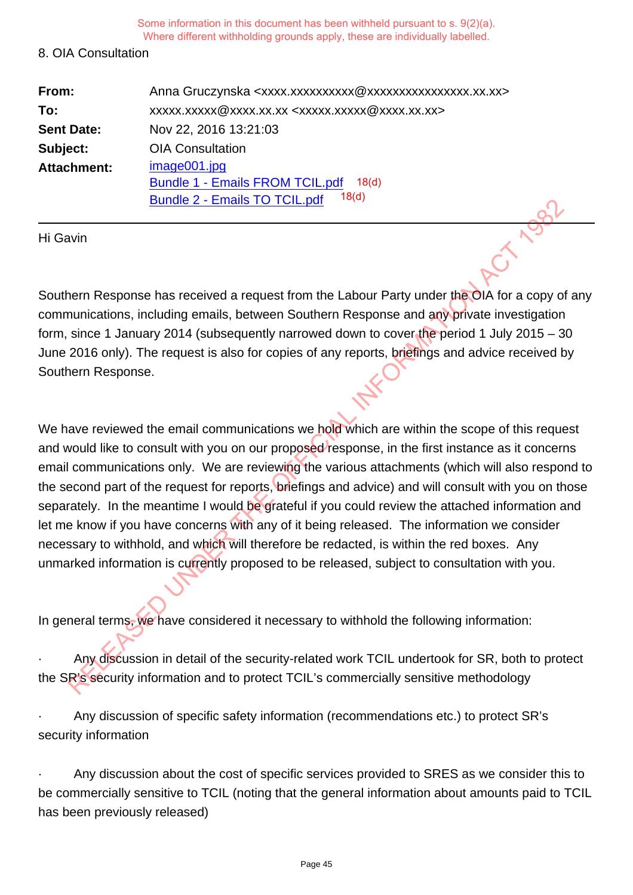#### 8. OIA Consultation

| From:              | Anna Gruczynska <xxxx.xxxxxxxxxxxxxxxxxxxxxxxxxx.xx.xx></xxxx.xxxxxxxxxxxxxxxxxxxxxxxxxx.xx.xx> |
|--------------------|-------------------------------------------------------------------------------------------------|
| To:                | xxxxx.xxxx@xxxx.xx.xx <xxxxx.xxxxx@xxxx.xx.xx></xxxxx.xxxxx@xxxx.xx.xx>                         |
| <b>Sent Date:</b>  | Nov 22, 2016 13:21:03                                                                           |
| Subject:           | <b>OIA Consultation</b>                                                                         |
| <b>Attachment:</b> | image001.jpg                                                                                    |
|                    | <b>Bundle 1 - Emails FROM TCIL.pdf</b><br>18 <sub>d</sub>                                       |
|                    | 18 <sub>(d)</sub><br><b>Bundle 2 - Emails TO TCIL.pdf</b>                                       |

Hi Gavin

Southern Response has received a request from the Labour Party under the OIA for a copy of any communications, including emails, between Southern Response and any private investigation form, since 1 January 2014 (subsequently narrowed down to cover the period 1 July 2015 – 30 June 2016 only). The request is also for copies of any reports, briefings and advice received by Southern Response.

We have reviewed the email communications we hold which are within the scope of this request and would like to consult with you on our proposed response, in the first instance as it concerns email communications only. We are reviewing the various attachments (which will also respond to the second part of the request for reports, briefings and advice) and will consult with you on those separately. In the meantime I would be grateful if you could review the attached information and let me know if you have concerns with any of it being released. The information we consider necessary to withhold, and which will therefore be redacted, is within the red boxes. Any unmarked information is currently proposed to be released, subject to consultation with you. Burious 2 - Emialis TOTTCIL....pdf<br>
New York Content Content Content Content Content Content Content Content Content<br>
New York Content Content Content Content Content Content Content Content Content<br>
Significal Information

In general terms, we have considered it necessary to withhold the following information:

Any discussion in detail of the security-related work TCIL undertook for SR, both to protect the SR's security information and to protect TCIL's commercially sensitive methodology

· Any discussion of specific safety information (recommendations etc.) to protect SR's security information

Any discussion about the cost of specific services provided to SRES as we consider this to be commercially sensitive to TCIL (noting that the general information about amounts paid to TCIL has been previously released)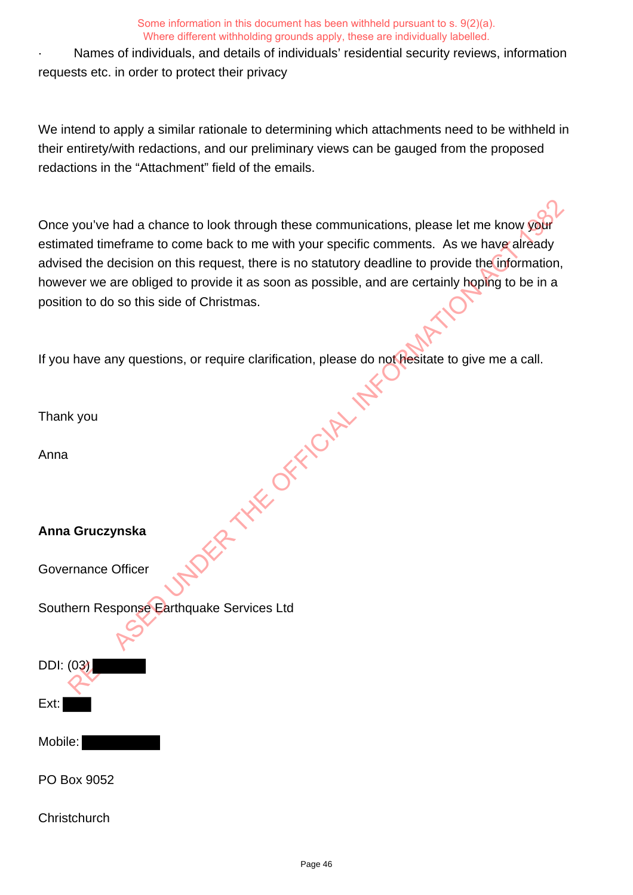Names of individuals, and details of individuals' residential security reviews, information requests etc. in order to protect their privacy

We intend to apply a similar rationale to determining which attachments need to be withheld in their entirety/with redactions, and our preliminary views can be gauged from the proposed redactions in the "Attachment" field of the emails.

Once you've had a chance to look through these communications, please let me know your estimated timeframe to come back to me with your specific comments. As we have already advised the decision on this request, there is no statutory deadline to provide the information, however we are obliged to provide it as soon as possible, and are certainly hoping to be in a position to do so this side of Christmas.

If you have any questions, or require clarification, please do not hesitate to give me a call. **PER THE OFFICIAL INFORMATION** 

Thank you

Anna

## **Anna Gruczynska**

Governance Officer

Southern Response Earthquake Services Ltd

DDI: (03)

Mobile:

Ext:

PO Box 9052

**Christchurch**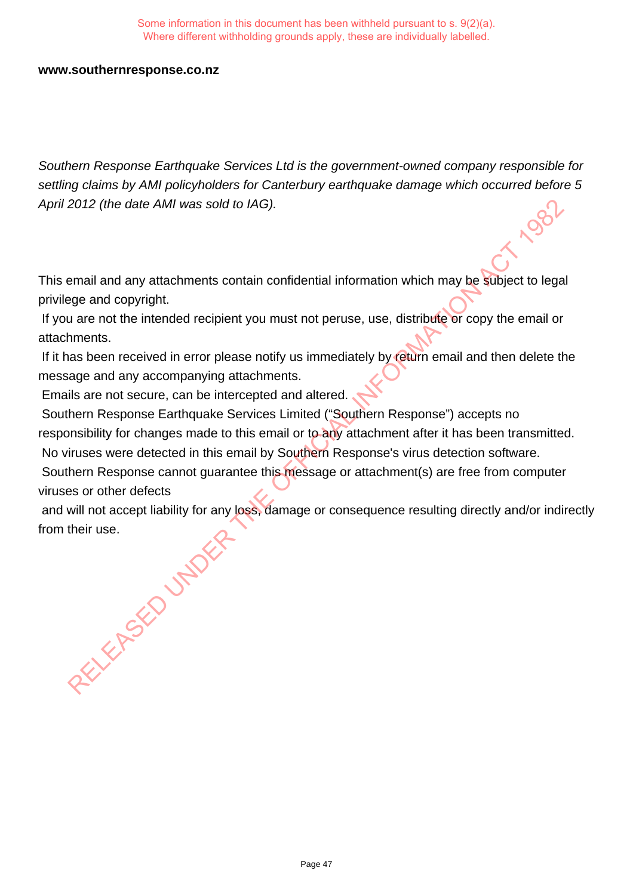#### **www.southernresponse.co.nz**

Southern Response Earthquake Services Ltd is the government-owned company responsible for settling claims by AMI policyholders for Canterbury earthquake damage which occurred before 5 April 2012 (the date AMI was sold to IAG).

This email and any attachments contain confidential information which may be subject to legal privilege and copyright.

 If you are not the intended recipient you must not peruse, use, distribute or copy the email or attachments.

 If it has been received in error please notify us immediately by return email and then delete the message and any accompanying attachments.

Emails are not secure, can be intercepted and altered.

 Southern Response Earthquake Services Limited ("Southern Response") accepts no responsibility for changes made to this email or to any attachment after it has been transmitted. No viruses were detected in this email by Southern Response's virus detection software.

 Southern Response cannot guarantee this message or attachment(s) are free from computer viruses or other defects

 and will not accept liability for any loss, damage or consequence resulting directly and/or indirectly from their use. RELEASED UNDER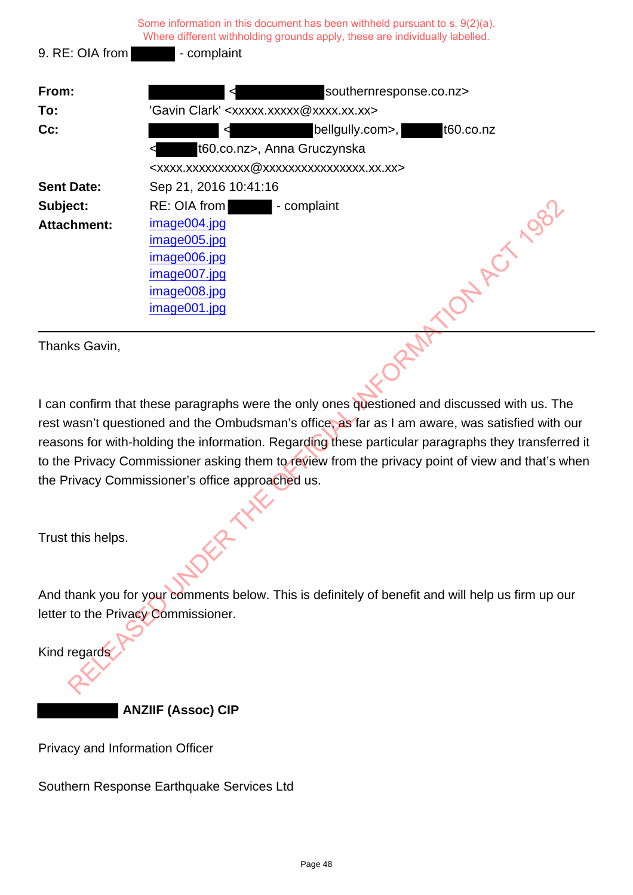|                                                                                                     | Some information in this document has been withheld pursuant to s. 9(2)(a).<br>Where different withholding grounds apply, these are individually labelled. |  |
|-----------------------------------------------------------------------------------------------------|------------------------------------------------------------------------------------------------------------------------------------------------------------|--|
| 9. RE: OIA from                                                                                     | - complaint                                                                                                                                                |  |
| From:                                                                                               | southernresponse.co.nz>                                                                                                                                    |  |
| To:                                                                                                 | 'Gavin Clark' <xxxxx.xxxxx@xxxx.xx.xx></xxxxx.xxxxx@xxxx.xx.xx>                                                                                            |  |
| Cc:                                                                                                 | t60.co.nz<br>beligully.com>,                                                                                                                               |  |
|                                                                                                     | t60.co.nz>, Anna Gruczynska                                                                                                                                |  |
|                                                                                                     | <xxxx.xxxxxxxxxx @xxxxxxxxxxxxxxxx.xx.xx=""></xxxx.xxxxxxxxxx>                                                                                             |  |
| <b>Sent Date:</b>                                                                                   | Sep 21, 2016 10:41:16                                                                                                                                      |  |
| Subject:                                                                                            | RE: OIA from<br>- complaint                                                                                                                                |  |
| <b>Attachment:</b>                                                                                  | image004.jpg                                                                                                                                               |  |
|                                                                                                     | A ACT 1982<br>image005.jpg                                                                                                                                 |  |
|                                                                                                     | image006.jpg                                                                                                                                               |  |
|                                                                                                     | image007.jpg                                                                                                                                               |  |
|                                                                                                     | image008.jpg                                                                                                                                               |  |
|                                                                                                     | image001.jpg                                                                                                                                               |  |
| Thanks Gavin,                                                                                       |                                                                                                                                                            |  |
|                                                                                                     | I can confirm that these paragraphs were the only ones questioned and discussed with us. The                                                               |  |
| rest wasn't questioned and the Ombudsman's office, as far as I am aware, was satisfied with our     |                                                                                                                                                            |  |
| reasons for with-holding the information. Regarding these particular paragraphs they transferred it |                                                                                                                                                            |  |
| to the Privacy Commissioner asking them to review from the privacy point of view and that's when    |                                                                                                                                                            |  |
| the Privacy Commissioner's office approached us.                                                    |                                                                                                                                                            |  |
|                                                                                                     |                                                                                                                                                            |  |
| Trust this helps.                                                                                   |                                                                                                                                                            |  |
|                                                                                                     | And thank you for your comments below. This is definitely of benefit and will help us firm up our                                                          |  |
| letter to the Privacy Commissioner.                                                                 |                                                                                                                                                            |  |
|                                                                                                     |                                                                                                                                                            |  |
| Kind regards                                                                                        |                                                                                                                                                            |  |
|                                                                                                     |                                                                                                                                                            |  |

 **ANZIIF (Assoc) CIP**

Privacy and Information Officer

Southern Response Earthquake Services Ltd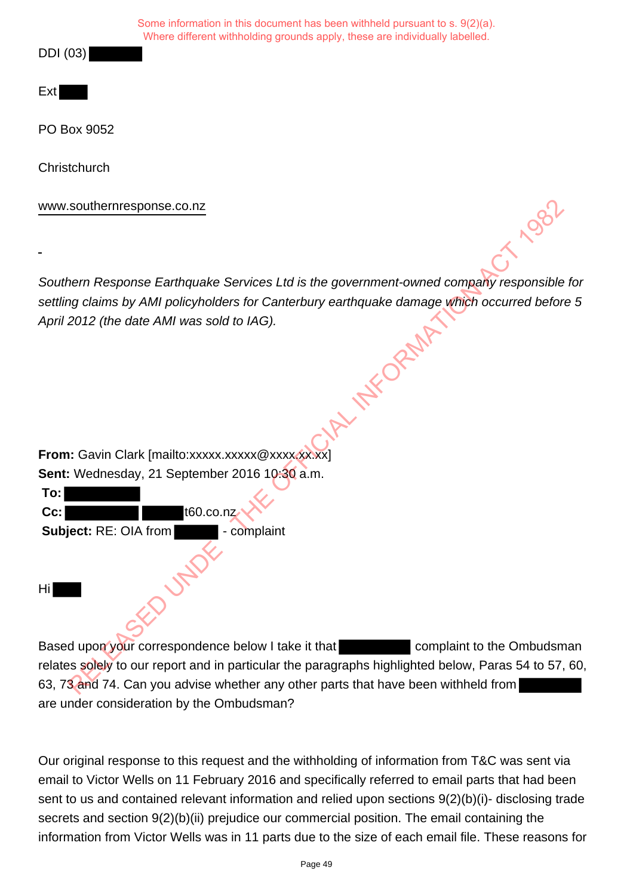DDI (03)

Ext

PO Box 9052

**Christchurch** 

www.southernresponse.co.nz

Southern Response Earthquake Services Ltd is the government-owned company responsible for settling claims by AMI policyholders for Canterbury earthquake damage which occurred before 5<br>April 2012 (the date AMI was sold to IAG). April 2012 (the date AMI was sold to IAG).

**From:** Gavin Clark [mailto:xxxxx.xxxxx @xxxxxxxxxxx] **Sent:** Wednesday, 21 September 2016 10:30 a.m.

| To:                   |             |
|-----------------------|-------------|
| Cc:                   | t60.co.nz   |
| Subject: RE: OIA from | - complaint |
| Hi                    |             |

Based upon your correspondence below I take it that complaint to the Ombudsman relates solely to our report and in particular the paragraphs highlighted below, Paras 54 to 57, 60, 63, 73 and 74. Can you advise whether any other parts that have been withheld from are under consideration by the Ombudsman? Southernresponse.co.nz<br>
Near Response Earthquake Services Ltd is the government-owned company responsible<br>
Relations by AMI policyholders for Canterbury earthquake damage which occurred before<br>
2012 (the date AMI was sold

Our original response to this request and the withholding of information from T&C was sent via email to Victor Wells on 11 February 2016 and specifically referred to email parts that had been sent to us and contained relevant information and relied upon sections 9(2)(b)(i)- disclosing trade secrets and section 9(2)(b)(ii) prejudice our commercial position. The email containing the information from Victor Wells was in 11 parts due to the size of each email file. These reasons for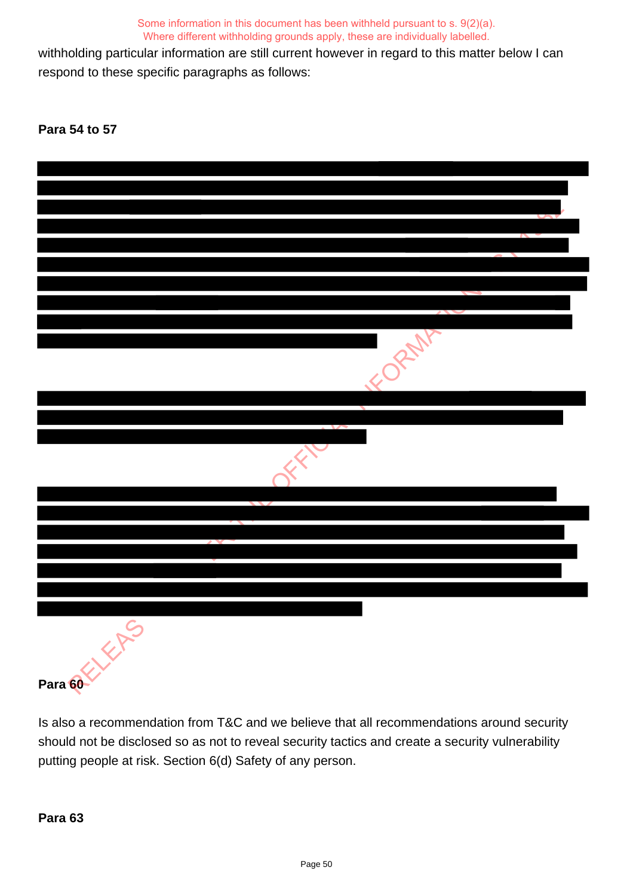withholding particular information are still current however in regard to this matter below I can respond to these specific paragraphs as follows:

**Para 54 to 57**



Is also a recommendation from T&C and we believe that all recommendations around security should not be disclosed so as not to reveal security tactics and create a security vulnerability putting people at risk. Section 6(d) Safety of any person.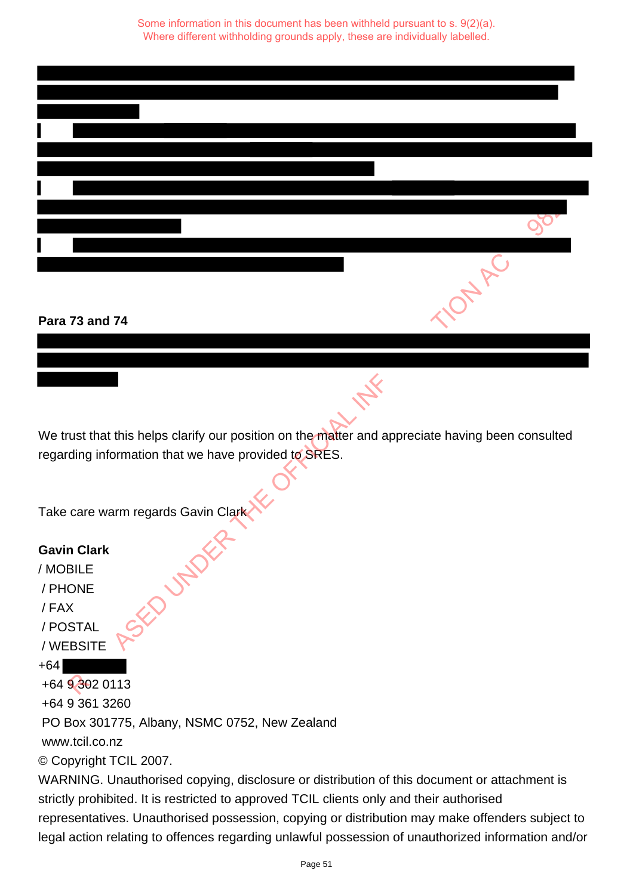|                                                                                                  | mARC |
|--------------------------------------------------------------------------------------------------|------|
|                                                                                                  |      |
| Para 73 and 74                                                                                   |      |
|                                                                                                  |      |
|                                                                                                  |      |
|                                                                                                  |      |
|                                                                                                  |      |
| We trust that this helps clarify our position on the matter and appreciate having been consulted |      |
| regarding information that we have provided to SRES.                                             |      |
|                                                                                                  |      |
|                                                                                                  |      |
| Take care warm regards Gavin Clark                                                               |      |
|                                                                                                  |      |
| <b>Gavin Clark</b>                                                                               |      |
| / MOBILE                                                                                         |      |
| / PHONE                                                                                          |      |
| SED UNDER<br>/FAX                                                                                |      |
| / POSTAL                                                                                         |      |
| / WEBSITE                                                                                        |      |
| $+64$                                                                                            |      |
| +64 9 302 0113                                                                                   |      |

## **Para 73 and 74**

## **Gavin Clark**

/ MOBILE / PHONE / FAX / POSTAL / WEBSITE +64 +64 9 302 0113 +64 9 361 3260 PO Box 301775, Albany, NSMC 0752, New Zealand www.tcil.co.nz © Copyright TCIL 2007.

WARNING. Unauthorised copying, disclosure or distribution of this document or attachment is strictly prohibited. It is restricted to approved TCIL clients only and their authorised representatives. Unauthorised possession, copying or distribution may make offenders subject to legal action relating to offences regarding unlawful possession of unauthorized information and/or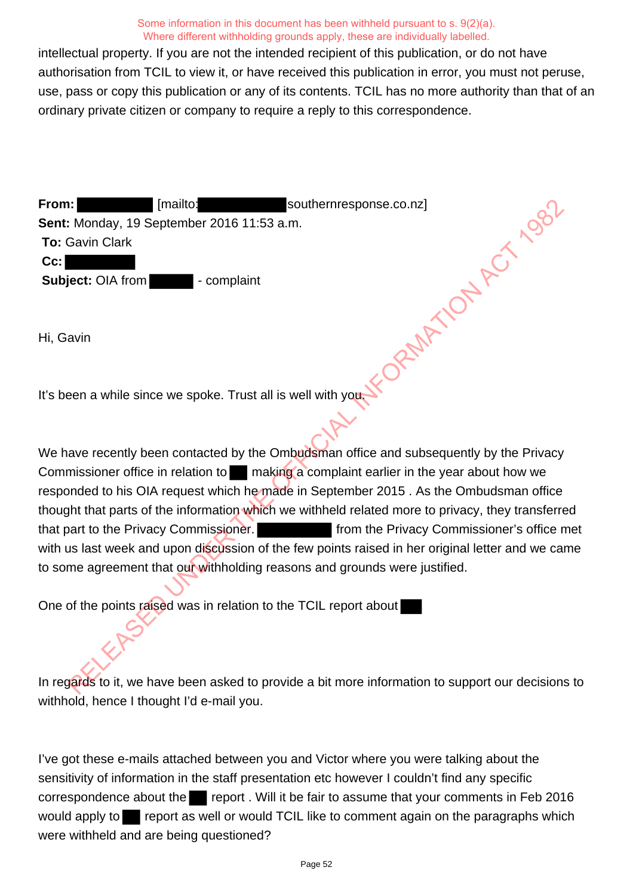intellectual property. If you are not the intended recipient of this publication, or do not have authorisation from TCIL to view it, or have received this publication in error, you must not peruse, use, pass or copy this publication or any of its contents. TCIL has no more authority than that of an ordinary private citizen or company to require a reply to this correspondence.

**From:** [mailto: southernresponse.co.nz] **Sent:** Monday, 19 September 2016 11:53 a.m. **To:** Gavin Clark **Cc: Subject:** OIA from **- complaint** 

Hi, Gavin

It's been a while since we spoke. Trust all is well with you.

We have recently been contacted by the Ombudsman office and subsequently by the Privacy Commissioner office in relation to making a complaint earlier in the year about how we responded to his OIA request which he made in September 2015 . As the Ombudsman office thought that parts of the information which we withheld related more to privacy, they transferred that part to the Privacy Commissioner. **From the Privacy Commissioner's office met** with us last week and upon discussion of the few points raised in her original letter and we came to some agreement that our withholding reasons and grounds were justified. Frankline Southernresponse.co.nz]<br>
Savin Clark<br>
Savin Clark<br>
Savin Clark<br>
Savin Clark<br>
Savin Clark<br>
Savin Clark<br>
Act: OIA from<br>
The complaint<br>
Action Complaint<br>
Action Act and Subsequently by the Privacy<br>
The Complaint exa

One of the points raised was in relation to the TCIL report about

In regards to it, we have been asked to provide a bit more information to support our decisions to withhold, hence I thought I'd e-mail you.

I've got these e-mails attached between you and Victor where you were talking about the sensitivity of information in the staff presentation etc however I couldn't find any specific correspondence about the report. Will it be fair to assume that your comments in Feb 2016 would apply to report as well or would TCIL like to comment again on the paragraphs which were withheld and are being questioned?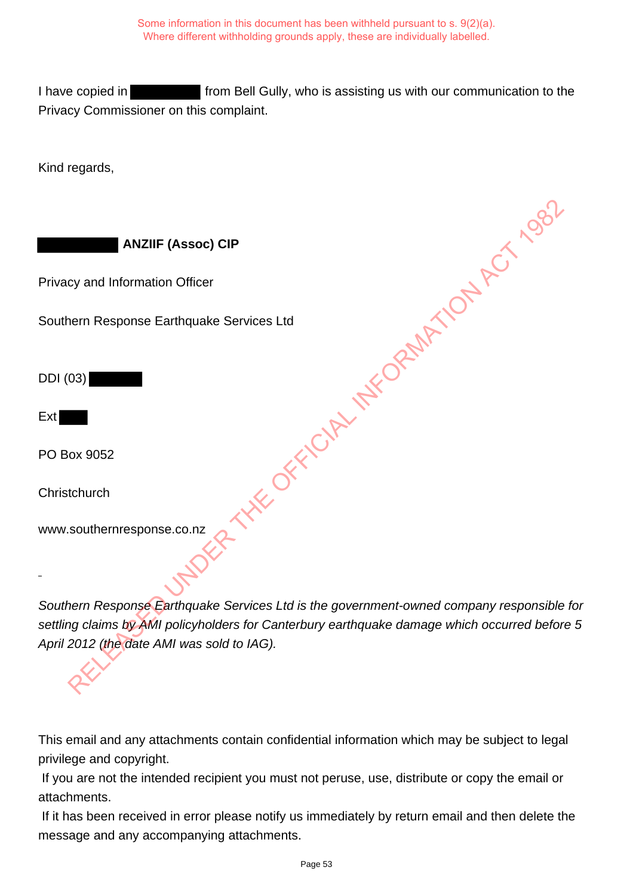I have copied in **From Bell Gully, who is assisting us with our communication to the** Privacy Commissioner on this complaint.

Kind regards,

 **ANZIIF (Assoc) CIP**

Privacy and Information Officer

Southern Response Earthquake Services Ltd

DDI (03)

Ext

PO Box 9052

**Christchurch** 

www.southernresponse.co.nz

Southern Response Earthquake Services Ltd is the government-owned company responsible for settling claims by AMI policyholders for Canterbury earthquake damage which occurred before 5 April 2012 (the date AMI was sold to IAG). USING THE OFFICIAL INFORMATION ACT 1982

This email and any attachments contain confidential information which may be subject to legal privilege and copyright.

 If you are not the intended recipient you must not peruse, use, distribute or copy the email or attachments.

 If it has been received in error please notify us immediately by return email and then delete the message and any accompanying attachments.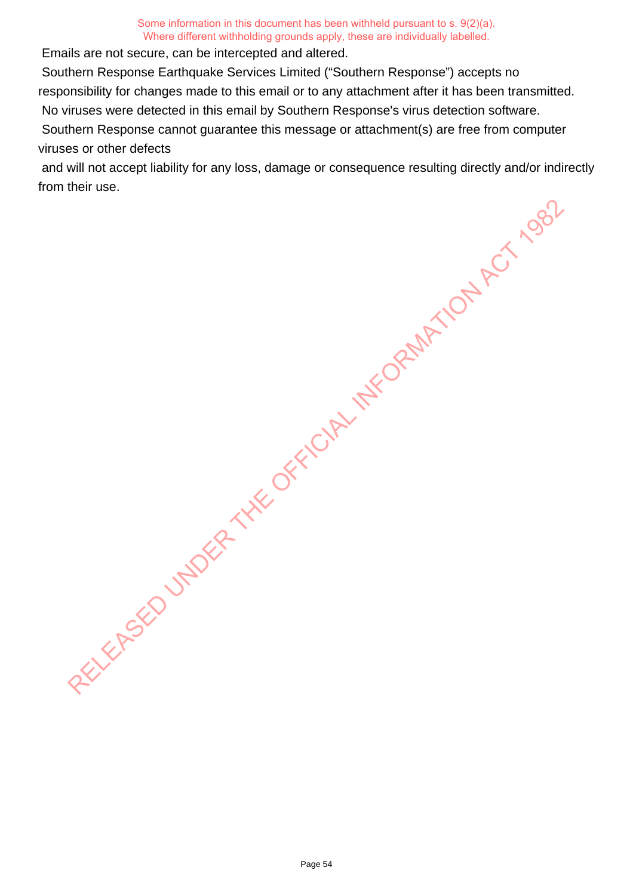Emails are not secure, can be intercepted and altered.

Southern Response Earthquake Services Limited ("Southern Response") accepts no

responsibility for changes made to this email or to any attachment after it has been transmitted.

No viruses were detected in this email by Southern Response's virus detection software.

 Southern Response cannot guarantee this message or attachment(s) are free from computer viruses or other defects

 and will not accept liability for any loss, damage or consequence resulting directly and/or indirectly from their use.

RELEASED UNDER THE OFFICIAL INFORMATION ACT 1982

Page 54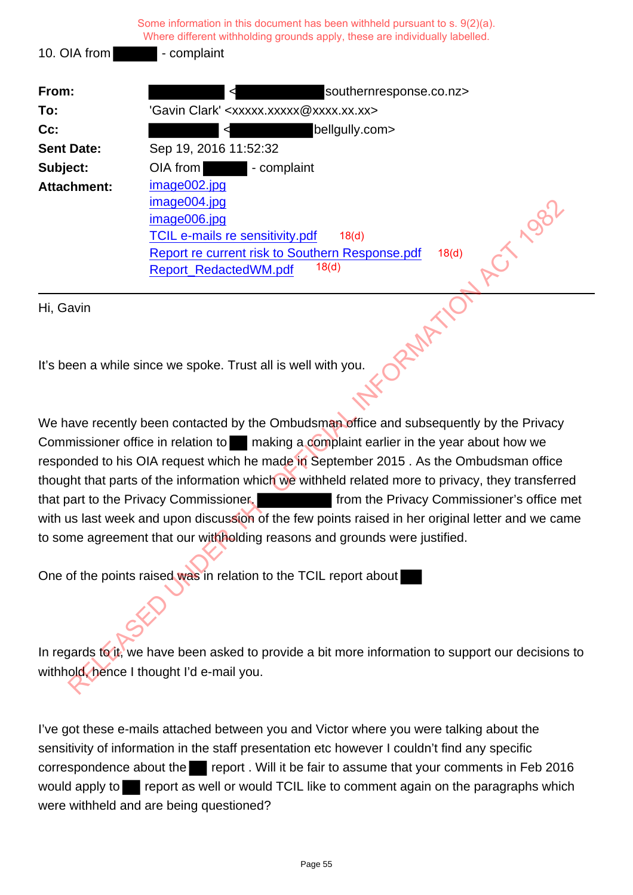|                    | Some information in this document has been withheld pursuant to $s. 9(2)(a)$ .<br>Where different withholding grounds apply, these are individually labelled. |
|--------------------|---------------------------------------------------------------------------------------------------------------------------------------------------------------|
| 10. OIA from       | - complaint                                                                                                                                                   |
| From:              | southernresponse.co.nz>                                                                                                                                       |
| To:                | 'Gavin Clark' <xxxxx.xxxxx@xxxx.xx.xx></xxxxx.xxxxx@xxxx.xx.xx>                                                                                               |
| $Cc$ :             | beligully.com><br>⊲                                                                                                                                           |
| <b>Sent Date:</b>  | Sep 19, 2016 11:52:32                                                                                                                                         |
| Subject:           | OIA from complaint                                                                                                                                            |
| <b>Attachment:</b> | image002.jpg                                                                                                                                                  |
|                    | image004.jpg                                                                                                                                                  |
|                    | $\mathcal{S}^{\mathcal{C}'}$<br>image006.jpg                                                                                                                  |
|                    | <b>TCIL e-mails re sensitivity.pdf</b><br>18 <sub>(d)</sub>                                                                                                   |
|                    | Report re current risk to Southern Response.pdf<br>18(d)                                                                                                      |
|                    | 18 <sub>(d)</sub><br>Report_RedactedWM.pdf                                                                                                                    |
|                    |                                                                                                                                                               |

Hi, Gavin

It's been a while since we spoke. Trust all is well with you.

We have recently been contacted by the Ombudsman office and subsequently by the Privacy Commissioner office in relation to making a complaint earlier in the year about how we responded to his OIA request which he made in September 2015 . As the Ombudsman office thought that parts of the information which we withheld related more to privacy, they transferred that part to the Privacy Commissioner. **From the Privacy Commissioner's office met** with us last week and upon discussion of the few points raised in her original letter and we came to some agreement that our withholding reasons and grounds were justified. mage006.jpg<br>
image006.jpg<br>
TCIL e-mails re sensitivity.pdf<br>
Report re current risk to Southern Response.pdf<br>
Report RedactedWM.pdf<br>
Report RedactedWM.pdf<br>
avia<br>
avia<br>
avia<br>
avia<br>
avia<br>
avia<br>
avia<br>
avia<br>
avia<br>
avia<br>
avia<br>
a

One of the points raised was in relation to the TCIL report about

In regards to it, we have been asked to provide a bit more information to support our decisions to withhold, hence I thought I'd e-mail you.

I've got these e-mails attached between you and Victor where you were talking about the sensitivity of information in the staff presentation etc however I couldn't find any specific correspondence about the report. Will it be fair to assume that your comments in Feb 2016 would apply to report as well or would TCIL like to comment again on the paragraphs which were withheld and are being questioned?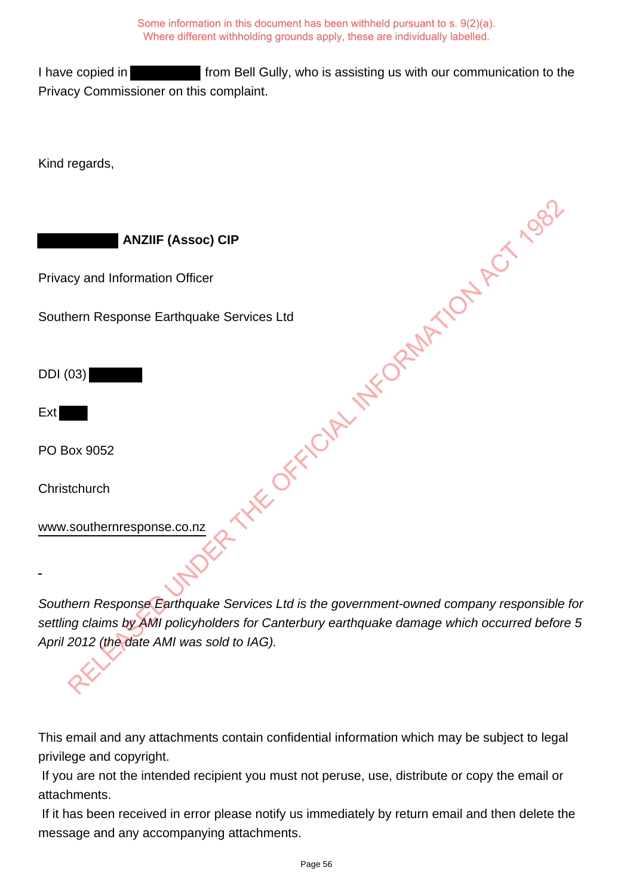I have copied in **From Bell Gully, who is assisting us with our communication to the** Privacy Commissioner on this complaint.

Kind regards,

 **ANZIIF (Assoc) CIP** Privacy and Information Officer Southern Response Earthquake Services Ltd DDI (03) Ext PO Box 9052 **Christchurch** www.southernresponse.co.nz RELEASED OF FICTING AND THE OPEN ATOM ACT 1982

Southern Response Earthquake Services Ltd is the government-owned company responsible for settling claims by AMI policyholders for Canterbury earthquake damage which occurred before 5 April 2012 (the date AMI was sold to IAG).

This email and any attachments contain confidential information which may be subject to legal privilege and copyright.

 If you are not the intended recipient you must not peruse, use, distribute or copy the email or attachments.

 If it has been received in error please notify us immediately by return email and then delete the message and any accompanying attachments.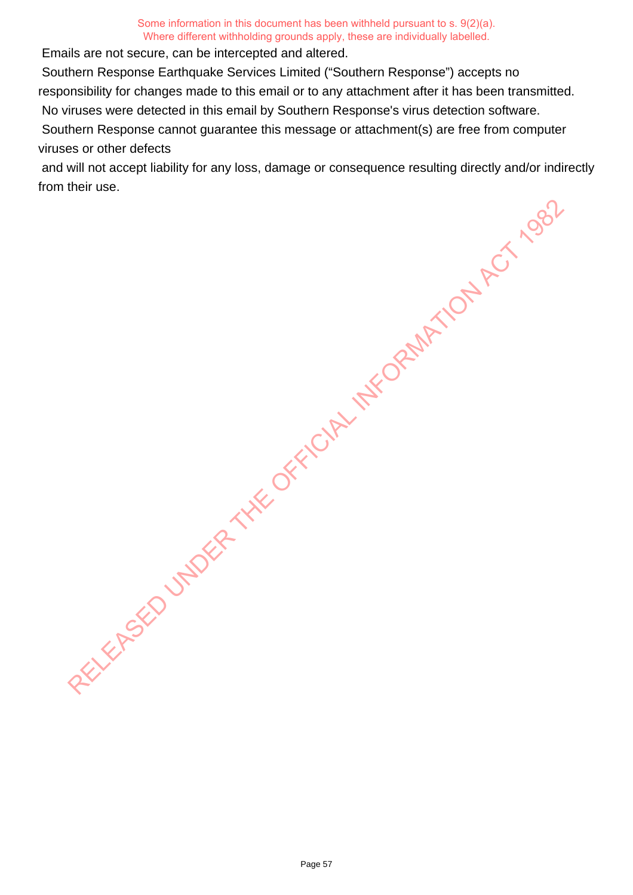Emails are not secure, can be intercepted and altered.

Southern Response Earthquake Services Limited ("Southern Response") accepts no

responsibility for changes made to this email or to any attachment after it has been transmitted.

No viruses were detected in this email by Southern Response's virus detection software.

 Southern Response cannot guarantee this message or attachment(s) are free from computer viruses or other defects

 and will not accept liability for any loss, damage or consequence resulting directly and/or indirectly from their use.

RELEASED UNDER THE OFFICIAL INFORMATION ACT 1982

Page 57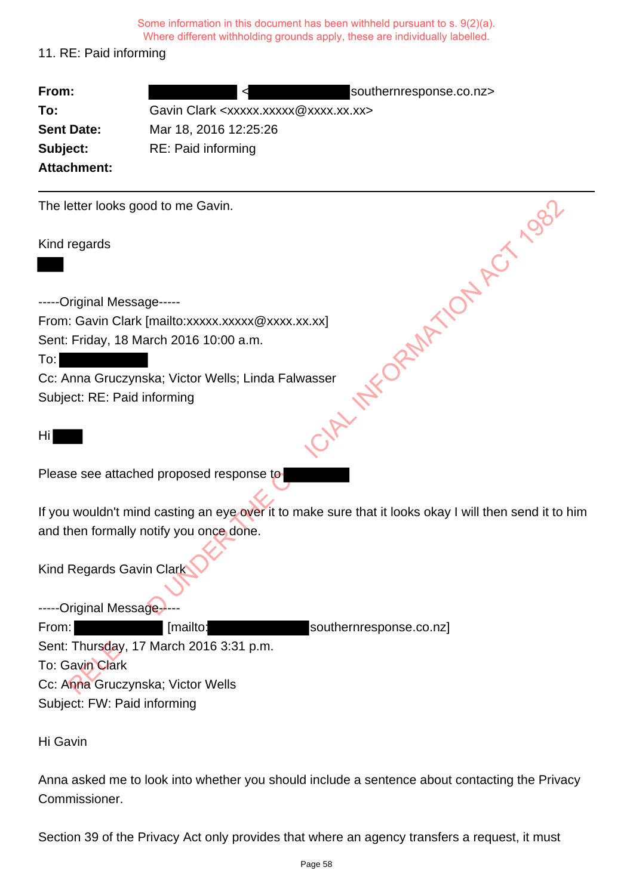# 11. RE: Paid informing

| From:                       | southernresponse.co.nz>                                                                                |
|-----------------------------|--------------------------------------------------------------------------------------------------------|
| To:                         | Gavin Clark <xxxxx.xxxxx@xxxx.xx.xx></xxxxx.xxxxx@xxxx.xx.xx>                                          |
| <b>Sent Date:</b>           | Mar 18, 2016 12:25:26                                                                                  |
| Subject:                    | RE: Paid informing                                                                                     |
| <b>Attachment:</b>          |                                                                                                        |
|                             | The letter looks good to me Gavin.                                                                     |
| Kind regards                | vasser INTVORMATION ACTION                                                                             |
| -----Original Message-----  |                                                                                                        |
|                             | From: Gavin Clark [mailto:xxxxx.xxxxx@xxxx.xx.xx]                                                      |
|                             | Sent: Friday, 18 March 2016 10:00 a.m.                                                                 |
| To:                         |                                                                                                        |
|                             | Cc: Anna Gruczynska; Victor Wells; Linda Falwasser                                                     |
| Subject: RE: Paid informing |                                                                                                        |
| Hi                          |                                                                                                        |
|                             | Please see attached proposed response to                                                               |
|                             | If you wouldn't mind casting an eye over it to make sure that it looks okay I will then send it to him |
|                             | and then formally notify you once done.                                                                |
| Kind Regards Gavin Clark    |                                                                                                        |
| -----Original Message-      |                                                                                                        |
| From:                       | [mailto:<br>southernresponse.co.nz]                                                                    |
|                             | Sent: Thursday, 17 March 2016 3:31 p.m.                                                                |
| To: Gavin Clark             |                                                                                                        |
|                             | Cc: Anna Gruczynska; Victor Wells                                                                      |
| Subject: FW: Paid informing |                                                                                                        |
| Hi Gavin                    |                                                                                                        |

Anna asked me to look into whether you should include a sentence about contacting the Privacy Commissioner.

Section 39 of the Privacy Act only provides that where an agency transfers a request, it must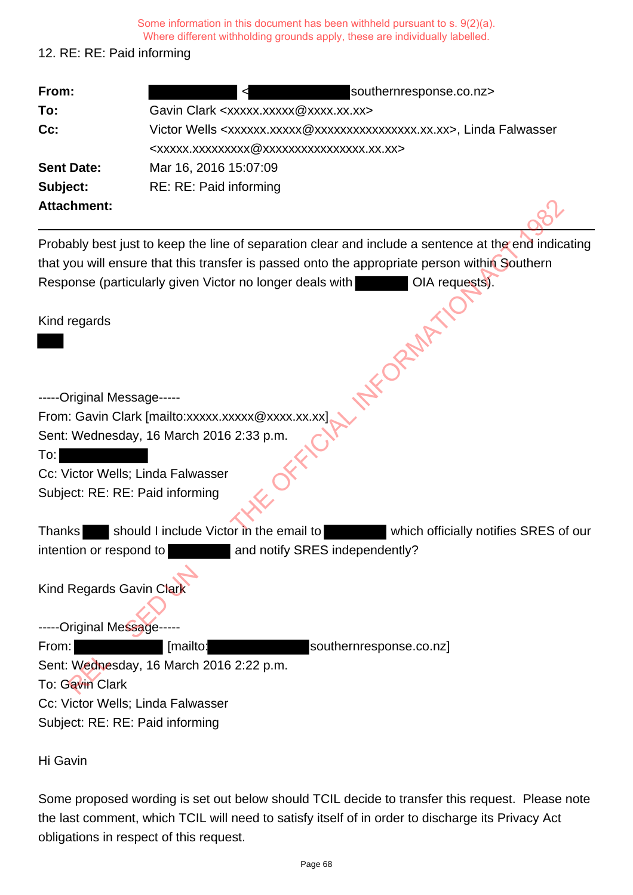Some information in this document has been withheld pursuant to s. 9(2)(a).

Where different withholding grounds apply, these are individually labelled.

## 12. RE: RE: Paid informing

| From:                             | southernresponse.co.nz>                                                                              |
|-----------------------------------|------------------------------------------------------------------------------------------------------|
| To:                               | Gavin Clark <xxxxx.xxxxx@xxxx.xx.xx></xxxxx.xxxxx@xxxx.xx.xx>                                        |
| $Cc$ :                            | Victor Wells <xxxxxx.xxxxx @xxxxxxxxxxxxxxxx.xx.xx="">, Linda Falwasser</xxxxxx.xxxxx>               |
|                                   | <xxxxx.xxxxxxxxx @xxxxxxxxxxxxxxxx.xx.xx=""></xxxxx.xxxxxxxxx>                                       |
| <b>Sent Date:</b>                 | Mar 16, 2016 15:07:09                                                                                |
| Subject:                          | RE: RE: Paid informing                                                                               |
| <b>Attachment:</b>                |                                                                                                      |
|                                   | Probably best just to keep the line of separation clear and include a sentence at the end indicating |
|                                   | that you will ensure that this transfer is passed onto the appropriate person within Southern        |
|                                   | Response (particularly given Victor no longer deals with<br>OIA requests).                           |
| Kind regards                      |                                                                                                      |
|                                   |                                                                                                      |
| -----Original Message-----        |                                                                                                      |
|                                   | From: Gavin Clark [mailto:xxxxx.xxxxx @xxxx.xx.xx]                                                   |
|                                   | Sent: Wednesday, 16 March 2016 2:33 p.m.                                                             |
| To:                               |                                                                                                      |
| Cc: Victor Wells; Linda Falwasser |                                                                                                      |
| Subject: RE: RE: Paid informing   |                                                                                                      |
| <b>Thanks</b>                     | should I include Victor in the email to<br>which officially notifies SRES of our                     |
| intention or respond to           | and notify SRES independently?                                                                       |
| Kind Regards Gavin Clark          |                                                                                                      |
|                                   |                                                                                                      |
| -----Original Message             |                                                                                                      |
| From:                             | [mailto:<br>southernresponse.co.nz]                                                                  |
|                                   | Sent: Wednesday, 16 March 2016 2:22 p.m.                                                             |
| To: Gavin Clark                   |                                                                                                      |

| <b>Thanks</b>           | should I include Victor in the email to |                                | which officially notifies SRES of our |
|-------------------------|-----------------------------------------|--------------------------------|---------------------------------------|
| intention or respond to |                                         | and notify SRES independently? |                                       |

Sent: Wednesday, 16 March 2016 2:22 p.m. To: Gavin Clark Cc: Victor Wells; Linda Falwasser Subject: RE: RE: Paid informing

Hi Gavin

Some proposed wording is set out below should TCIL decide to transfer this request. Please note the last comment, which TCIL will need to satisfy itself of in order to discharge its Privacy Act obligations in respect of this request.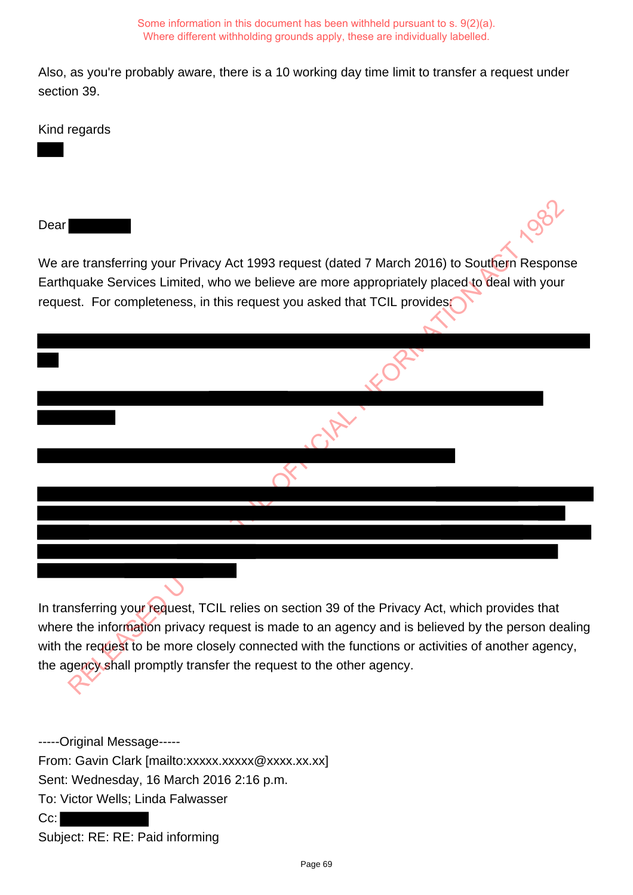Also, as you're probably aware, there is a 10 working day time limit to transfer a request under section 39.

Kind regards

Dear

We are transferring your Privacy Act 1993 request (dated 7 March 2016) to Southern Response Earthquake Services Limited, who we believe are more appropriately placed to deal with your request. For completeness, in this request you asked that TCIL provides:

In transferring your request, TCIL relies on section 39 of the Privacy Act, which provides that where the information privacy request is made to an agency and is believed by the person dealing with the request to be more closely connected with the functions or activities of another agency, the agency shall promptly transfer the request to the other agency. re transferring your Privacy Act 1993 request (dated 7 March 2016) to Southern Responsibilities, who we believe are more appropriately placed to deal with your stat. For completeness, in this request you asked that TCIL pr

-----Original Message----- From: Gavin Clark [mailto:xxxxx.xxxxx @xxxx.xx.xx] Sent: Wednesday, 16 March 2016 2:16 p.m. To: Victor Wells; Linda Falwasser Cc: Subject: RE: RE: Paid informing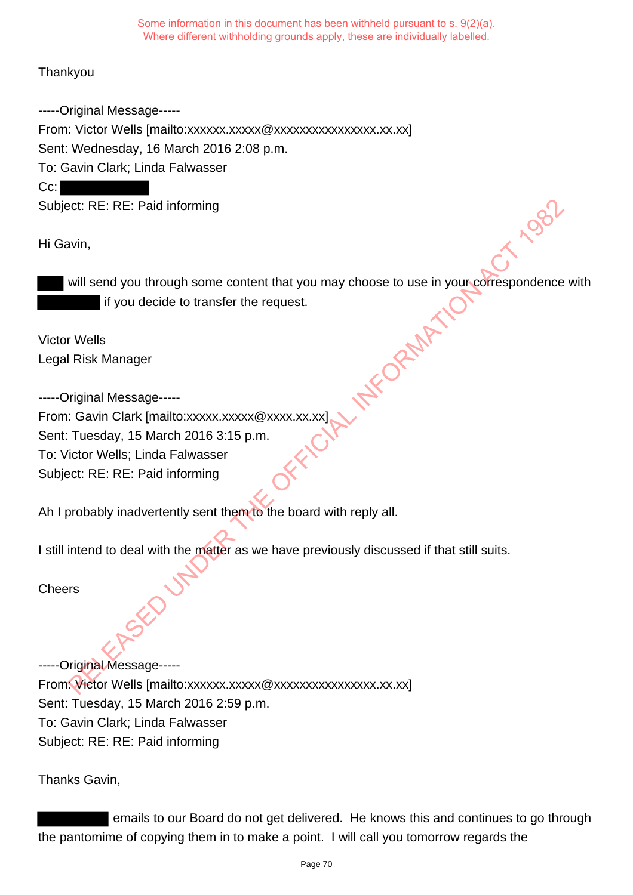**Thankyou** 

-----Original Message----- From: Victor Wells [mailto:xxxxxx.xxxxx @xxxxxxxxxxxxxxxx.xx.xx] Sent: Wednesday, 16 March 2016 2:08 p.m. To: Gavin Clark; Linda Falwasser Cc:

Subject: RE: RE: Paid informing

Hi Gavin,

will send you through some content that you may choose to use in your correspondence with if you decide to transfer the request.

Victor Wells Legal Risk Manager

-----Original Message----- From: Gavin Clark [mailto:xxxxx.xxxxx @xxxx.xx.xx] Sent: Tuesday, 15 March 2016 3:15 p.m. To: Victor Wells; Linda Falwasser Subject: RE: RE: Paid informing RECRET Paid informing<br>
Wint,<br>
Will send you through some content that you may choose to use in youn-correspondence<br>
If you decide to transfer the request.<br>
RISK Manager<br>
Tuesday, 15 March 2016 3:15 p.m.<br>
Cavin Clark (mailt

Ah I probably inadvertently sent them to the board with reply all.

I still intend to deal with the matter as we have previously discussed if that still suits.

**Cheers** 

-----Original Message----- From: Victor Wells [mailto:xxxxxx.xxxxxxxxxxxxxxxxxxxxxx.xx.xx] Sent: Tuesday, 15 March 2016 2:59 p.m. To: Gavin Clark; Linda Falwasser Subject: RE: RE: Paid informing

Thanks Gavin,

 emails to our Board do not get delivered. He knows this and continues to go through the pantomime of copying them in to make a point. I will call you tomorrow regards the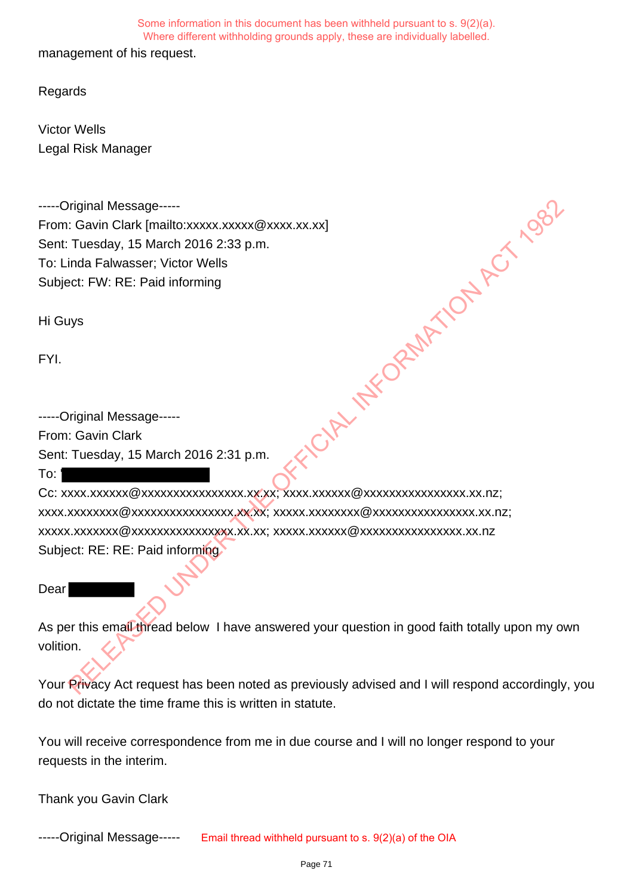management of his request.

**Regards** 

Victor Wells Legal Risk Manager

-----Original Message----- From: Gavin Clark [mailto:xxxxx.xxxxx @xxxx.xx.xx] Sent: Tuesday, 15 March 2016 2:33 p.m. To: Linda Falwasser; Victor Wells Subject: FW: RE: Paid informing **CORPLANS OF THE OFFICIAL INFORMATION ACT 1992** 

Hi Guys

FYI.

-----Original Message----- From: Gavin Clark Sent: Tuesday, 15 March 2016 2:31 p.m.

To: '

Cc: xxxx.xxxxxx@xxxxxxxxxxxxxxxx.xx.xx; xxxx.xxxxxx@xxxxxxxxxxxxxxxx.xx.nz; xxxx.xxxxxxxx@xxxxxxxxxxxxxxxx.xx.xx; xxxxx.xxxxxxxx@xxxxxxxxxxxxxxxx.xx.nz; xxxxx.xxxxxxx@xxxxxxxxxxxxxxxx.xx.xx; xxxxx.xxxxxx@xxxxxxxxxxxxxxxx.xx.nz Subject: RE: RE: Paid informing.

### **Dear**

As per this email thread below I have answered your question in good faith totally upon my own volition.

Your Privacy Act request has been noted as previously advised and I will respond accordingly, you do not dictate the time frame this is written in statute.

You will receive correspondence from me in due course and I will no longer respond to your requests in the interim.

Thank you Gavin Clark

-----Original Message----- Email thread withheld pursuant to s. 9(2)(a) of the OIA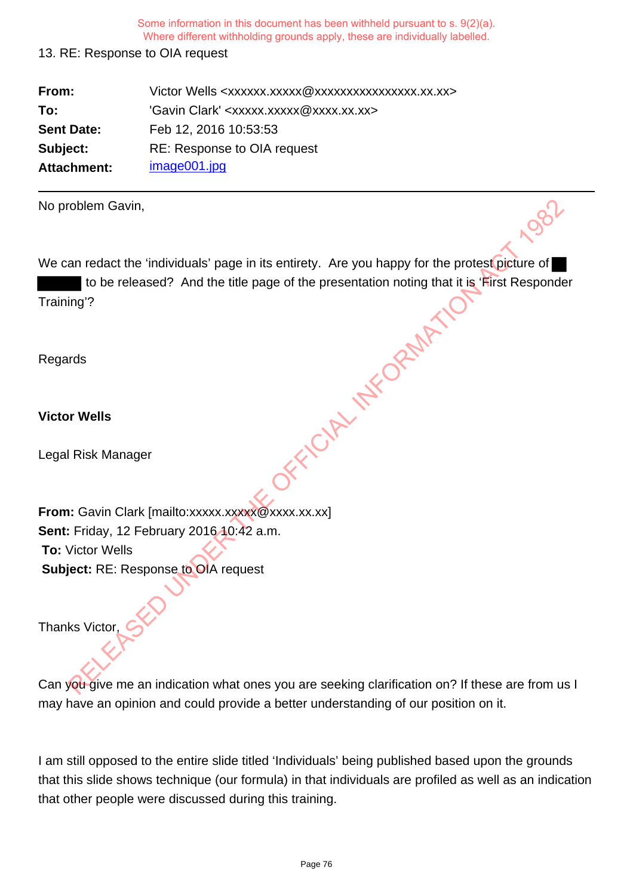## 13. RE: Response to OIA request

| From:             | Victor Wells <xxxxxx.xxxxx @xxxxxxxxxxxxxxxx.xx.xx=""></xxxxxx.xxxxx> |
|-------------------|-----------------------------------------------------------------------|
| To:               | 'Gavin Clark' <xxxxx.xxxxx@xxxx.xx.xx></xxxxx.xxxxx@xxxx.xx.xx>       |
| <b>Sent Date:</b> | Feb 12, 2016 10:53:53                                                 |
| Subject:          | RE: Response to OIA request                                           |
| Attachment:       | image001.jpg                                                          |

| No problem Gavin,                                                                              |
|------------------------------------------------------------------------------------------------|
| We can redact the 'individuals' page in its entirety. Are you happy for the protest picture of |
| to be released? And the title page of the presentation noting that it is 'First Responde       |
| Training'?                                                                                     |
| Regards                                                                                        |
| <b>Victor Wells</b>                                                                            |
|                                                                                                |
| Legal Risk Manager                                                                             |
|                                                                                                |
| From: Gavin Clark [mailto:xxxxx.xxxxx@xxxx.xx.xx]                                              |
| Sent: Friday, 12 February 2016 10:42 a.m.                                                      |
| <b>To: Victor Wells</b>                                                                        |
| Subject: RE: Response to OIA request                                                           |
|                                                                                                |
| Thanks Victor,                                                                                 |
| Can you give me an indication what ones you are seeking clarification on? If these are from u  |

Can you give me an indication what ones you are seeking clarification on? If these are from us I may have an opinion and could provide a better understanding of our position on it.

I am still opposed to the entire slide titled 'Individuals' being published based upon the grounds that this slide shows technique (our formula) in that individuals are profiled as well as an indication that other people were discussed during this training.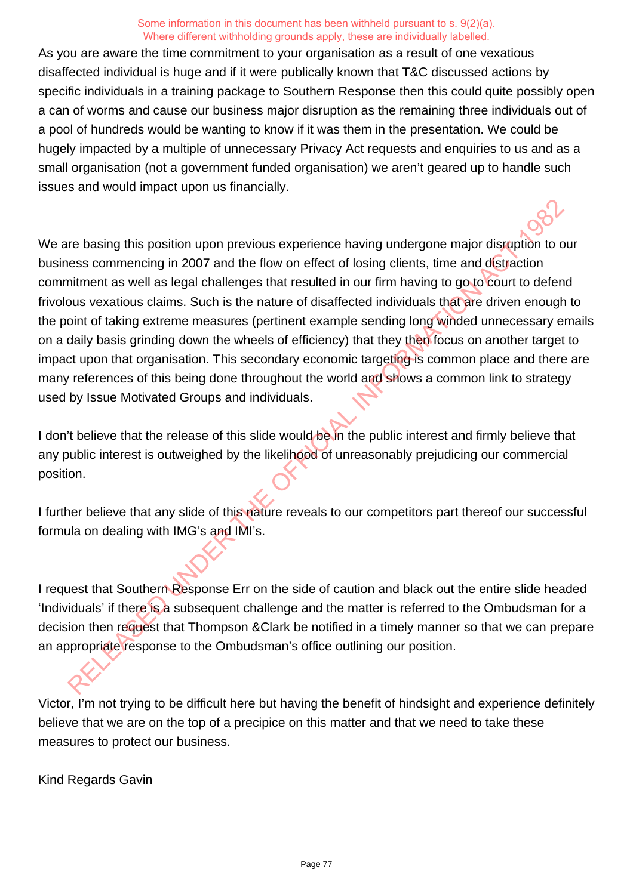As you are aware the time commitment to your organisation as a result of one vexatious disaffected individual is huge and if it were publically known that T&C discussed actions by specific individuals in a training package to Southern Response then this could quite possibly open a can of worms and cause our business major disruption as the remaining three individuals out of a pool of hundreds would be wanting to know if it was them in the presentation. We could be hugely impacted by a multiple of unnecessary Privacy Act requests and enquiries to us and as a small organisation (not a government funded organisation) we aren't geared up to handle such issues and would impact upon us financially.

We are basing this position upon previous experience having undergone major disruption to our business commencing in 2007 and the flow on effect of losing clients, time and distraction commitment as well as legal challenges that resulted in our firm having to go to court to defend frivolous vexatious claims. Such is the nature of disaffected individuals that are driven enough to the point of taking extreme measures (pertinent example sending long winded unnecessary emails on a daily basis grinding down the wheels of efficiency) that they then focus on another target to impact upon that organisation. This secondary economic targeting is common place and there are many references of this being done throughout the world and shows a common link to strategy used by Issue Motivated Groups and individuals. re basing this position upon previous experience having undergone major disrgerion to<br>ess commencing in 2007 and the flow on effect of losing clients, time and distraction<br>intenent as well as legal challenges that resulted

I don't believe that the release of this slide would be in the public interest and firmly believe that any public interest is outweighed by the likelihood of unreasonably prejudicing our commercial position.

I further believe that any slide of this nature reveals to our competitors part thereof our successful formula on dealing with IMG's and IMI's.

I request that Southern Response Err on the side of caution and black out the entire slide headed 'Individuals' if there is a subsequent challenge and the matter is referred to the Ombudsman for a decision then request that Thompson &Clark be notified in a timely manner so that we can prepare an appropriate response to the Ombudsman's office outlining our position.

Victor, I'm not trying to be difficult here but having the benefit of hindsight and experience definitely believe that we are on the top of a precipice on this matter and that we need to take these measures to protect our business.

Kind Regards Gavin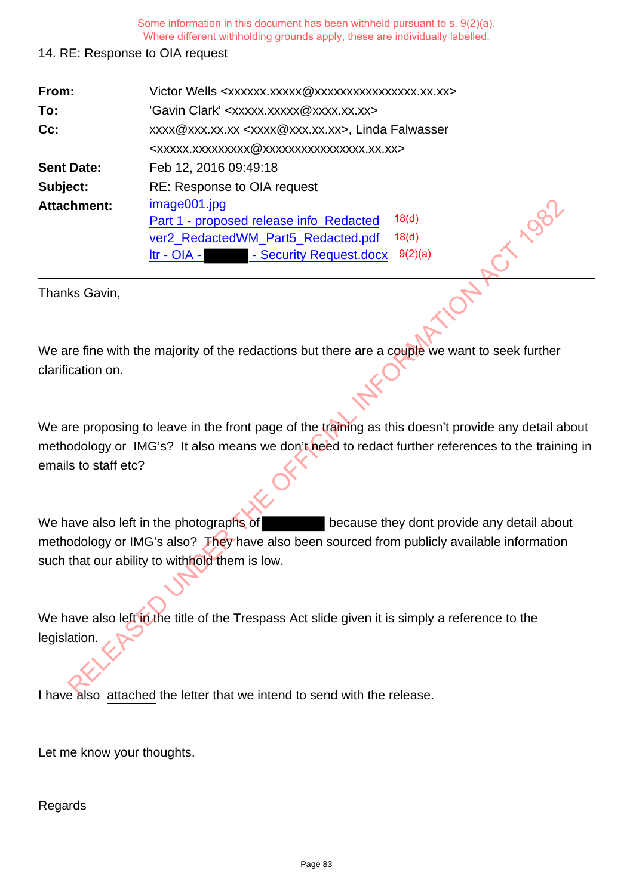## 14. RE: Response to OIA request

| From:                | Victor Wells <xxxxxx.xxxxx @xxxxxxxxxxxxxxxx.xx.xx=""></xxxxxx.xxxxx>                                                                                                                            |  |  |
|----------------------|--------------------------------------------------------------------------------------------------------------------------------------------------------------------------------------------------|--|--|
| To:                  | 'Gavin Clark' <xxxxx.xxxxx@xxxx.xx.xx></xxxxx.xxxxx@xxxx.xx.xx>                                                                                                                                  |  |  |
| Cc:                  | xxxx@xxx.xx.xx <xxxx@xxx.xx.xx>, Linda Falwasser</xxxx@xxx.xx.xx>                                                                                                                                |  |  |
|                      | <xxxxx.xxxxxxxxx @xxxxxxxxxxxxxxx.xx.xx=""></xxxxx.xxxxxxxxx>                                                                                                                                    |  |  |
| <b>Sent Date:</b>    | Feb 12, 2016 09:49:18                                                                                                                                                                            |  |  |
| Subject:             | RE: Response to OIA request                                                                                                                                                                      |  |  |
| <b>Attachment:</b>   | image001.jpg                                                                                                                                                                                     |  |  |
|                      | 18(d)<br>Part 1 - proposed release info_Redacted                                                                                                                                                 |  |  |
|                      | 18 <sub>(d)</sub><br>ver2_RedactedWM_Part5_Redacted.pdf                                                                                                                                          |  |  |
|                      | 9(2)(a)<br>- Security Request.docx<br>$\text{Itr}$ - OIA -                                                                                                                                       |  |  |
| Thanks Gavin,        |                                                                                                                                                                                                  |  |  |
|                      |                                                                                                                                                                                                  |  |  |
| clarification on.    | We are fine with the majority of the redactions but there are a couple we want to seek further                                                                                                   |  |  |
| emails to staff etc? | We are proposing to leave in the front page of the training as this doesn't provide any detail a<br>methodology or IMG's? It also means we don't heed to redact further references to the traini |  |  |
|                      |                                                                                                                                                                                                  |  |  |
|                      | We have also left in the photographs of<br>because they dont provide any detail abore                                                                                                            |  |  |
|                      | methodology or IMG's also? They have also been sourced from publicly available information                                                                                                       |  |  |
|                      | such that our ability to withhold them is low.                                                                                                                                                   |  |  |
| legislation.         | We have also left in the title of the Trespass Act slide given it is simply a reference to the                                                                                                   |  |  |
|                      | chod the letter that we intend to cond with the release                                                                                                                                          |  |  |

We are proposing to leave in the front page of the training as this doesn't provide any detail about methodology or IMG's? It also means we don't heed to redact further references to the training in emails to staff etc?

I have also attached the letter that we intend to send with the release.

Let me know your thoughts.

Regards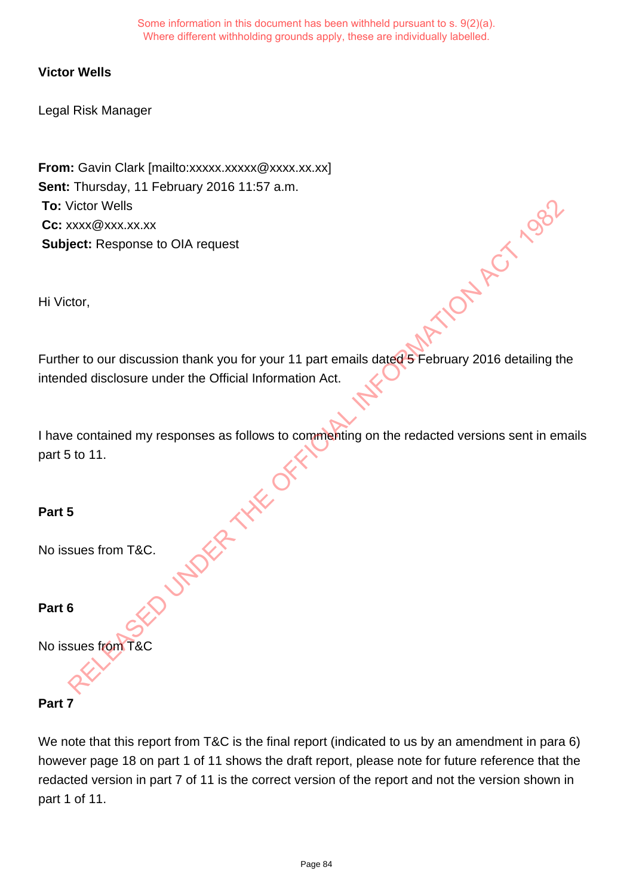## **Victor Wells**

Legal Risk Manager

**From:** Gavin Clark [mailto:xxxxx.xxxxx @xxxx.xx.xx] **Sent:** Thursday, 11 February 2016 11:57 a.m. **To:** Victor Wells **Cc:** xxxx@xxx.xx.xx **Subject:** Response to OIA request

Hi Victor,

Further to our discussion thank you for your 11 part emails dated 5 February 2016 detailing the intended disclosure under the Official Information Act. Ion thank you for your 11 part emails date<br>of February 2016 detailing the definition act expresses as follows to commenting on the redacted versions sent in emails<br>sponses as follows to commenting on the redacted versions

I have contained my responses as follows to commenting on the redacted versions sent in emails part 5 to 11.

## **Part 5**

No issues from T&C.

## **Part 6**

No issues from T&C

## **Part 7**

We note that this report from T&C is the final report (indicated to us by an amendment in para 6) however page 18 on part 1 of 11 shows the draft report, please note for future reference that the redacted version in part 7 of 11 is the correct version of the report and not the version shown in part 1 of 11.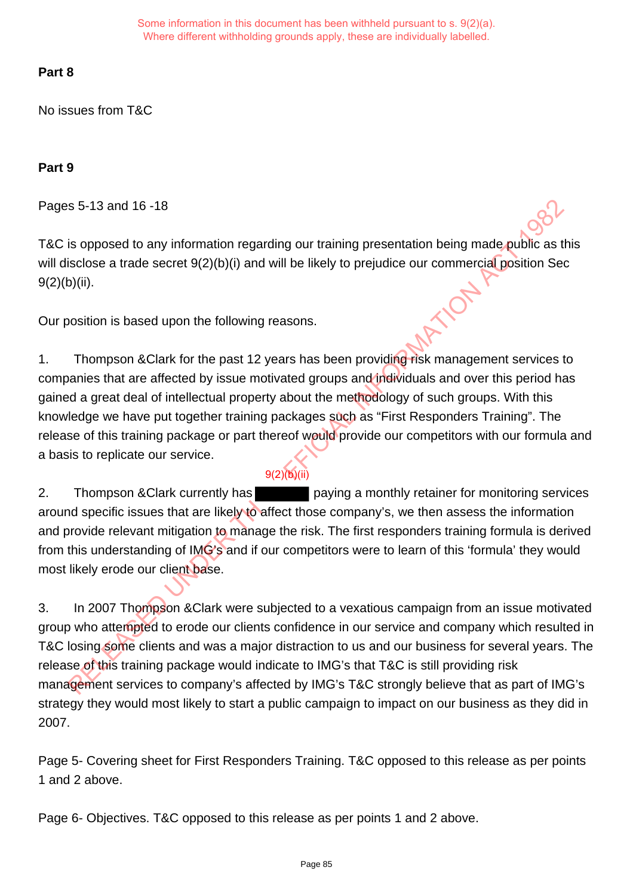# **Part 8**

No issues from T&C

# **Part 9**

Pages 5-13 and 16 -18

T&C is opposed to any information regarding our training presentation being made public as this will disclose a trade secret  $9(2)(b)(i)$  and will be likely to prejudice our commercial position Sec  $9(2)(b)(ii)$ .

Our position is based upon the following reasons.

1. Thompson &Clark for the past 12 years has been providing risk management services to companies that are affected by issue motivated groups and individuals and over this period has gained a great deal of intellectual property about the methodology of such groups. With this knowledge we have put together training packages such as "First Responders Training". The release of this training package or part thereof would provide our competitors with our formula and a basis to replicate our service. s 5-13 and 16-18<br>
is opposed to any information regarding our training presentation being made public as<br>
is close a trade secret 9(2)(b)(i) and will be likely to prejudice our commercial position Se<br>
9(ii).<br>
Will).<br>
Notio

2. Thompson & Clark currently has paying a monthly retainer for monitoring services around specific issues that are likely to affect those company's, we then assess the information and provide relevant mitigation to manage the risk. The first responders training formula is derived from this understanding of IMG's and if our competitors were to learn of this 'formula' they would most likely erode our client base.

9(2)(b)(ii)

3. In 2007 Thompson &Clark were subjected to a vexatious campaign from an issue motivated group who attempted to erode our clients confidence in our service and company which resulted in T&C losing some clients and was a major distraction to us and our business for several years. The release of this training package would indicate to IMG's that T&C is still providing risk management services to company's affected by IMG's T&C strongly believe that as part of IMG's strategy they would most likely to start a public campaign to impact on our business as they did in 2007.

Page 5- Covering sheet for First Responders Training. T&C opposed to this release as per points 1 and 2 above.

Page 6- Objectives. T&C opposed to this release as per points 1 and 2 above.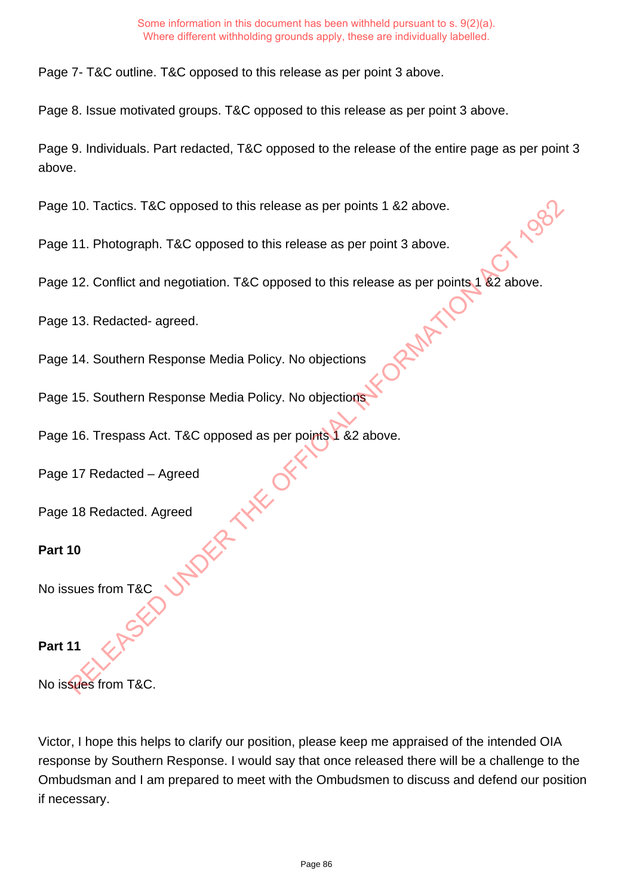Page 7- T&C outline. T&C opposed to this release as per point 3 above.

Page 8. Issue motivated groups. T&C opposed to this release as per point 3 above.

Page 9. Individuals. Part redacted, T&C opposed to the release of the entire page as per point 3 above.

Page 10. Tactics. T&C opposed to this release as per points 1 &2 above.

Page 11. Photograph. T&C opposed to this release as per point 3 above.

Page 12. Conflict and negotiation. T&C opposed to this release as per points 1 &2 above. RELEASE OPPOSed to this release as per point 3 above.<br>
I negotiation. T&C opposed to this release as per points 1 &2 above.<br>
I sponse Media Policy. No objections<br>
I sponse Media Policy. No objections<br>
It. T&C opposed as pe

Page 13. Redacted- agreed.

Page 14. Southern Response Media Policy. No objections

Page 15. Southern Response Media Policy. No objections

Page 16. Trespass Act. T&C opposed as per points 1 &2 above.

Page 17 Redacted – Agreed

Page 18 Redacted. Agreed

# **Part 10**

No issues from T&C

## **Part 11**

No issues from T&C.

Victor, I hope this helps to clarify our position, please keep me appraised of the intended OIA response by Southern Response. I would say that once released there will be a challenge to the Ombudsman and I am prepared to meet with the Ombudsmen to discuss and defend our position if necessary.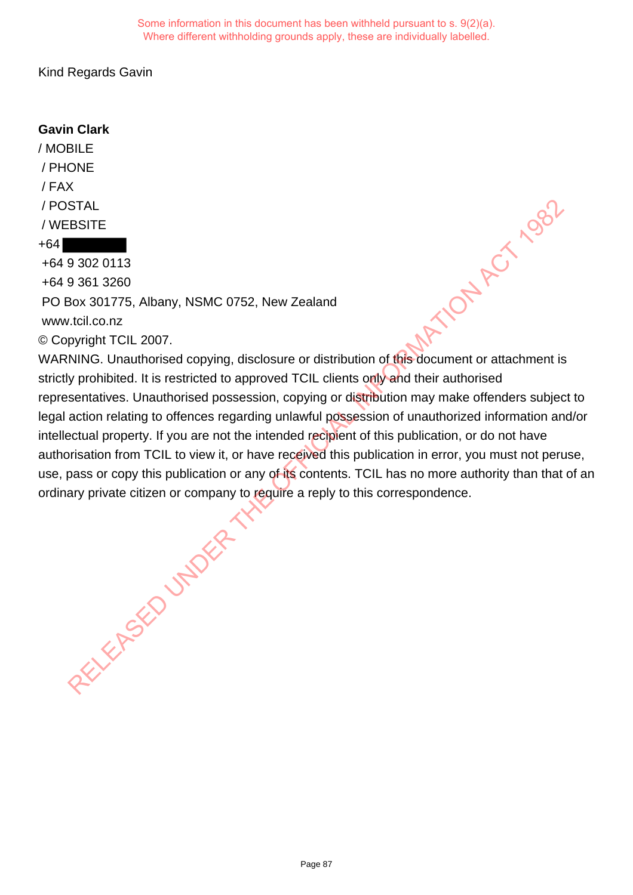Kind Regards Gavin

# **Gavin Clark**

/ MOBILE / PHONE / FAX / POSTAL / WEBSITE +64 +64 9 302 0113 +64 9 361 3260 WARNING. Unauthorised copying, disclosure or distribution of this document or attachment is<br>
WARNING. Unauthorised copying, disclosure or distribution of this document or attachment is

PO Box 301775, Albany, NSMC 0752, New Zealand

www.tcil.co.nz

© Copyright TCIL 2007.

strictly prohibited. It is restricted to approved TCIL clients only and their authorised representatives. Unauthorised possession, copying or distribution may make offenders subject to legal action relating to offences regarding unlawful possession of unauthorized information and/or intellectual property. If you are not the intended recipient of this publication, or do not have authorisation from TCIL to view it, or have received this publication in error, you must not peruse, use, pass or copy this publication or any of its contents. TCIL has no more authority than that of an ordinary private citizen or company to require a reply to this correspondence. RELEASED UNDER T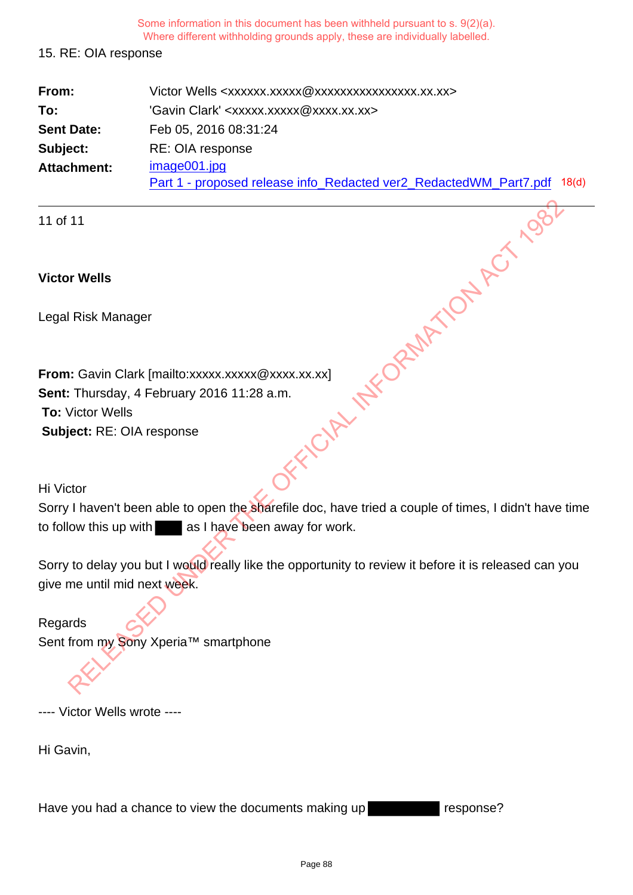### 15. RE: OIA response

| From:             | Victor Wells <xxxxxx.xxxxx @xxxxxxxxxxxxxxxx.xx.xx=""></xxxxxx.xxxxx>    |
|-------------------|--------------------------------------------------------------------------|
| To:               | 'Gavin Clark' <xxxxx.xxxxx@xxxx.xx.xx></xxxxx.xxxxx@xxxx.xx.xx>          |
| <b>Sent Date:</b> | Feb 05, 2016 08:31:24                                                    |
| Subject:          | RE: OIA response                                                         |
| Attachment:       | image001.jpg                                                             |
|                   | Part 1 - proposed release info Redacted ver2 Redacted WM Part7.pdf 18(d) |

11 of 11

## **Victor Wells**

Legal Risk Manager

**From:** Gavin Clark [mailto:xxxxx.xxxxx @xxxx.xx.xx] **Sent:** Thursday, 4 February 2016 11:28 a.m. **To:** Victor Wells **Subject:** RE: OIA response The Wells<br>
Risk Manager<br>
I: Gavin Clark [mailto:xxxxx.xxxxx @xxxx.xx.xx]<br>
Victor Wells<br>
Get: RE: OIA response<br>
Stor<br>
I: havent been able to open the sharefielie doc, have tried a couple of times, I didn't have<br>
Now this up

Hi Victor

Sorry I haven't been able to open the sharefile doc, have tried a couple of times, I didn't have time to follow this up with as I have been away for work.

Sorry to delay you but I would really like the opportunity to review it before it is released can you give me until mid next week.

Regards Sent from my Sony Xperia™ smartphone

---- Victor Wells wrote ----

Hi Gavin,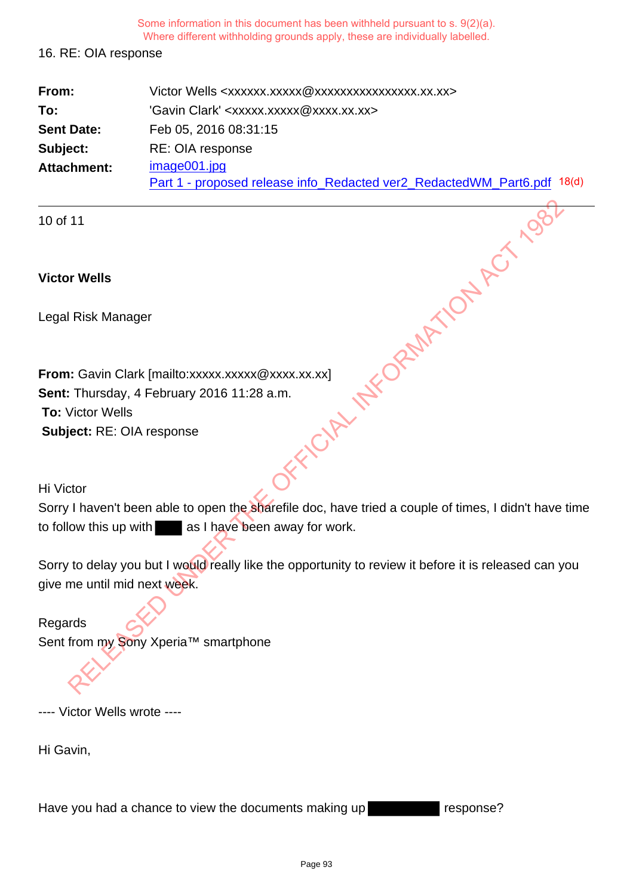### 16. RE: OIA response

| From:             | Victor Wells <xxxxxx.xxxxx @xxxxxxxxxxxxxxxx.xx.xx=""></xxxxxx.xxxxx>                   |
|-------------------|-----------------------------------------------------------------------------------------|
| To:               | 'Gavin Clark' <xxxxx.xxxxx@xxxx.xx.xx></xxxxx.xxxxx@xxxx.xx.xx>                         |
| <b>Sent Date:</b> | Feb 05, 2016 08:31:15                                                                   |
| Subject:          | RE: OIA response                                                                        |
| Attachment:       | image001.jpg<br>Part 1 - proposed release info_Redacted ver2_RedactedWM_Part6.pdf 18(d) |

10 of 11

## **Victor Wells**

Legal Risk Manager

**From:** Gavin Clark [mailto:xxxxx.xxxxx @xxxx.xx.xx] **Sent:** Thursday, 4 February 2016 11:28 a.m. **To:** Victor Wells **Subject:** RE: OIA response The Wells<br>
Risk Manager<br>
I: Gavin Clark [mailto:xxxxx.xxxxx @xxxx.xx.xx]<br>
Victor Wells<br>
Get: RE: OIA response<br>
Stor<br>
I: havent been able to open the sharefielie doc, have tried a couple of times, I didn't have<br>
Now this up

Hi Victor

Sorry I haven't been able to open the sharefile doc, have tried a couple of times, I didn't have time to follow this up with as I have been away for work.

Sorry to delay you but I would really like the opportunity to review it before it is released can you give me until mid next week.

Regards Sent from my Sony Xperia™ smartphone

---- Victor Wells wrote ----

Hi Gavin,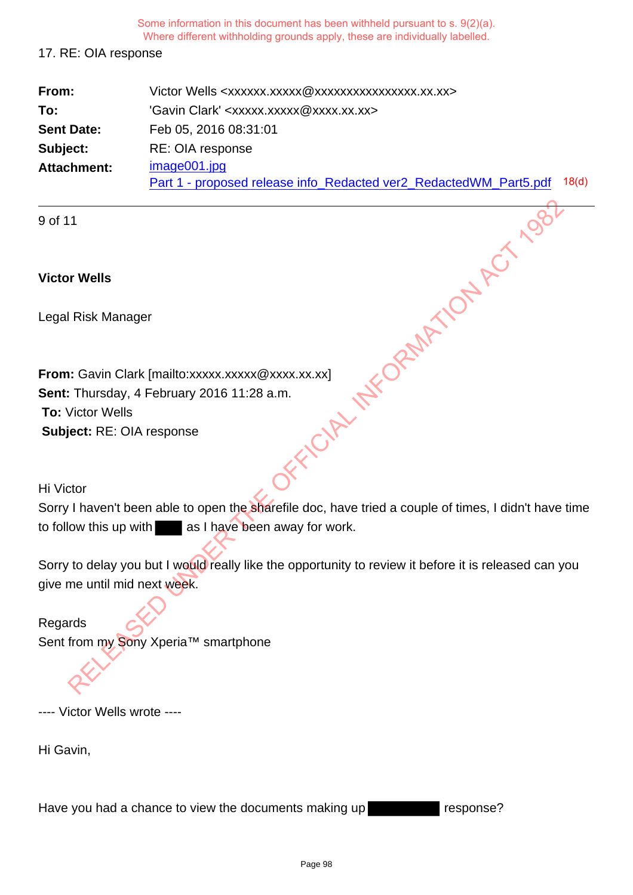### 17. RE: OIA response

| From:             | Victor Wells <xxxxxx.xxxxx @xxxxxxxxxxxxxxxx.xx.xx=""></xxxxxx.xxxxx> |                   |
|-------------------|-----------------------------------------------------------------------|-------------------|
| To:               | 'Gavin Clark' <xxxxx.xxxxx@xxxx.xx.xx></xxxxx.xxxxx@xxxx.xx.xx>       |                   |
| <b>Sent Date:</b> | Feb 05, 2016 08:31:01                                                 |                   |
| Subject:          | RE: OIA response                                                      |                   |
| Attachment:       | image001.jpg                                                          |                   |
|                   | Part 1 - proposed release info_Redacted ver2_RedactedWM_Part5.pdf     | 18 <sub>(d)</sub> |

9 of 11

## **Victor Wells**

Legal Risk Manager

**From:** Gavin Clark [mailto:xxxxx.xxxxx @xxxx.xx.xx] **Sent:** Thursday, 4 February 2016 11:28 a.m. **To:** Victor Wells **Subject:** RE: OIA response The Wells<br>
Risk Manager<br>
I: Gavin Clark [mailto:xxxxx.xxxxx @xxxx.xx.xx]<br>
Victor Wells<br>
Get: RE: OIA response<br>
Stor<br>
I: havent been able to open the sharefielie doc, have tried a couple of times, I didn't have<br>
Now this up

Hi Victor

Sorry I haven't been able to open the sharefile doc, have tried a couple of times, I didn't have time to follow this up with as I have been away for work.

Sorry to delay you but I would really like the opportunity to review it before it is released can you give me until mid next week.

Regards Sent from my Sony Xperia™ smartphone

---- Victor Wells wrote ----

Hi Gavin,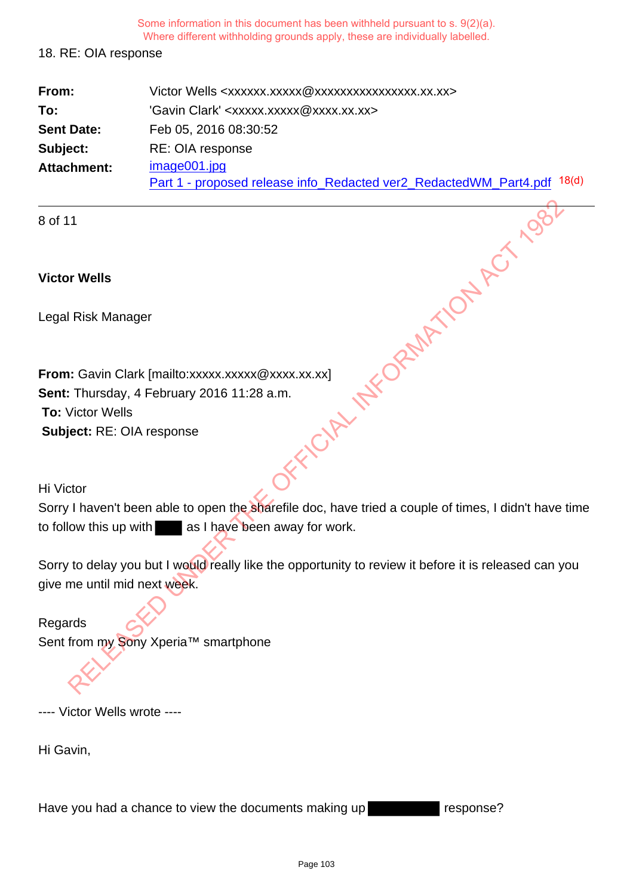### 18. RE: OIA response

| From:             | Victor Wells <xxxxxx.xxxxx @xxxxxxxxxxxxxxxx.xx.xx=""></xxxxxx.xxxxx>                   |  |
|-------------------|-----------------------------------------------------------------------------------------|--|
| To:               | 'Gavin Clark' <xxxxx.xxxxx@xxxx.xx.xx></xxxxx.xxxxx@xxxx.xx.xx>                         |  |
| <b>Sent Date:</b> | Feb 05, 2016 08:30:52                                                                   |  |
| Subject:          | RE: OIA response                                                                        |  |
| Attachment:       | image001.jpg<br>Part 1 - proposed release info_Redacted ver2_RedactedWM_Part4.pdf 18(d) |  |

8 of 11

## **Victor Wells**

Legal Risk Manager

**From:** Gavin Clark [mailto:xxxxx.xxxxx @xxxx.xx.xx] **Sent:** Thursday, 4 February 2016 11:28 a.m. **To:** Victor Wells **Subject:** RE: OIA response The Wells<br>
Risk Manager<br>
I: Gavin Clark [mailto:xxxxx.xxxxx @xxxx.xx.xx]<br>
Victor Wells<br>
Get: RE: OIA response<br>
Stor<br>
I: havent been able to open the sharefielie doc, have tried a couple of times, I didn't have<br>
Now this up

Hi Victor

Sorry I haven't been able to open the sharefile doc, have tried a couple of times, I didn't have time to follow this up with as I have been away for work.

Sorry to delay you but I would really like the opportunity to review it before it is released can you give me until mid next week.

Regards Sent from my Sony Xperia™ smartphone

---- Victor Wells wrote ----

Hi Gavin,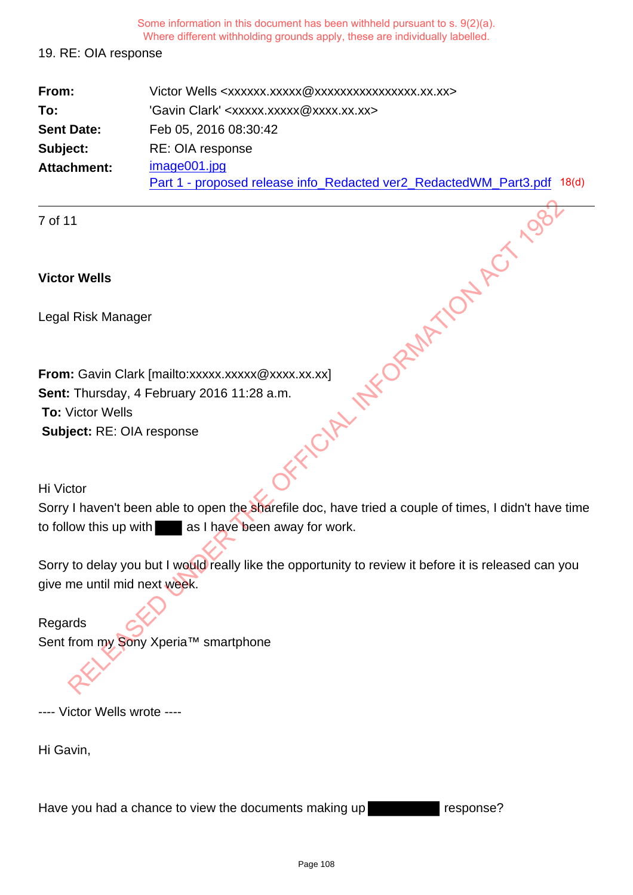### 19. RE: OIA response

| From:             | Victor Wells <xxxxxx.xxxxx @xxxxxxxxxxxxxxxx.xx.xx=""></xxxxxx.xxxxx>   |  |
|-------------------|-------------------------------------------------------------------------|--|
| To:               | 'Gavin Clark' <xxxxx.xxxxx@xxxx.xx.xx></xxxxx.xxxxx@xxxx.xx.xx>         |  |
| <b>Sent Date:</b> | Feb 05, 2016 08:30:42                                                   |  |
| Subject:          | RE: OIA response                                                        |  |
| Attachment:       | image001.jpg                                                            |  |
|                   | Part 1 - proposed release info Redacted ver2_RedactedWM_Part3.pdf 18(d) |  |

7 of 11

## **Victor Wells**

Legal Risk Manager

**From:** Gavin Clark [mailto:xxxxx.xxxxx @xxxx.xx.xx] **Sent:** Thursday, 4 February 2016 11:28 a.m. **To:** Victor Wells **Subject:** RE: OIA response The Wells<br>
Risk Manager<br>
I: Gavin Clark [mailto:xxxxx.xxxxx @xxxx.xx.xx]<br>
Victor Wells<br>
Get: RE: OIA response<br>
Stor<br>
I: havent been able to open the sharefielie doc, have tried a couple of times, I didn't have<br>
Now this up

Hi Victor

Sorry I haven't been able to open the sharefile doc, have tried a couple of times, I didn't have time to follow this up with as I have been away for work.

Sorry to delay you but I would really like the opportunity to review it before it is released can you give me until mid next week.

Regards Sent from my Sony Xperia™ smartphone

---- Victor Wells wrote ----

Hi Gavin,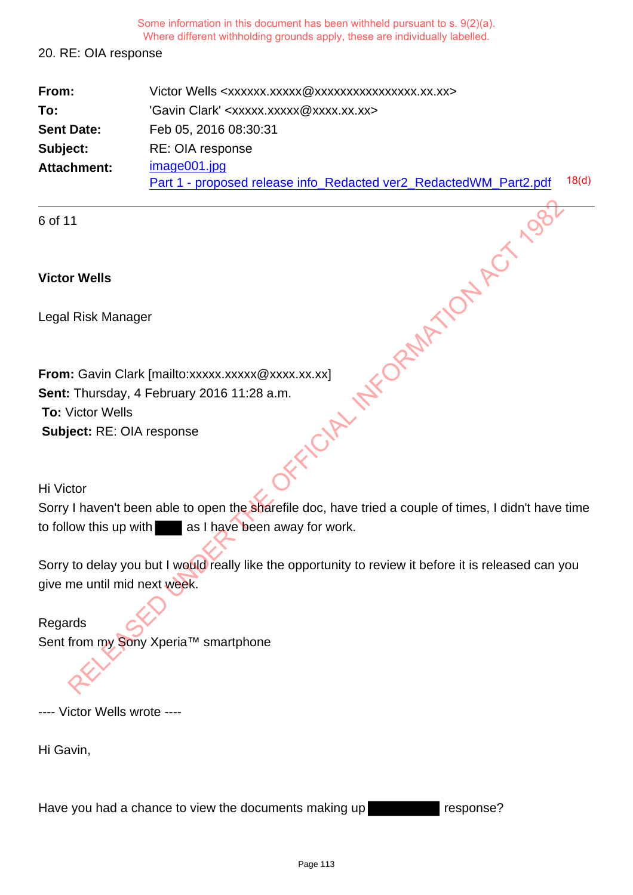### 20. RE: OIA response

| From:             | Victor Wells <xxxxxx.xxxxx @xxxxxxxxxxxxxxxx.xx.xx=""></xxxxxx.xxxxx>             |                   |
|-------------------|-----------------------------------------------------------------------------------|-------------------|
| To:               | 'Gavin Clark' <xxxxx.xxxxx@xxxx.xx.xx></xxxxx.xxxxx@xxxx.xx.xx>                   |                   |
| <b>Sent Date:</b> | Feb 05, 2016 08:30:31                                                             |                   |
| Subject:          | RE: OIA response                                                                  |                   |
| Attachment:       | image001.jpg<br>Part 1 - proposed release info_Redacted ver2_RedactedWM_Part2.pdf | 18 <sub>(d)</sub> |
|                   |                                                                                   |                   |

6 of 11

## **Victor Wells**

Legal Risk Manager

**From:** Gavin Clark [mailto:xxxxx.xxxxx @xxxx.xx.xx] **Sent:** Thursday, 4 February 2016 11:28 a.m. **To:** Victor Wells **Subject:** RE: OIA response The Wells<br>
Risk Manager<br>
I: Gavin Clark [mailto:xxxxx.xxxxx @xxxx.xx.xx]<br>
Victor Wells<br>
Get: RE: OIA response<br>
Stor<br>
I: havent been able to open the sharefielie doc, have tried a couple of times, I didn't have<br>
Now this up

Hi Victor

Sorry I haven't been able to open the sharefile doc, have tried a couple of times, I didn't have time to follow this up with as I have been away for work.

Sorry to delay you but I would really like the opportunity to review it before it is released can you give me until mid next week.

Regards Sent from my Sony Xperia™ smartphone

---- Victor Wells wrote ----

Hi Gavin,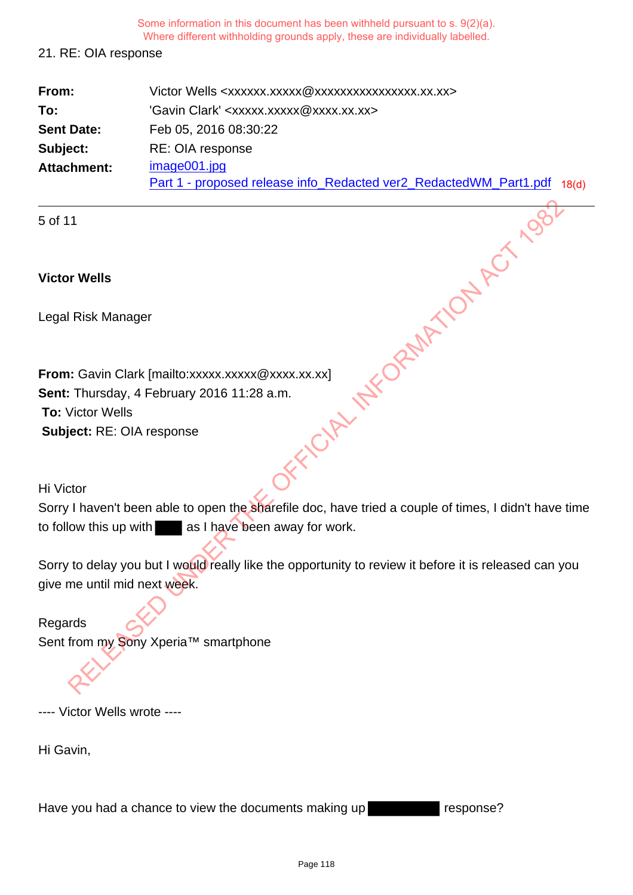### 21. RE: OIA response

| From:             | Victor Wells <xxxxxx.xxxxx @xxxxxxxxxxxxxxxx.xx.xx=""></xxxxxx.xxxxx>   |  |
|-------------------|-------------------------------------------------------------------------|--|
| To:               | 'Gavin Clark' <xxxxx.xxxxx@xxxx.xx.xx></xxxxx.xxxxx@xxxx.xx.xx>         |  |
| <b>Sent Date:</b> | Feb 05, 2016 08:30:22                                                   |  |
| Subject:          | RE: OIA response                                                        |  |
| Attachment:       | image001.jpg                                                            |  |
|                   | Part 1 - proposed release info_Redacted ver2_RedactedWM_Part1.pdf 18(d) |  |

5 of 11

## **Victor Wells**

Legal Risk Manager

**From:** Gavin Clark [mailto:xxxxx.xxxxx @xxxx.xx.xx] **Sent:** Thursday, 4 February 2016 11:28 a.m. **To:** Victor Wells **Subject:** RE: OIA response The Wells<br>
Risk Manager<br>
I: Gavin Clark [mailto:xxxxx.xxxxx @xxxx.xx.xx]<br>
Victor Wells<br>
Get: RE: OIA response<br>
Stor<br>
I: havent been able to open the sharefielie doc, have tried a couple of times, I didn't have<br>
Now this up

Hi Victor

Sorry I haven't been able to open the sharefile doc, have tried a couple of times, I didn't have time to follow this up with as I have been away for work.

Sorry to delay you but I would really like the opportunity to review it before it is released can you give me until mid next week.

Regards Sent from my Sony Xperia™ smartphone

---- Victor Wells wrote ----

Hi Gavin,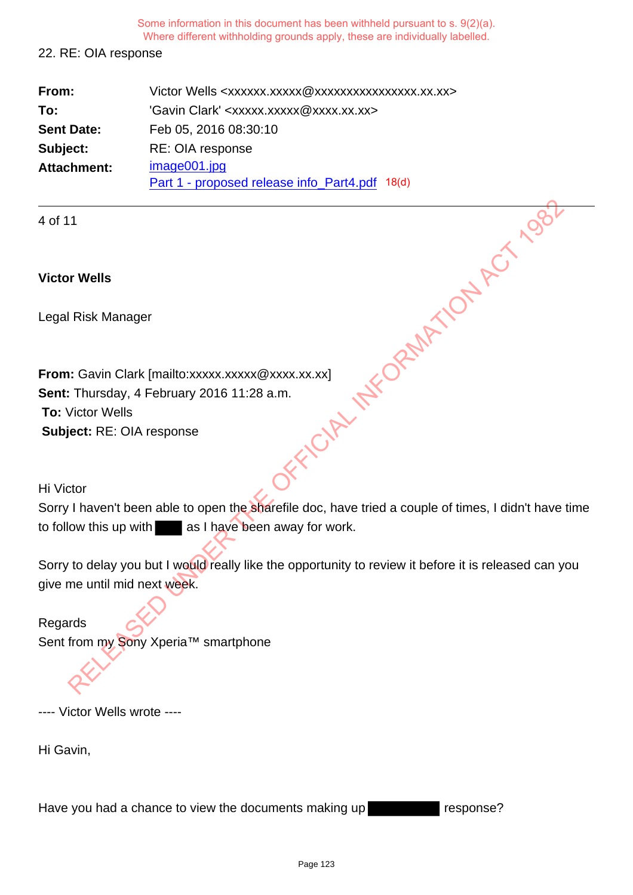#### 22. RE: OIA response

| From:             | Victor Wells <xxxxxx.xxxxx@xxxxxxxxxxxxxxxx.xx.xx></xxxxxx.xxxxx@xxxxxxxxxxxxxxxx.xx.xx> |
|-------------------|------------------------------------------------------------------------------------------|
| To:               | 'Gavin Clark' <xxxxx.xxxxx@xxxx.xx.xx></xxxxx.xxxxx@xxxx.xx.xx>                          |
| <b>Sent Date:</b> | Feb 05, 2016 08:30:10                                                                    |
| Subject:          | RE: OIA response                                                                         |
| Attachment:       | image001.jpg                                                                             |
|                   | Part 1 - proposed release info_Part4.pdf 18(d)                                           |

4 of 11

## **Victor Wells**

Legal Risk Manager

**From:** Gavin Clark [mailto:xxxxx.xxxxx @xxxx.xx.xx] **Sent:** Thursday, 4 February 2016 11:28 a.m. **To:** Victor Wells **Subject:** RE: OIA response The Wells<br>
Risk Manager<br>
I: Gavin Clark [mailto:xxxxx.xxxxx @xxxx.xx.xx]<br>
Victor Wells<br>
Get: RE: OIA response<br>
Stor<br>
I: havent been able to open the sharefielie doc, have tried a couple of times, I didn't have<br>
Now this up

Hi Victor

Sorry I haven't been able to open the sharefile doc, have tried a couple of times, I didn't have time to follow this up with as I have been away for work.

Sorry to delay you but I would really like the opportunity to review it before it is released can you give me until mid next week.

Regards Sent from my Sony Xperia™ smartphone

---- Victor Wells wrote ----

Hi Gavin,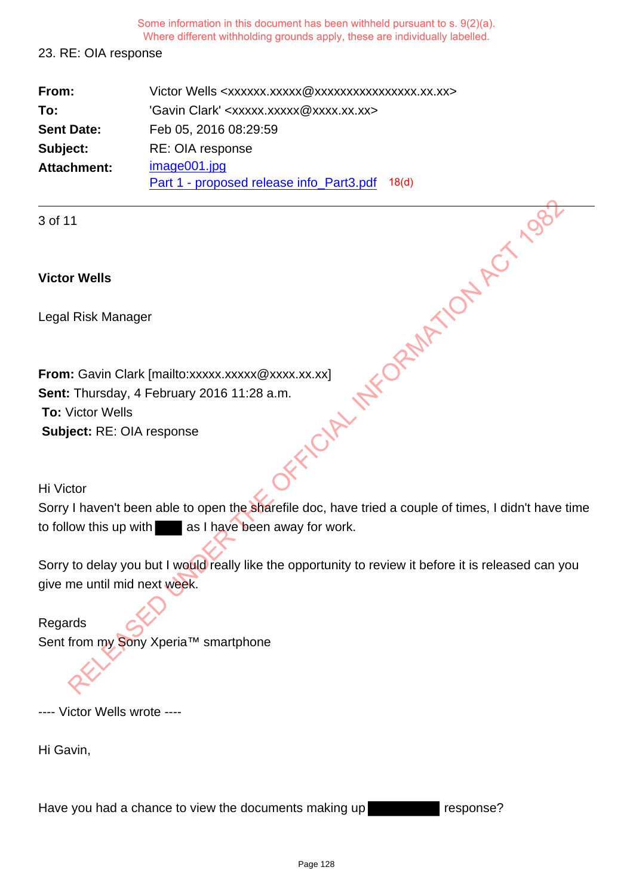#### 23. RE: OIA response

| From:             | Victor Wells <xxxxxx.xxxxx @xxxxxxxxxxxxxxxx.xx.xx=""></xxxxxx.xxxxx> |
|-------------------|-----------------------------------------------------------------------|
| To:               | 'Gavin Clark' <xxxxx.xxxxx@xxxx.xx.xx></xxxxx.xxxxx@xxxx.xx.xx>       |
| <b>Sent Date:</b> | Feb 05, 2016 08:29:59                                                 |
| Subject:          | RE: OIA response                                                      |
| Attachment:       | image001.jpg                                                          |
|                   | Part 1 - proposed release info_Part3.pdf<br>18 <sub>(d)</sub>         |

3 of 11

## **Victor Wells**

Legal Risk Manager

**From:** Gavin Clark [mailto:xxxxx.xxxxx @xxxx.xx.xx] **Sent:** Thursday, 4 February 2016 11:28 a.m. **To:** Victor Wells **Subject:** RE: OIA response The Wells<br>
Risk Manager<br>
I: Gavin Clark [mailto:xxxxx.xxxxx @xxxx.xx.xx]<br>
Victor Wells<br>
Get: RE: OIA response<br>
Stor<br>
I: havent been able to open the sharefielie doc, have tried a couple of times, I didn't have<br>
Now this up

Hi Victor

Sorry I haven't been able to open the sharefile doc, have tried a couple of times, I didn't have time to follow this up with as I have been away for work.

Sorry to delay you but I would really like the opportunity to review it before it is released can you give me until mid next week.

Regards Sent from my Sony Xperia™ smartphone

---- Victor Wells wrote ----

Hi Gavin,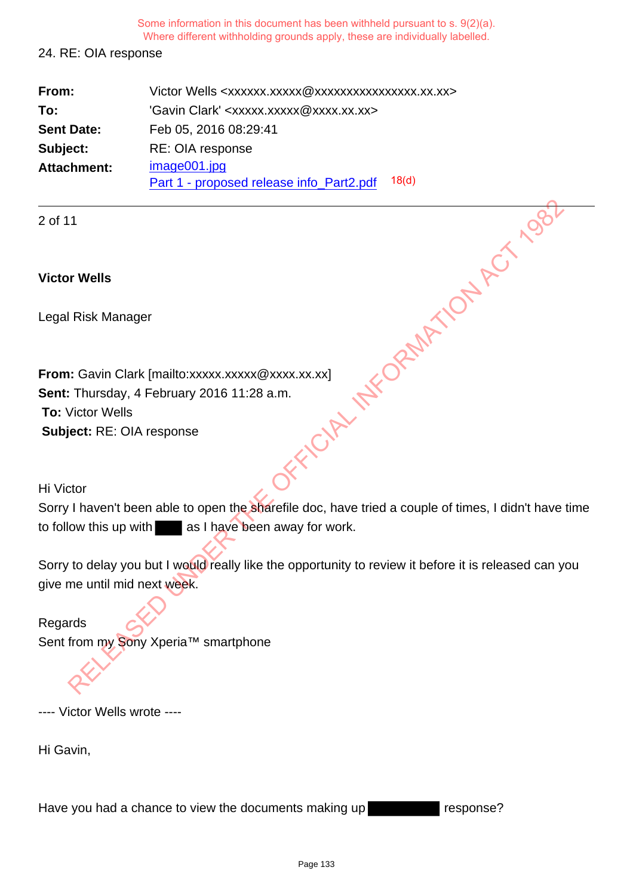#### 24. RE: OIA response

| From:             | Victor Wells <xxxxxx.xxxxx @xxxxxxxxxxxxxxxx.xx.xx=""></xxxxxx.xxxxx> |
|-------------------|-----------------------------------------------------------------------|
| To:               | 'Gavin Clark' <xxxxx.xxxxx@xxxx.xx.xx></xxxxx.xxxxx@xxxx.xx.xx>       |
| <b>Sent Date:</b> | Feb 05, 2016 08:29:41                                                 |
| Subject:          | RE: OIA response                                                      |
| Attachment:       | image001.jpg                                                          |
|                   | 18 <sub>(d)</sub><br>Part 1 - proposed release info_Part2.pdf         |

2 of 11

## **Victor Wells**

Legal Risk Manager

**From:** Gavin Clark [mailto:xxxxx.xxxxx @xxxx.xx.xx] **Sent:** Thursday, 4 February 2016 11:28 a.m. **To:** Victor Wells **Subject:** RE: OIA response The Wells<br>
Risk Manager<br>
I: Gavin Clark [mailto:xxxxx.xxxxx @xxxx.xx.xx]<br>
Victor Wells<br>
Get: RE: OIA response<br>
Stor<br>
I: havent been able to open the sharefielie doc, have tried a couple of times, I didn't have<br>
Now this up

Hi Victor

Sorry I haven't been able to open the sharefile doc, have tried a couple of times, I didn't have time to follow this up with as I have been away for work.

Sorry to delay you but I would really like the opportunity to review it before it is released can you give me until mid next week.

Regards Sent from my Sony Xperia™ smartphone

---- Victor Wells wrote ----

Hi Gavin,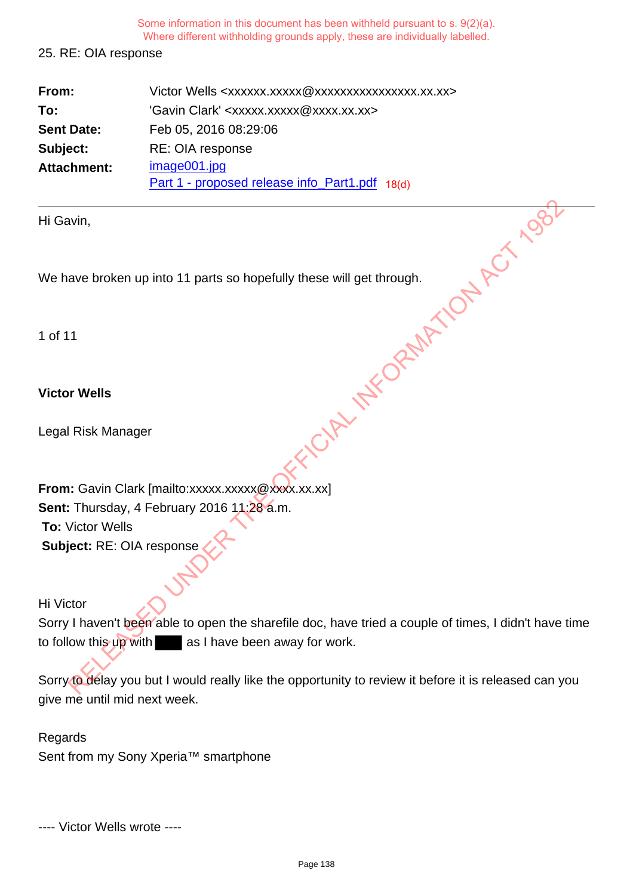## 25. RE: OIA response

| From:              | Victor Wells <xxxxxx.xxxxx@xxxxxxxxxxxxxxx.xx.xx></xxxxxx.xxxxx@xxxxxxxxxxxxxxx.xx.xx> |
|--------------------|----------------------------------------------------------------------------------------|
| To:                | 'Gavin Clark' <xxxxx.xxxxx@xxxx.xx.xx></xxxxx.xxxxx@xxxx.xx.xx>                        |
| <b>Sent Date:</b>  | Feb 05, 2016 08:29:06                                                                  |
| Subject:           | RE: OIA response                                                                       |
| <b>Attachment:</b> | image001.jpg                                                                           |
|                    | Part 1 - proposed release info_Part1.pdf 18(d)                                         |

## **Victor Wells**

| Hi Gavin,                                                                                           |
|-----------------------------------------------------------------------------------------------------|
| We have broken up into 11 parts so hopefully these will get through.                                |
| 1 of 11                                                                                             |
| <b>Victor Wells</b>                                                                                 |
| Legal Risk Manager                                                                                  |
| From: Gavin Clark [mailto:xxxxx.xxxxx@xxxx.xx.xx]                                                   |
| Sent: Thursday, 4 February 2016 11:28 a.m.                                                          |
| <b>To: Victor Wells</b>                                                                             |
| Subject: RE: OIA response                                                                           |
| Hi Victor                                                                                           |
| Sorry I haven't been able to open the sharefile doc, have tried a couple of times, I didn't have    |
| to follow this up with as I have been away for work.                                                |
| Sorry to delay you but I would really like the opportunity to review it before it is released can y |
|                                                                                                     |

### Hi Victor

Sorry I haven't been able to open the sharefile doc, have tried a couple of times, I didn't have time to follow this up with as I have been away for work.

Sorry to delay you but I would really like the opportunity to review it before it is released can you give me until mid next week.

Regards Sent from my Sony Xperia™ smartphone

---- Victor Wells wrote ----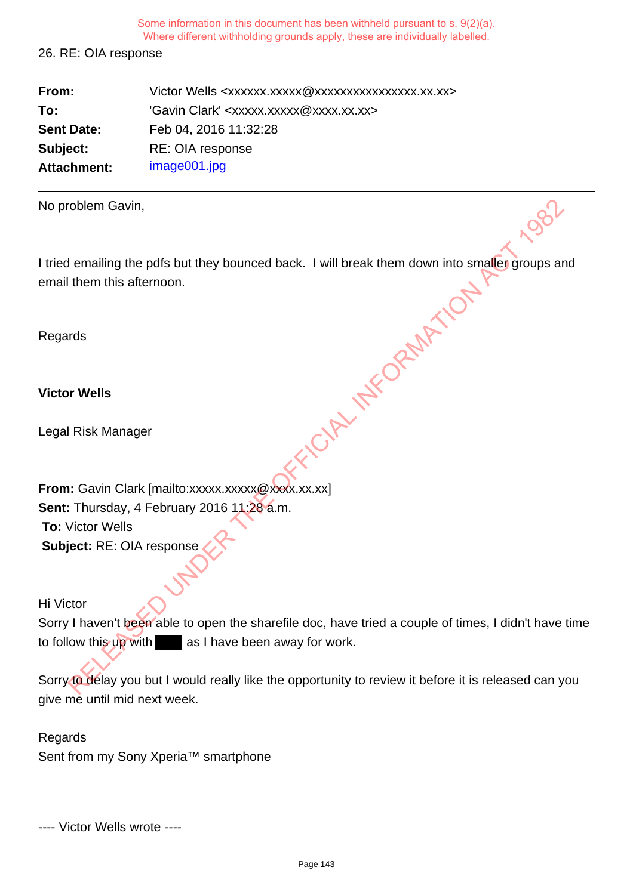26. RE: OIA response

| From:             | Victor Wells <xxxxxx.xxxxx @xxxxxxxxxxxxxxxx.xx.xx=""></xxxxxx.xxxxx> |
|-------------------|-----------------------------------------------------------------------|
| To:               | 'Gavin Clark' <xxxxx.xxxxx@xxxx.xx.xx></xxxxx.xxxxx@xxxx.xx.xx>       |
| <b>Sent Date:</b> | Feb 04, 2016 11:32:28                                                 |
| Subject:          | RE: OIA response                                                      |
| Attachment:       | image001.jpg                                                          |

| No problem Gavin,                                                                                                            |
|------------------------------------------------------------------------------------------------------------------------------|
| I tried emailing the pdfs but they bounced back. I will break them down into smaller groups ar<br>email them this afternoon. |
| Regards                                                                                                                      |
| <b>Victor Wells</b>                                                                                                          |
| Legal Risk Manager                                                                                                           |
| From: Gavin Clark [mailto:xxxxx.xxxxx@xxxx.xx.xx]                                                                            |
| <b>Sent:</b> Thursday, 4 February 2016 11:28 a.m.                                                                            |
| <b>To: Victor Wells</b>                                                                                                      |
| Subject: RE: OIA response                                                                                                    |
| Hi Victor                                                                                                                    |
| Sorry I haven't been able to open the sharefile doc, have tried a couple of times, I didn't have                             |
| to follow this up with as I have been away for work.                                                                         |
| Sorry to delay you but I would really like the opportunity to review it before it is released can y                          |
|                                                                                                                              |

Sorry I haven't been able to open the sharefile doc, have tried a couple of times, I didn't have time to follow this up with as I have been away for work.

Sorry to delay you but I would really like the opportunity to review it before it is released can you give me until mid next week.

Regards Sent from my Sony Xperia™ smartphone

---- Victor Wells wrote ----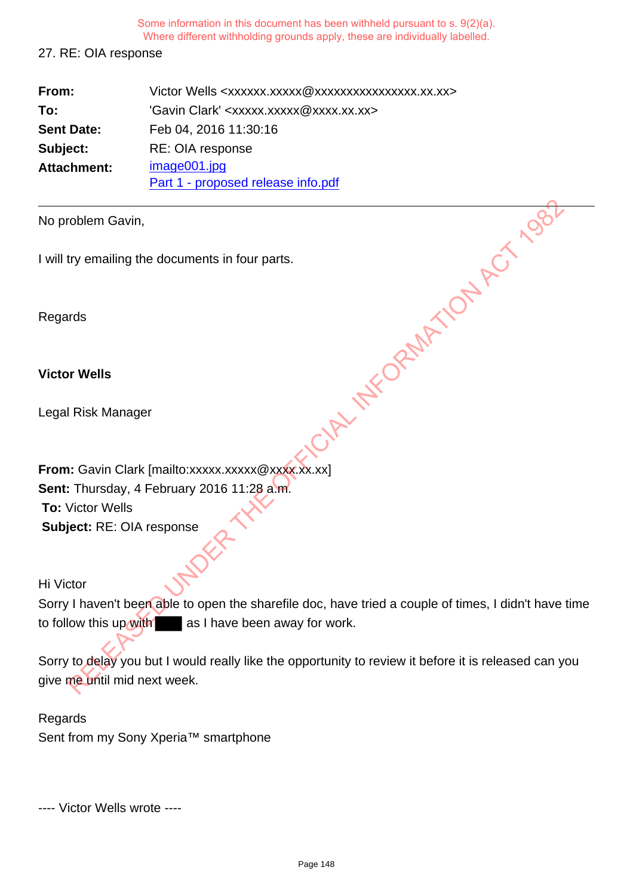## 27. RE: OIA response

| From:             | Victor Wells <xxxxxx.xxxxx @xxxxxxxxxxxxxxxx.xx.xx=""></xxxxxx.xxxxx> |
|-------------------|-----------------------------------------------------------------------|
| To:               | 'Gavin Clark' <xxxxx.xxxxx@xxxx.xx.xx></xxxxx.xxxxx@xxxx.xx.xx>       |
| <b>Sent Date:</b> | Feb 04, 2016 11:30:16                                                 |
| Subject:          | RE: OIA response                                                      |
| Attachment:       | image001.jpg                                                          |
|                   | Part 1 - proposed release info.pdf                                    |

No problem Gavin,

I will try emailing the documents in four parts.

Regards

**Victor Wells**

Legal Risk Manager

**From:** Gavin Clark [mailto:xxxxx.xxxxx @xxxx.xx.xx] **Sent:** Thursday, 4 February 2016 11:28 a.m. **To:** Victor Wells **Subject:** RE: OIA response The mailing the documents in four parts.<br>
The mailing the documents in four parts.<br>
The Vells<br>
RELEASE Manager<br>
RELEASE Manager<br>
RELEASE A February 2016 11:28 a.m.<br>
Thursday, 4 February 2016 11:28 a.m.<br>
RELEASED UNDER THE

Hi Victor

Sorry I haven't been able to open the sharefile doc, have tried a couple of times, I didn't have time to follow this up with as I have been away for work.

Sorry to delay you but I would really like the opportunity to review it before it is released can you give me until mid next week.

Regards Sent from my Sony Xperia™ smartphone

---- Victor Wells wrote ----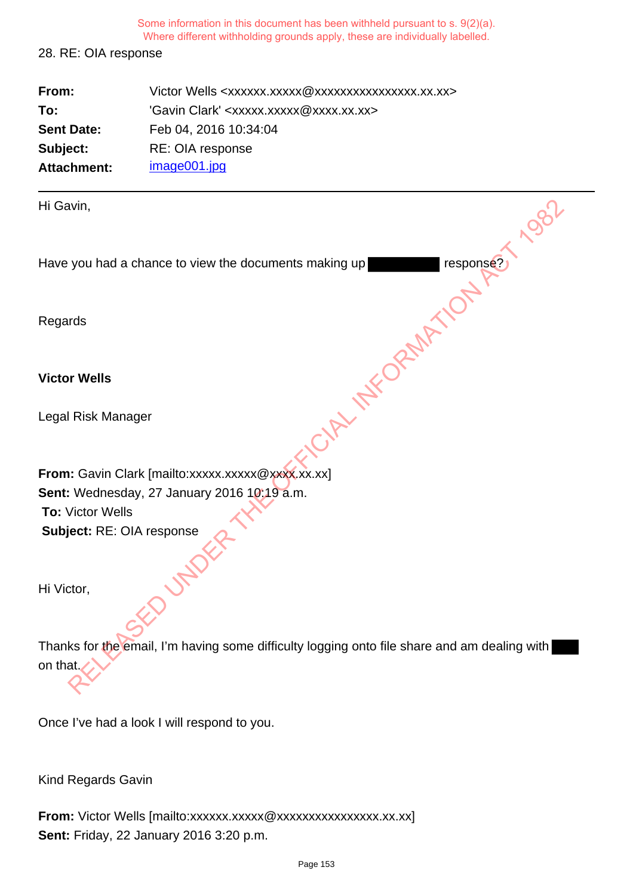## 28. RE: OIA response

| From:             | Victor Wells <xxxxxx.xxxxx @xxxxxxxxxxxxxxxx.xx.xx=""></xxxxxx.xxxxx> |
|-------------------|-----------------------------------------------------------------------|
| To:               | 'Gavin Clark' <xxxxx.xxxxx@xxxx.xx.xx></xxxxx.xxxxx@xxxx.xx.xx>       |
| <b>Sent Date:</b> | Feb 04, 2016 10:34:04                                                 |
| Subject:          | RE: OIA response                                                      |
| Attachment:       | image001.jpg                                                          |

| Hi Gavin,                                                                                    |
|----------------------------------------------------------------------------------------------|
| response?<br>Have you had a chance to view the documents making up                           |
| Regards                                                                                      |
| <b>Victor Wells</b>                                                                          |
| Legal Risk Manager                                                                           |
| From: Gavin Clark [mailto:xxxxx.xxxxx@xxxx.xx.xx]                                            |
| Sent: Wednesday, 27 January 2016 10:19 a.m.                                                  |
| <b>To: Victor Wells</b>                                                                      |
| Subject: RE: OIA response                                                                    |
| Hi Victor,                                                                                   |
| Thanks for the email, I'm having some difficulty logging onto file share and am dealing with |
| on that.                                                                                     |

Once I've had a look I will respond to you.

Kind Regards Gavin

From: Victor Wells [mailto:xxxxxx.xxxxxxxxxxxxxxxxxxxx.xx.xx] **Sent:** Friday, 22 January 2016 3:20 p.m.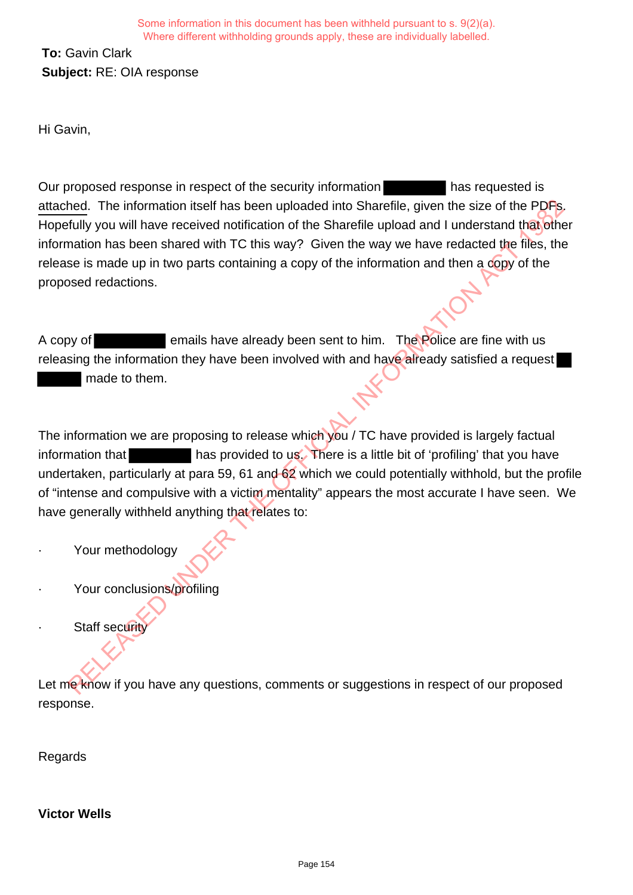**To:** Gavin Clark **Subject:** RE: OIA response

Hi Gavin,

Our proposed response in respect of the security information has requested is attached. The information itself has been uploaded into Sharefile, given the size of the PDFs. Hopefully you will have received notification of the Sharefile upload and I understand that other information has been shared with TC this way? Given the way we have redacted the files, the release is made up in two parts containing a copy of the information and then a copy of the proposed redactions. Relation itself has been uploaded into Sharefile, given the size of the PDF<sub>B</sub><br>fully you will have received notification of the Sharefile upload and I understand thajohn<br>and ion has been shared with TC this way? Given the

A copy of **EXECUTE:** emails have already been sent to him. The Police are fine with us releasing the information they have been involved with and have already satisfied a request made to them.

The information we are proposing to release which you / TC have provided is largely factual information that has provided to us. There is a little bit of 'profiling' that you have undertaken, particularly at para 59, 61 and 62 which we could potentially withhold, but the profile of "intense and compulsive with a victim mentality" appears the most accurate I have seen. We have generally withheld anything that relates to:

- Your methodology
- Your conclusions/profiling
- **Staff security**

Let me know if you have any questions, comments or suggestions in respect of our proposed response.

Regards

**Victor Wells**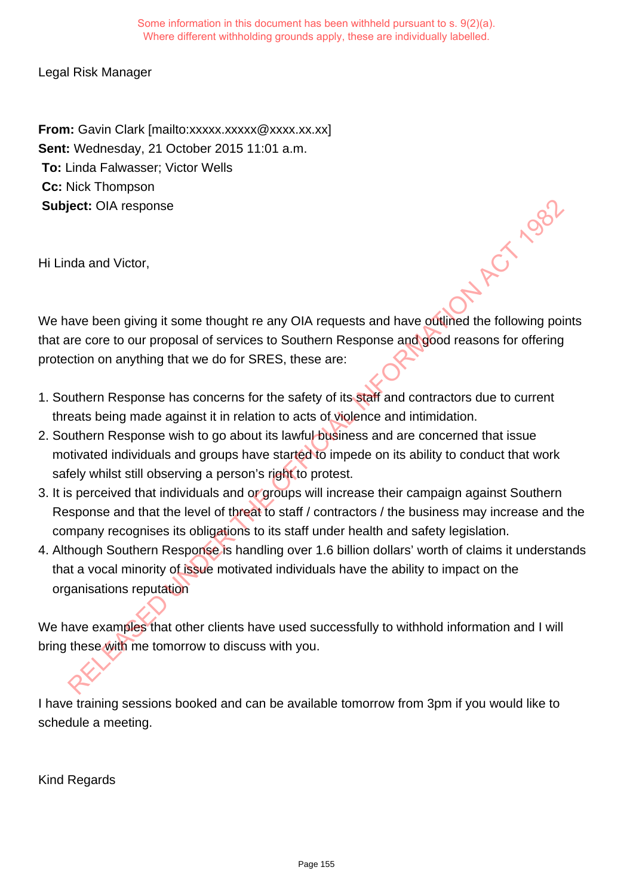Legal Risk Manager

**From:** Gavin Clark [mailto:xxxxx.xxxxx @xxxx.xx.xx] **Sent:** Wednesday, 21 October 2015 11:01 a.m. **To:** Linda Falwasser; Victor Wells **Cc:** Nick Thompson **Subject:** OIA response

Hi Linda and Victor,

We have been giving it some thought re any OIA requests and have outlined the following points that are core to our proposal of services to Southern Response and good reasons for offering protection on anything that we do for SRES, these are:

- 1. Southern Response has concerns for the safety of its staff and contractors due to current threats being made against it in relation to acts of violence and intimidation.
- 2. Southern Response wish to go about its lawful business and are concerned that issue motivated individuals and groups have started to impede on its ability to conduct that work safely whilst still observing a person's right to protest.
- 3. It is perceived that individuals and or groups will increase their campaign against Southern Response and that the level of threat to staff / contractors / the business may increase and the company recognises its obligations to its staff under health and safety legislation.
- 4. Although Southern Response is handling over 1.6 billion dollars' worth of claims it understands that a vocal minority of issue motivated individuals have the ability to impact on the organisations reputation ett: OIA response<br>ave been giving it some thought re any OIA requests and have oditined the following poi<br>are core to our proposal of services to Southern Response and good reasons for offering<br>cition on anything that we d

We have examples that other clients have used successfully to withhold information and I will bring these with me tomorrow to discuss with you.

I have training sessions booked and can be available tomorrow from 3pm if you would like to schedule a meeting.

Kind Regards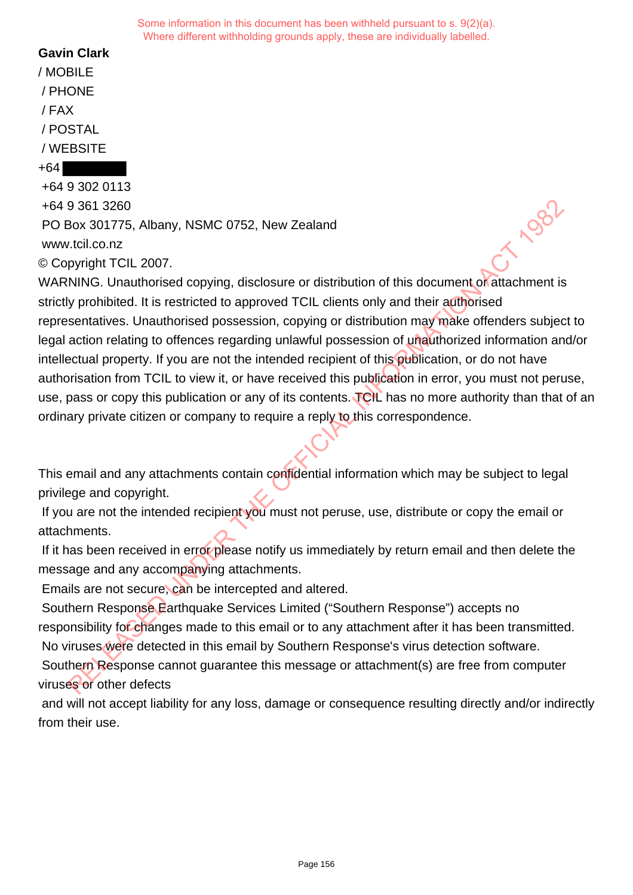# **Gavin Clark**

/ MOBILE / PHONE / FAX / POSTAL / WEBSITE

#### +64

+64 9 302 0113 +64 9 361 3260 PO Box 301775, Albany, NSMC 0752, New Zealand www.tcil.co.nz © Copyright TCIL 2007.

WARNING. Unauthorised copying, disclosure or distribution of this document or attachment is strictly prohibited. It is restricted to approved TCIL clients only and their authorised representatives. Unauthorised possession, copying or distribution may make offenders subject to legal action relating to offences regarding unlawful possession of unauthorized information and/or intellectual property. If you are not the intended recipient of this publication, or do not have authorisation from TCIL to view it, or have received this publication in error, you must not peruse, use, pass or copy this publication or any of its contents. TCIL has no more authority than that of an ordinary private citizen or company to require a reply to this correspondence. 9 361 3260<br>
2003 30175, Albany, NSMC 0752, New Zealand<br>
2007 301775, Albany, NSMC 0752, New Zealand<br>
pyright TCIL 2007.<br>
NING. Unauthorised copying, disclosure or distribution of this document of<br>
attentions.<br>
Synchibited.

This email and any attachments contain confidential information which may be subject to legal privilege and copyright.

If you are not the intended recipient you must not peruse, use, distribute or copy the email or attachments.

If it has been received in error please notify us immediately by return email and then delete the message and any accompanying attachments.

Emails are not secure, can be intercepted and altered.

 Southern Response Earthquake Services Limited ("Southern Response") accepts no responsibility for changes made to this email or to any attachment after it has been transmitted. No viruses were detected in this email by Southern Response's virus detection software.

 Southern Response cannot guarantee this message or attachment(s) are free from computer viruses or other defects

and will not accept liability for any loss, damage or consequence resulting directly and/or indirectly from their use.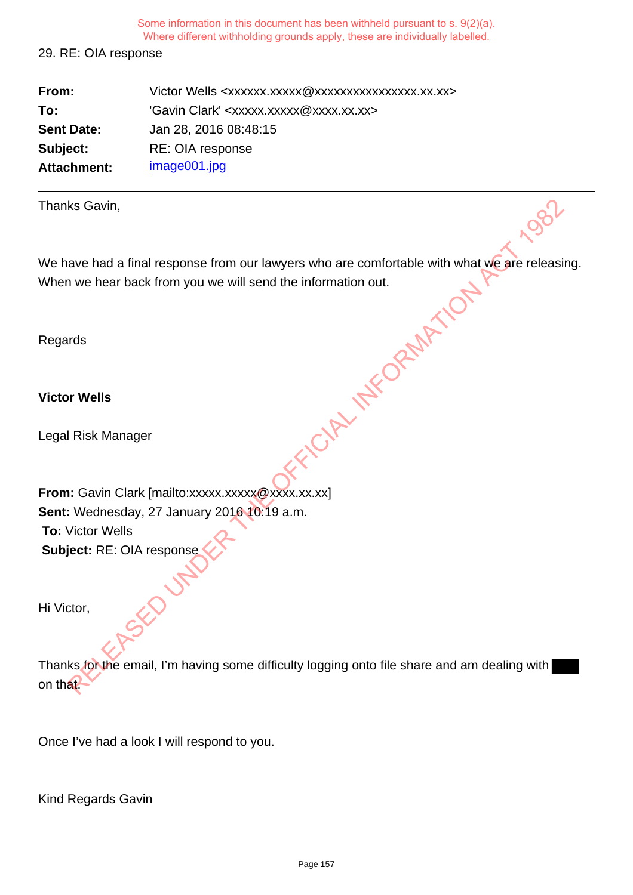29. RE: OIA response

| From:              | Victor Wells <xxxxxx.xxxxx @xxxxxxxxxxxxxxxx.xx.xx=""></xxxxxx.xxxxx> |
|--------------------|-----------------------------------------------------------------------|
| To:                | 'Gavin Clark' <xxxxx.xxxxx@xxxx.xx.xx></xxxxx.xxxxx@xxxx.xx.xx>       |
| <b>Sent Date:</b>  | Jan 28, 2016 08:48:15                                                 |
| Subject:           | RE: OIA response                                                      |
| <b>Attachment:</b> | image001.jpg                                                          |

| Thanks Gavin,                                                                                |
|----------------------------------------------------------------------------------------------|
| We have had a final response from our lawyers who are comfortable with what we are releasi   |
| When we hear back from you we will send the information out.                                 |
|                                                                                              |
| Regards                                                                                      |
|                                                                                              |
| <b>Victor Wells</b>                                                                          |
|                                                                                              |
| Legal Risk Manager                                                                           |
|                                                                                              |
|                                                                                              |
| From: Gavin Clark [mailto:xxxxx.xxxxx@xxxx.xx.xx]                                            |
| Sent: Wednesday, 27 January 2016 10:19 a.m.<br><b>To: Victor Wells</b>                       |
|                                                                                              |
| Subject: RE: OIA response                                                                    |
|                                                                                              |
| Hi Victor,                                                                                   |
|                                                                                              |
| Thanks for the email, I'm having some difficulty logging onto file share and am dealing with |
| on that.                                                                                     |
|                                                                                              |

Once I've had a look I will respond to you.

Kind Regards Gavin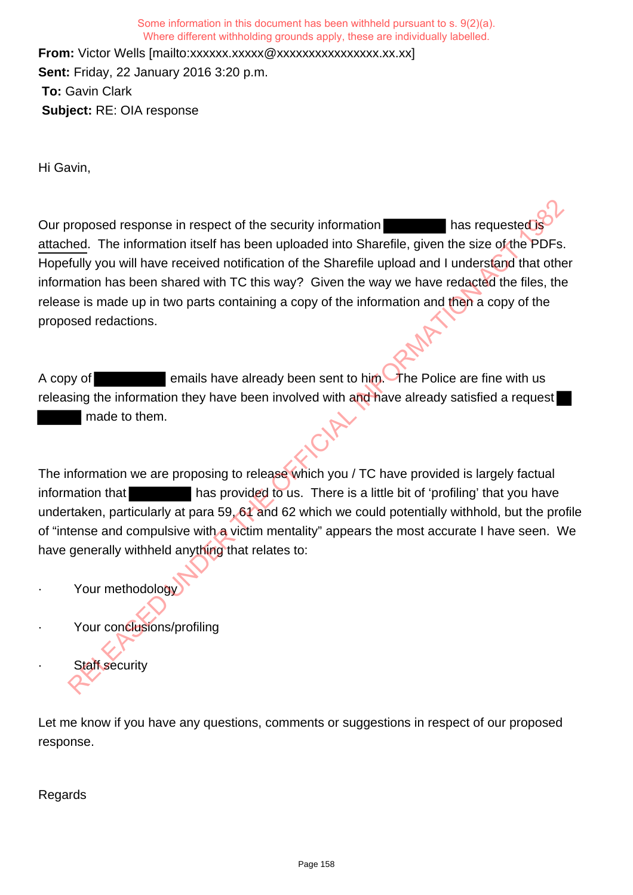**From:** Victor Wells [mailto:xxxxxx.xxxxxxxxxxxxxxxxxxxxx.xx.xx] **Sent:** Friday, 22 January 2016 3:20 p.m. **To:** Gavin Clark **Subject:** RE: OIA response

Hi Gavin,

Our proposed response in respect of the security information has requested it. attached. The information itself has been uploaded into Sharefile, given the size of the PDFs. Hopefully you will have received notification of the Sharefile upload and I understand that other information has been shared with TC this way? Given the way we have redacted the files, the release is made up in two parts containing a copy of the information and then a copy of the proposed redactions. proposed response in respect of the security information<br>
hed. The information itself has been uploaded into Sharefile, given the size of the PDFs<br>
fully you will have received notification of the Sharefile upload and I un

A copy of **EXECUTE:** emails have already been sent to him. The Police are fine with us releasing the information they have been involved with and have already satisfied a request made to them.

The information we are proposing to release which you / TC have provided is largely factual information that has provided to us. There is a little bit of 'profiling' that you have undertaken, particularly at para 59, 61 and 62 which we could potentially withhold, but the profile of "intense and compulsive with a victim mentality" appears the most accurate I have seen. We have generally withheld anything that relates to:

- Your methodology
- Your conclusions/profiling
- **Staff security**

Let me know if you have any questions, comments or suggestions in respect of our proposed response.

Regards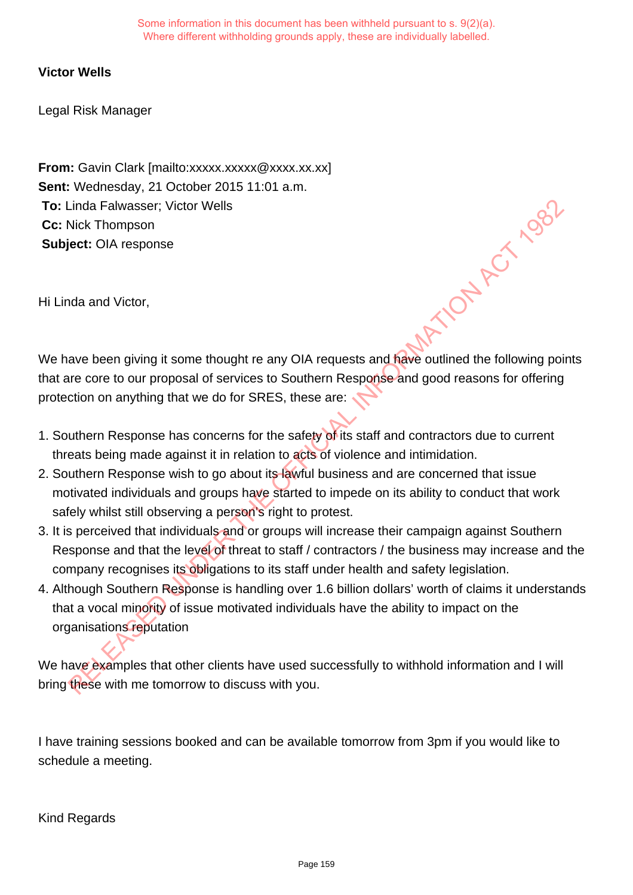### **Victor Wells**

Legal Risk Manager

**From:** Gavin Clark [mailto:xxxxx.xxxxx @xxxx.xx.xx] **Sent:** Wednesday, 21 October 2015 11:01 a.m. **To:** Linda Falwasser; Victor Wells **Cc:** Nick Thompson **Subject:** OIA response we have been giving it some thought re any OIA requests and have outlined the following points

Hi Linda and Victor,

that are core to our proposal of services to Southern Response and good reasons for offering protection on anything that we do for SRES, these are:

- 1. Southern Response has concerns for the safety of its staff and contractors due to current threats being made against it in relation to acts of violence and intimidation.
- 2. Southern Response wish to go about its lawful business and are concerned that issue motivated individuals and groups have started to impede on its ability to conduct that work safely whilst still observing a person's right to protest.
- 3. It is perceived that individuals and or groups will increase their campaign against Southern Response and that the level of threat to staff / contractors / the business may increase and the company recognises its obligations to its staff under health and safety legislation.
- 4. Although Southern Response is handling over 1.6 billion dollars' worth of claims it understands that a vocal minority of issue motivated individuals have the ability to impact on the organisations reputation Linda Falwasser; Victor Wells<br>
Relict: OIA response<br>
Ada and Victor,<br>
Ada and Victor,<br>
Ada and Victor,<br>
Ada and Victor,<br>
Ada and Victor,<br>
Ada and Victor,<br>
Ada and Victor,<br>
Ada and Victor,<br>
Ada and Victor,<br>
Ada and Victor,<br>

We have examples that other clients have used successfully to withhold information and I will bring these with me tomorrow to discuss with you.

I have training sessions booked and can be available tomorrow from 3pm if you would like to schedule a meeting.

Kind Regards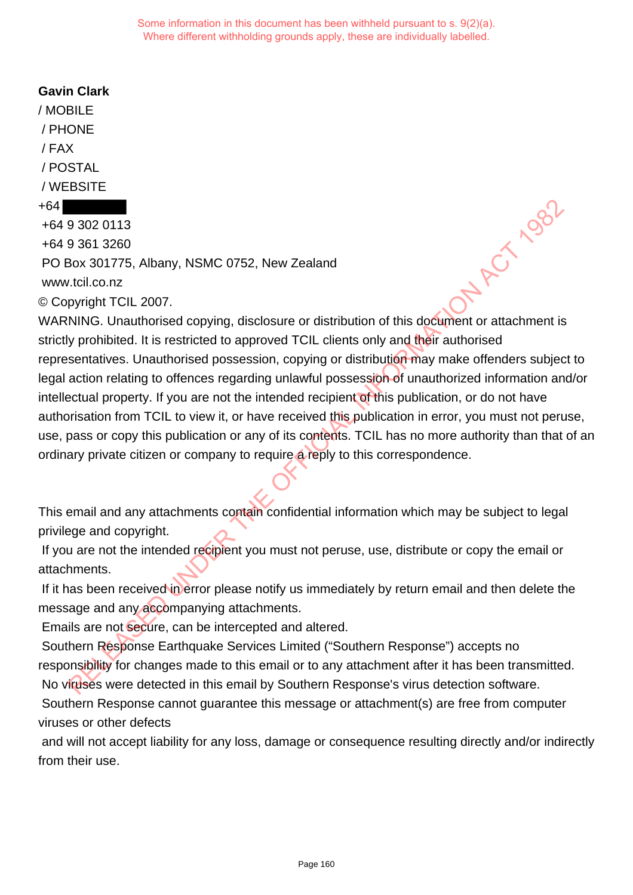## **Gavin Clark**

/ MOBILE / PHONE / FAX / POSTAL / WEBSITE +64

# +64 9 302 0113

+64 9 361 3260 PO Box 301775, Albany, NSMC 0752, New Zealand www.tcil.co.nz © Copyright TCIL 2007.

WARNING. Unauthorised copying, disclosure or distribution of this document or attachment is strictly prohibited. It is restricted to approved TCIL clients only and their authorised representatives. Unauthorised possession, copying or distribution may make offenders subject to legal action relating to offences regarding unlawful possession of unauthorized information and/or intellectual property. If you are not the intended recipient of this publication, or do not have authorisation from TCIL to view it, or have received this publication in error, you must not peruse, use, pass or copy this publication or any of its contents. TCIL has no more authority than that of an ordinary private citizen or company to require a reply to this correspondence. **9 302 0113**<br>
9 361 3260<br>
Box 301775, Albany, NSMC 0752, New Zealand<br>
cucilico.nz<br>
pyright TCIL 2007.<br>
NING. Unauthorised copying, disclosure or distribution of this document or attachment is<br>
y prohibited. It is restricte

This email and any attachments contain confidential information which may be subject to legal privilege and copyright.

If you are not the intended recipient you must not peruse, use, distribute or copy the email or attachments.

If it has been received in error please notify us immediately by return email and then delete the message and any accompanying attachments.

Emails are not secure, can be intercepted and altered.

 Southern Response Earthquake Services Limited ("Southern Response") accepts no responsibility for changes made to this email or to any attachment after it has been transmitted. No viruses were detected in this email by Southern Response's virus detection software.

 Southern Response cannot guarantee this message or attachment(s) are free from computer viruses or other defects

and will not accept liability for any loss, damage or consequence resulting directly and/or indirectly from their use.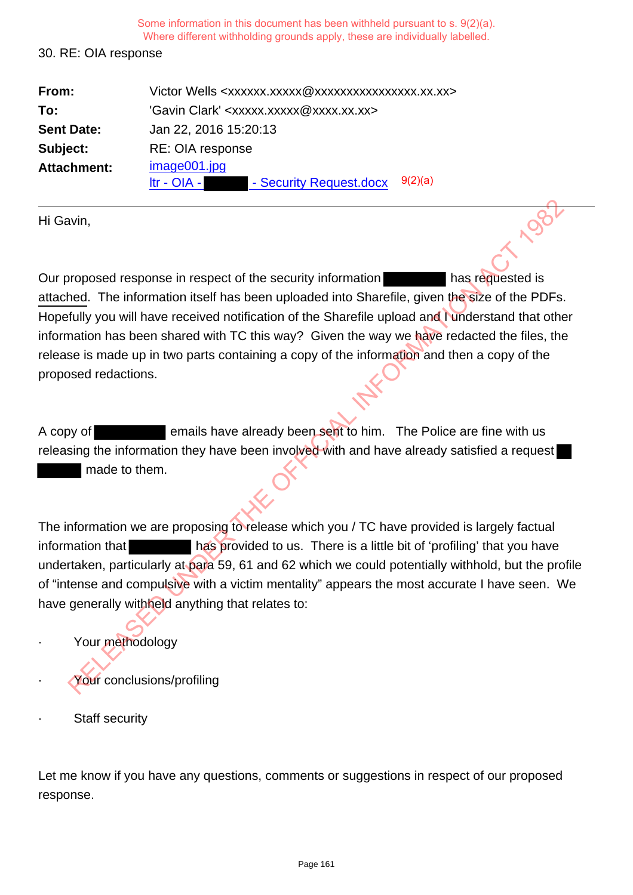#### 30. RE: OIA response

| From:              | Victor Wells <xxxxxx.xxxxx @xxxxxxxxxxxxxxxx.xx.xx=""></xxxxxx.xxxxx> |
|--------------------|-----------------------------------------------------------------------|
| To:                | 'Gavin Clark' <xxxxx.xxxxx@xxxx.xx.xx></xxxxx.xxxxx@xxxx.xx.xx>       |
| <b>Sent Date:</b>  | Jan 22, 2016 15:20:13                                                 |
| Subject:           | RE: OIA response                                                      |
| <b>Attachment:</b> | image001.jpg                                                          |
|                    | 9(2)(a)<br>- Security Request.docx<br>$Itr - OIA - I$                 |

Hi Gavin,

Our proposed response in respect of the security information has requested is attached. The information itself has been uploaded into Sharefile, given the size of the PDFs. Hopefully you will have received notification of the Sharefile upload and I understand that other information has been shared with TC this way? Given the way we have redacted the files, the release is made up in two parts containing a copy of the information and then a copy of the proposed redactions. and the method of the security information<br>
Action and the security information and the security of the PDFs.<br>
Activity you will have received notification of the Sharefile upload and tunderstand that other<br>
Activity you w

A copy of **EXECUTE:** emails have already been sent to him. The Police are fine with us releasing the information they have been involved with and have already satisfied a request made to them.

The information we are proposing to release which you / TC have provided is largely factual information that has provided to us. There is a little bit of 'profiling' that you have undertaken, particularly at para 59, 61 and 62 which we could potentially withhold, but the profile of "intense and compulsive with a victim mentality" appears the most accurate I have seen. We have generally withheld anything that relates to:

- Your methodology
- Your conclusions/profiling
- **Staff security**

Let me know if you have any questions, comments or suggestions in respect of our proposed response.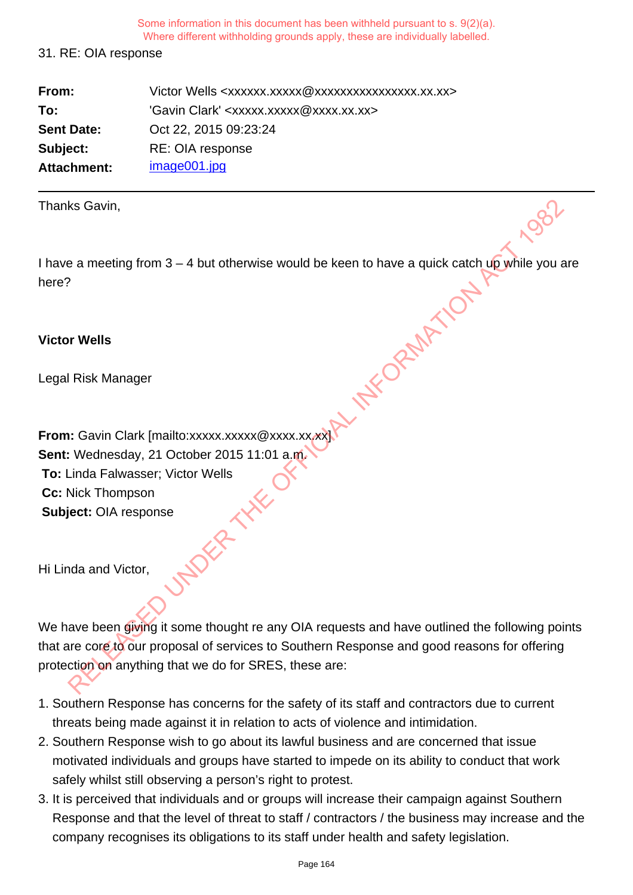### 31. RE: OIA response

| From:             | Victor Wells <xxxxxx.xxxxx @xxxxxxxxxxxxxxxx.xx.xx=""></xxxxxx.xxxxx> |
|-------------------|-----------------------------------------------------------------------|
| To:               | 'Gavin Clark' <xxxxx.xxxxx@xxxx.xx.xx></xxxxx.xxxxx@xxxx.xx.xx>       |
| <b>Sent Date:</b> | Oct 22, 2015 09:23:24                                                 |
| Subject:          | RE: OIA response                                                      |
| Attachment:       | image001.jpg                                                          |

Thanks Gavin,

I have a meeting from  $3 - 4$  but otherwise would be keen to have a quick catch up while you are here? **KAREL SED UNDER THE OFFICIAL** 

### **Victor Wells**

Legal Risk Manager

**From:** Gavin Clark [mailto:xxxxx.xxxxx @xxxx.xx.xx **Sent:** Wednesday, 21 October 2015 11:01 a.m. **To:** Linda Falwasser; Victor Wells<br> **Cc:** Nick Thompson<br> **Subject:** OIA response<br>
Hi Linda and' **Cc:** Nick Thompson **Subject:** OIA response

Hi Linda and Victor,

We have been giving it some thought re any OIA requests and have outlined the following points that are core to our proposal of services to Southern Response and good reasons for offering protection on anything that we do for SRES, these are:

- 1. Southern Response has concerns for the safety of its staff and contractors due to current threats being made against it in relation to acts of violence and intimidation.
- 2. Southern Response wish to go about its lawful business and are concerned that issue motivated individuals and groups have started to impede on its ability to conduct that work safely whilst still observing a person's right to protest.
- 3. It is perceived that individuals and or groups will increase their campaign against Southern Response and that the level of threat to staff / contractors / the business may increase and the company recognises its obligations to its staff under health and safety legislation.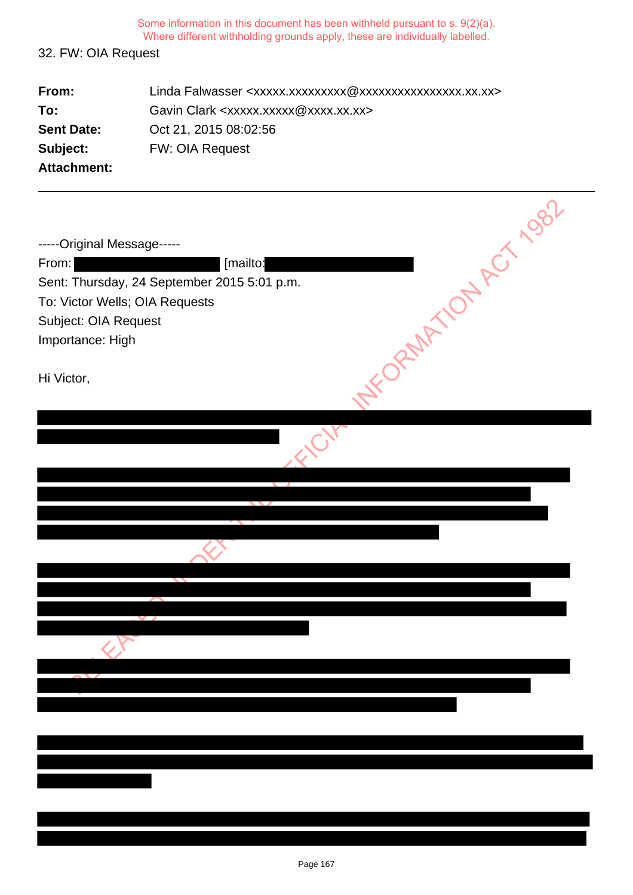# 32. FW: OIA Request

| From:              | Linda Falwasser <xxxxx.xxxxxxxxx @xxxxxxxxxxxxxxxx.xx.xx=""></xxxxx.xxxxxxxxx> |
|--------------------|--------------------------------------------------------------------------------|
| To:                | Gavin Clark <xxxxx.xxxxx@xxxx.xx.xx></xxxxx.xxxxx@xxxx.xx.xx>                  |
| <b>Sent Date:</b>  | Oct 21, 2015 08:02:56                                                          |
| Subject:           | <b>FW: OIA Request</b>                                                         |
| <b>Attachment:</b> |                                                                                |

| NY ORMAN ON ACT 1982<br>-----Original Message-----<br>From:<br>[mailto:<br>Sent: Thursday, 24 September 2015 5:01 p.m.<br>To: Victor Wells; OIA Requests<br>Subject: OIA Request<br>Importance: High |
|------------------------------------------------------------------------------------------------------------------------------------------------------------------------------------------------------|
| Hi Victor,                                                                                                                                                                                           |
|                                                                                                                                                                                                      |
|                                                                                                                                                                                                      |
|                                                                                                                                                                                                      |
|                                                                                                                                                                                                      |
|                                                                                                                                                                                                      |
|                                                                                                                                                                                                      |
|                                                                                                                                                                                                      |
|                                                                                                                                                                                                      |
|                                                                                                                                                                                                      |
|                                                                                                                                                                                                      |
|                                                                                                                                                                                                      |
|                                                                                                                                                                                                      |
|                                                                                                                                                                                                      |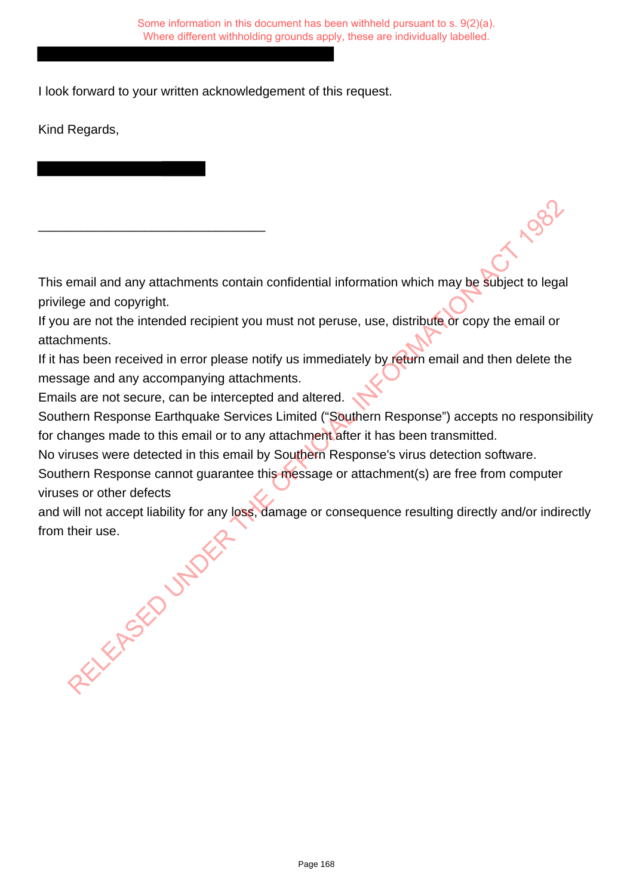I look forward to your written acknowledgement of this request.

Kind Regards,

This email and any attachments contain confidential information which may be subject to legal privilege and copyright.

If you are not the intended recipient you must not peruse, use, distribute or copy the email or attachments.

If it has been received in error please notify us immediately by return email and then delete the message and any accompanying attachments.

Emails are not secure, can be intercepted and altered.

\_\_\_\_\_\_\_\_\_\_\_\_\_\_\_\_\_\_\_\_\_\_\_\_\_\_\_\_\_\_\_\_

Southern Response Earthquake Services Limited ("Southern Response") accepts no responsibility for changes made to this email or to any attachment after it has been transmitted.

No viruses were detected in this email by Southern Response's virus detection software.

Southern Response cannot guarantee this message or attachment(s) are free from computer viruses or other defects Small and any attachments contain confidential information which may be subject to let the and copyright.<br>
are not the intended recipient you must not peruse, use, distribute or copy the email coments.<br>
Seen received in er

and will not accept liability for any loss, damage or consequence resulting directly and/or indirectly from their use.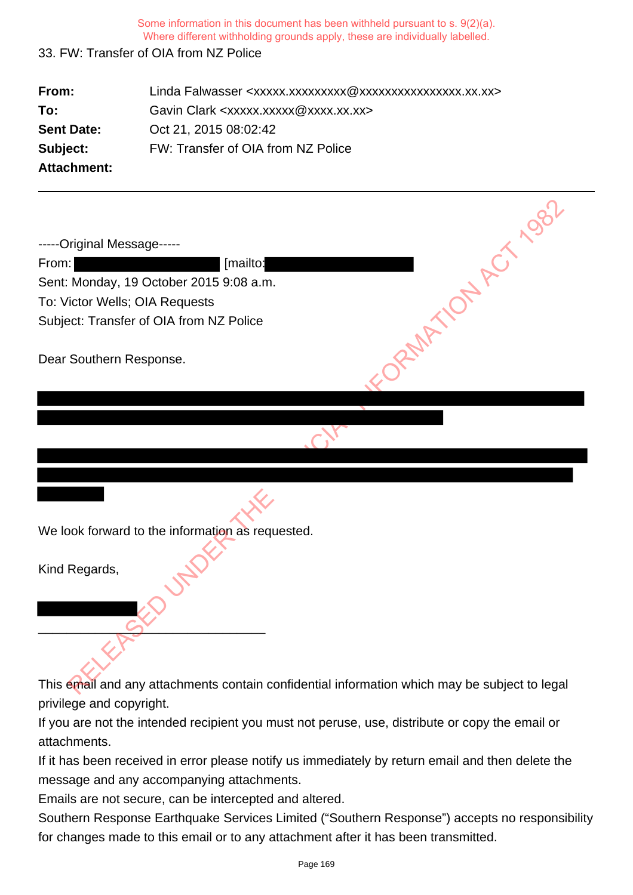## 33. FW: Transfer of OIA from NZ Police

| From:                      | Linda Falwasser <xxxxx.xxxxxxxxx @xxxxxxxxxxxxxxxx.xx.xx=""></xxxxx.xxxxxxxxx> |  |
|----------------------------|--------------------------------------------------------------------------------|--|
| To:                        | Gavin Clark <xxxxx.xxxxx@xxxx.xx.xx></xxxxx.xxxxx@xxxx.xx.xx>                  |  |
| <b>Sent Date:</b>          | Oct 21, 2015 08:02:42                                                          |  |
| Subject:                   | FW: Transfer of OIA from NZ Police                                             |  |
| <b>Attachment:</b>         |                                                                                |  |
|                            |                                                                                |  |
| -----Original Message----- |                                                                                |  |
| From:                      | [mailto:                                                                       |  |
|                            | Sent: Monday, 19 October 2015 9:08 a.m.                                        |  |
|                            | To: Victor Wells; OIA Requests                                                 |  |
|                            | Subject: Transfer of OIA from NZ Police                                        |  |
| Dear Southern Response.    |                                                                                |  |
|                            |                                                                                |  |

We look forward to the information as requested.

\_\_\_\_\_\_\_\_\_\_\_\_\_\_\_\_\_\_\_\_\_\_\_\_\_\_\_\_\_\_\_\_

Kind Regards,

This email and any attachments contain confidential information which may be subject to legal privilege and copyright.

If you are not the intended recipient you must not peruse, use, distribute or copy the email or attachments.

If it has been received in error please notify us immediately by return email and then delete the message and any accompanying attachments.

Emails are not secure, can be intercepted and altered.

Southern Response Earthquake Services Limited ("Southern Response") accepts no responsibility for changes made to this email or to any attachment after it has been transmitted.